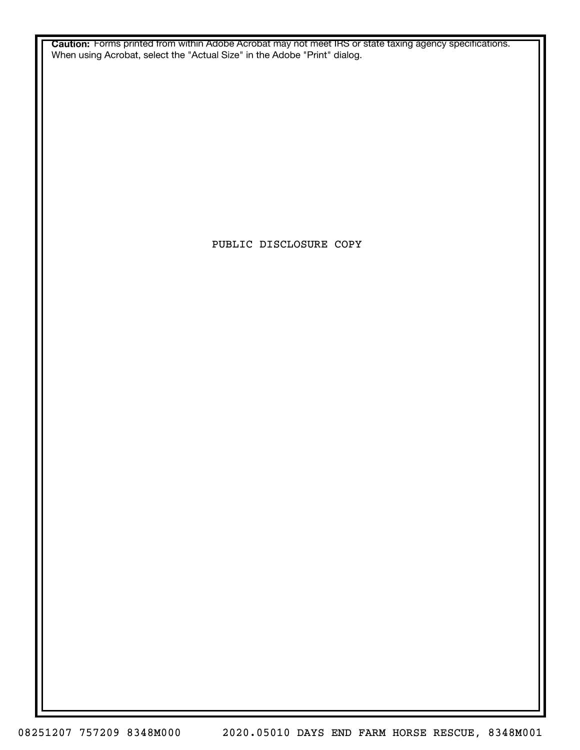**Caution:** Forms printed from within Adobe Acrobat may not meet IRS or state taxing agency specifications. When using Acrobat, select the "Actual Size" in the Adobe "Print" dialog.

PUBLIC DISCLOSURE COPY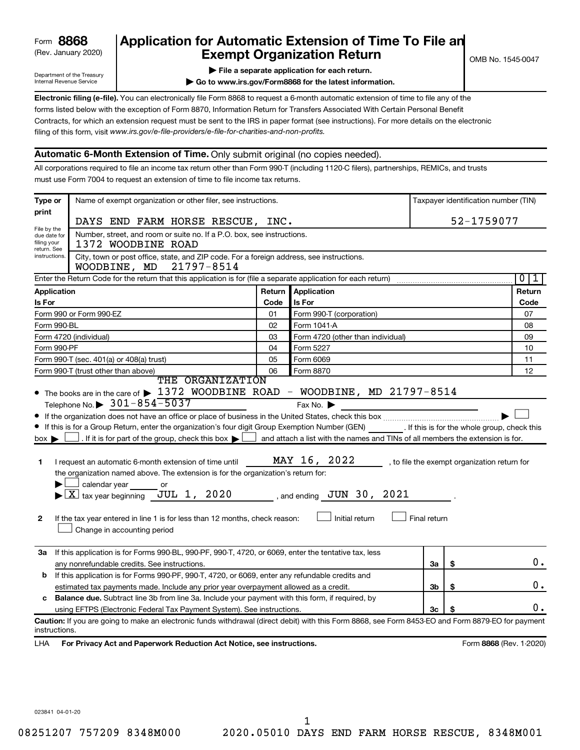### (Rev. January 2020) **Cxempt Organization Return** Manuary 2020) and the settern **Canadian Exempt Organization Return Form 8868 Application for Automatic Extension of Time To File an**<br>**Exempt Organization Return**

Department of the Treasury Internal Revenue Service

|  |  |  |  | File a separate application for each return. |  |
|--|--|--|--|----------------------------------------------|--|
|  |  |  |  |                                              |  |

**| Go to www.irs.gov/Form8868 for the latest information.**

**Electronic filing (e-file).** You can electronically file Form 8868 to request a 6-month automatic extension of time to file any of the filing of this form, visit www.irs.gov/e-file-providers/e-file-for-charities-and-non-profits. forms listed below with the exception of Form 8870, Information Return for Transfers Associated With Certain Personal Benefit Contracts, for which an extension request must be sent to the IRS in paper format (see instructions). For more details on the electronic

### **Automatic 6-Month Extension of Time.** Only submit original (no copies needed).

All corporations required to file an income tax return other than Form 990-T (including 1120-C filers), partnerships, REMICs, and trusts must use Form 7004 to request an extension of time to file income tax returns.

| Type or                                    | Name of exempt organization or other filer, see instructions.                                                                                                                                                                                                                                                                                                                                                                                                                                                                                                                                                                                                                                                                                            |        |                                                                                                                                                                                  |              | Taxpayer identification number (TIN)         |
|--------------------------------------------|----------------------------------------------------------------------------------------------------------------------------------------------------------------------------------------------------------------------------------------------------------------------------------------------------------------------------------------------------------------------------------------------------------------------------------------------------------------------------------------------------------------------------------------------------------------------------------------------------------------------------------------------------------------------------------------------------------------------------------------------------------|--------|----------------------------------------------------------------------------------------------------------------------------------------------------------------------------------|--------------|----------------------------------------------|
| print                                      | DAYS END FARM HORSE RESCUE, INC.                                                                                                                                                                                                                                                                                                                                                                                                                                                                                                                                                                                                                                                                                                                         |        |                                                                                                                                                                                  |              | 52-1759077                                   |
| File by the<br>due date for<br>filing your | Number, street, and room or suite no. If a P.O. box, see instructions.<br>1372 WOODBINE ROAD                                                                                                                                                                                                                                                                                                                                                                                                                                                                                                                                                                                                                                                             |        |                                                                                                                                                                                  |              |                                              |
| return. See<br>instructions.               | City, town or post office, state, and ZIP code. For a foreign address, see instructions.<br>WOODBINE, MD<br>21797-8514                                                                                                                                                                                                                                                                                                                                                                                                                                                                                                                                                                                                                                   |        |                                                                                                                                                                                  |              |                                              |
|                                            | Enter the Return Code for the return that this application is for (file a separate application for each return)                                                                                                                                                                                                                                                                                                                                                                                                                                                                                                                                                                                                                                          |        |                                                                                                                                                                                  |              | $\overline{0}$<br>1                          |
| Application                                |                                                                                                                                                                                                                                                                                                                                                                                                                                                                                                                                                                                                                                                                                                                                                          | Return | <b>Application</b>                                                                                                                                                               |              | Return                                       |
| Is For                                     |                                                                                                                                                                                                                                                                                                                                                                                                                                                                                                                                                                                                                                                                                                                                                          | Code   | Is For                                                                                                                                                                           |              | Code                                         |
|                                            | Form 990 or Form 990-EZ                                                                                                                                                                                                                                                                                                                                                                                                                                                                                                                                                                                                                                                                                                                                  | 01     | Form 990-T (corporation)                                                                                                                                                         |              | 07                                           |
| Form 990-BL                                |                                                                                                                                                                                                                                                                                                                                                                                                                                                                                                                                                                                                                                                                                                                                                          | 02     | Form 1041-A                                                                                                                                                                      |              | 08                                           |
|                                            | Form 4720 (individual)                                                                                                                                                                                                                                                                                                                                                                                                                                                                                                                                                                                                                                                                                                                                   | 03     | Form 4720 (other than individual)                                                                                                                                                |              | 09                                           |
| Form 990-PF                                |                                                                                                                                                                                                                                                                                                                                                                                                                                                                                                                                                                                                                                                                                                                                                          | 04     | Form 5227                                                                                                                                                                        |              | 10                                           |
|                                            | Form 990-T (sec. 401(a) or 408(a) trust)                                                                                                                                                                                                                                                                                                                                                                                                                                                                                                                                                                                                                                                                                                                 | 05     | Form 6069                                                                                                                                                                        |              | 11                                           |
|                                            | Form 990-T (trust other than above)<br>THE ORGANIZATION                                                                                                                                                                                                                                                                                                                                                                                                                                                                                                                                                                                                                                                                                                  | 06     | Form 8870                                                                                                                                                                        |              | 12                                           |
| 1<br>2                                     | • The books are in the care of > 1372 WOODBINE ROAD - WOODBINE, MD 21797-8514<br>Telephone No. $\triangleright$ 301-854-5037<br>If this is for a Group Return, enter the organization's four digit Group Exemption Number (GEN) [If this is for the whole group, check this<br>box $\blacktriangleright$ $\Box$ . If it is for part of the group, check this box $\blacktriangleright$<br>I request an automatic 6-month extension of time until<br>the organization named above. The extension is for the organization's return for:<br>calendar year<br>or<br>$\blacktriangleright$ $\lfloor$ X $\rfloor$ tax year beginning JUL 1, 2020<br>If the tax year entered in line 1 is for less than 12 months, check reason:<br>Change in accounting period |        | Fax No. $\blacktriangleright$<br>and attach a list with the names and TINs of all members the extension is for.<br>MAY 16, 2022<br>, and ending $JUN$ 30, 2021<br>Initial return | Final return | , to file the exempt organization return for |
| За                                         | If this application is for Forms 990-BL, 990-PF, 990-T, 4720, or 6069, enter the tentative tax, less<br>any nonrefundable credits. See instructions.                                                                                                                                                                                                                                                                                                                                                                                                                                                                                                                                                                                                     |        |                                                                                                                                                                                  | За           | \$<br>0.                                     |
| b                                          | If this application is for Forms 990-PF, 990-T, 4720, or 6069, enter any refundable credits and                                                                                                                                                                                                                                                                                                                                                                                                                                                                                                                                                                                                                                                          |        |                                                                                                                                                                                  |              |                                              |
|                                            | estimated tax payments made. Include any prior year overpayment allowed as a credit.                                                                                                                                                                                                                                                                                                                                                                                                                                                                                                                                                                                                                                                                     |        |                                                                                                                                                                                  | 3b           | \$<br>О.                                     |
| c                                          | <b>Balance due.</b> Subtract line 3b from line 3a. Include your payment with this form, if required, by                                                                                                                                                                                                                                                                                                                                                                                                                                                                                                                                                                                                                                                  |        |                                                                                                                                                                                  |              |                                              |
|                                            | using EFTPS (Electronic Federal Tax Payment System). See instructions.                                                                                                                                                                                                                                                                                                                                                                                                                                                                                                                                                                                                                                                                                   |        |                                                                                                                                                                                  | 3c           | 0.                                           |
| instructions.<br>LHA                       | Caution: If you are going to make an electronic funds withdrawal (direct debit) with this Form 8868, see Form 8453-EO and Form 8879-EO for payment<br>For Privacy Act and Paperwork Reduction Act Notice, see instructions.                                                                                                                                                                                                                                                                                                                                                                                                                                                                                                                              |        |                                                                                                                                                                                  |              | Form 8868 (Rev. 1-2020)                      |

023841 04-01-20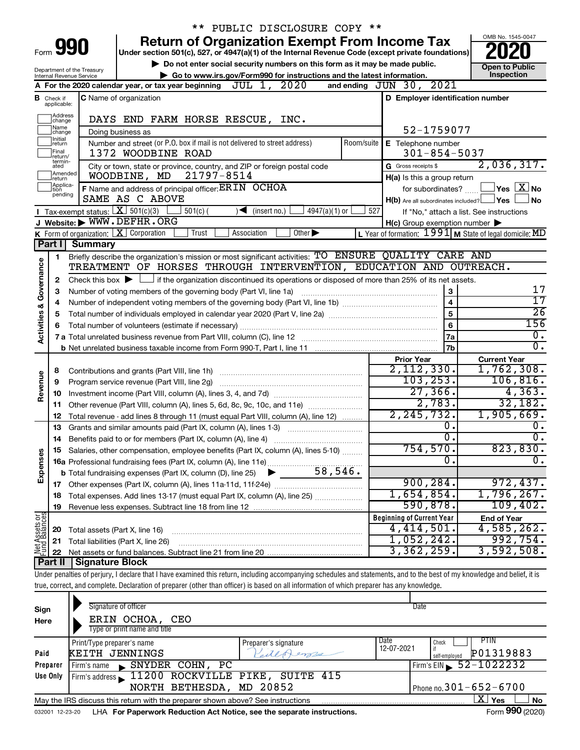|                         |                                  | ** PUBLIC DISCLOSURE COPY **                                                                                                                                                   |                                                           |                         |                                                                    |
|-------------------------|----------------------------------|--------------------------------------------------------------------------------------------------------------------------------------------------------------------------------|-----------------------------------------------------------|-------------------------|--------------------------------------------------------------------|
|                         |                                  | <b>Return of Organization Exempt From Income Tax</b>                                                                                                                           |                                                           |                         | OMB No. 1545-0047                                                  |
|                         |                                  | Form 990<br>Under section 501(c), 527, or 4947(a)(1) of the Internal Revenue Code (except private foundations)                                                                 |                                                           |                         |                                                                    |
|                         |                                  | Do not enter social security numbers on this form as it may be made public.                                                                                                    |                                                           |                         | <b>Open to Public</b>                                              |
|                         |                                  | Department of the Treasury<br>Go to www.irs.gov/Form990 for instructions and the latest information.<br>Internal Revenue Service                                               |                                                           |                         | Inspection                                                         |
|                         |                                  | A For the 2020 calendar year, or tax year beginning $JUL$ 1, $2020$                                                                                                            | and ending $JUN 30, 2021$                                 |                         |                                                                    |
|                         | <b>B</b> Check if<br>applicable: | C Name of organization                                                                                                                                                         | D Employer identification number                          |                         |                                                                    |
|                         | Address                          |                                                                                                                                                                                |                                                           |                         |                                                                    |
|                         | change<br>Name                   | DAYS END FARM HORSE RESCUE, INC.                                                                                                                                               |                                                           |                         |                                                                    |
|                         | change<br>Initial                | Doing business as                                                                                                                                                              | 52-1759077                                                |                         |                                                                    |
|                         | return<br>Final                  | Number and street (or P.O. box if mail is not delivered to street address)<br>Room/suite<br>1372 WOODBINE ROAD                                                                 | E Telephone number<br>$301 - 854 - 5037$                  |                         |                                                                    |
|                         | return/<br>termin-               |                                                                                                                                                                                |                                                           |                         | 2,036,317.                                                         |
|                         | ated<br>Amended                  | City or town, state or province, country, and ZIP or foreign postal code<br>21797-8514<br>WOODBINE, MD                                                                         | G Gross receipts \$                                       |                         |                                                                    |
|                         | return<br>Applica-               | F Name and address of principal officer: ERIN OCHOA                                                                                                                            | H(a) Is this a group return<br>for subordinates?          |                         | $\sqrt{\mathsf{Yes}\mathord{\;\mathbb{X}}\mathord{\;\mathsf{No}}}$ |
|                         | tion<br>pending                  | SAME AS C ABOVE                                                                                                                                                                | $H(b)$ Are all subordinates included? $\Box$ Yes          |                         | No                                                                 |
|                         |                                  | Tax-exempt status: $X \over 301(c)(3)$<br>$501(c)$ (<br>$\sqrt{\frac{1}{1}}$ (insert no.)<br>$4947(a)(1)$ or                                                                   | 527                                                       |                         | If "No," attach a list. See instructions                           |
|                         |                                  | J Website: WWW.DEFHR.ORG                                                                                                                                                       | $H(c)$ Group exemption number $\blacktriangleright$       |                         |                                                                    |
|                         |                                  | <b>K</b> Form of organization: $\boxed{\mathbf{X}}$ Corporation<br>Other $\blacktriangleright$<br>Trust<br>Association                                                         | L Year of formation: $1991$ M State of legal domicile: MD |                         |                                                                    |
|                         | Part II                          | <b>Summary</b>                                                                                                                                                                 |                                                           |                         |                                                                    |
|                         | 1.                               | Briefly describe the organization's mission or most significant activities: TO ENSURE QUALITY CARE AND                                                                         |                                                           |                         |                                                                    |
|                         |                                  | TREATMENT OF HORSES THROUGH INTERVENTION, EDUCATION AND OUTREACH.                                                                                                              |                                                           |                         |                                                                    |
|                         | 2                                | Check this box $\blacktriangleright$ $\Box$ if the organization discontinued its operations or disposed of more than 25% of its net assets.                                    |                                                           |                         |                                                                    |
|                         | 3                                | Number of voting members of the governing body (Part VI, line 1a)                                                                                                              |                                                           | $\mathbf 3$             | 17                                                                 |
|                         | 4                                |                                                                                                                                                                                |                                                           | $\overline{\mathbf{4}}$ | 17                                                                 |
| Activities & Governance | 5                                |                                                                                                                                                                                |                                                           | $\overline{5}$          | $\overline{26}$                                                    |
|                         | 6                                |                                                                                                                                                                                |                                                           | 6                       | 156                                                                |
|                         |                                  |                                                                                                                                                                                |                                                           | 7a                      | Ο.                                                                 |
|                         |                                  |                                                                                                                                                                                |                                                           | 7b                      | σ.                                                                 |
|                         |                                  |                                                                                                                                                                                | <b>Prior Year</b>                                         |                         | <b>Current Year</b>                                                |
|                         | 8                                |                                                                                                                                                                                | 2,112,330.                                                |                         | 1,762,308.                                                         |
| Revenue                 | 9                                |                                                                                                                                                                                | 103, 253.                                                 |                         | 106, 816.                                                          |
|                         | 10                               |                                                                                                                                                                                | 27,366.<br>2,783.                                         |                         | 4, 363.<br>32,182.                                                 |
|                         |                                  | 11 Other revenue (Part VIII, column (A), lines 5, 6d, 8c, 9c, 10c, and 11e)                                                                                                    | 2, 245, 732.                                              |                         | 1,905,669.                                                         |
|                         | 12                               | Total revenue - add lines 8 through 11 (must equal Part VIII, column (A), line 12)                                                                                             |                                                           | 0.                      | 0.                                                                 |
|                         | 13<br>14                         | Grants and similar amounts paid (Part IX, column (A), lines 1-3)<br><u> 1986 - Jan Start Barbar, martin a</u><br>Benefits paid to or for members (Part IX, column (A), line 4) |                                                           | σ.                      | σ.                                                                 |
|                         |                                  | 15 Salaries, other compensation, employee benefits (Part IX, column (A), lines 5-10)                                                                                           | 754,570.                                                  |                         | $823,830$ .                                                        |
| Expenses                |                                  |                                                                                                                                                                                |                                                           | 0                       | о.                                                                 |
|                         |                                  |                                                                                                                                                                                |                                                           |                         |                                                                    |
|                         |                                  |                                                                                                                                                                                | 900, 284.                                                 |                         | 972,437.                                                           |
|                         | 18                               | Total expenses. Add lines 13-17 (must equal Part IX, column (A), line 25)                                                                                                      | 1,654,854.                                                |                         | 1,796,267.                                                         |
|                         | 19                               |                                                                                                                                                                                | 590,878.                                                  |                         | 109,402.                                                           |
|                         |                                  |                                                                                                                                                                                | <b>Beginning of Current Year</b>                          |                         | <b>End of Year</b>                                                 |
|                         | 20                               | Total assets (Part X, line 16)                                                                                                                                                 | 4,414,501.                                                |                         | 4,585,262.                                                         |
|                         | 21                               | Total liabilities (Part X, line 26)                                                                                                                                            | 1,052,242.                                                |                         | 992,754.                                                           |
| Net Assets or           | 22                               |                                                                                                                                                                                | 3,362,259.                                                |                         | 3,592,508.                                                         |
|                         | Part II                          | Signature Block                                                                                                                                                                |                                                           |                         |                                                                    |
|                         |                                  | Under penalties of perjury, I declare that I have examined this return, including accompanying schedules and statements, and to the best of my knowledge and belief, it is     |                                                           |                         |                                                                    |
|                         |                                  | true, correct, and complete. Declaration of preparer (other than officer) is based on all information of which preparer has any knowledge.                                     |                                                           |                         |                                                                    |
|                         |                                  |                                                                                                                                                                                |                                                           |                         |                                                                    |
| Sign                    |                                  | Signature of officer                                                                                                                                                           | Date                                                      |                         |                                                                    |

| Sign     | <u>UNINGIO UI UNIVUI</u>                                                        |                      | ້                                        |
|----------|---------------------------------------------------------------------------------|----------------------|------------------------------------------|
| Here     | ERIN OCHOA, CEO                                                                 |                      |                                          |
|          | Type or print name and title                                                    |                      |                                          |
|          | Print/Type preparer's name                                                      | Preparer's signature | Date<br>PTIN<br>Check                    |
| Paid     | <b>KEITH JENNINGS</b>                                                           | Peile Aeme           | 12-07-2021<br>P01319883<br>self-emploved |
| Preparer | PC.<br>SNYDER COHN.<br>Firm's name                                              |                      | Firm's EIN $\frac{52 - 1022232}{ }$      |
| Use Only | Firm's address 11200 ROCKVILLE PIKE, SUITE 415                                  |                      |                                          |
|          | NORTH BETHESDA, MD 20852                                                        |                      | Phone no. $301 - 652 - 6700$             |
|          | May the IRS discuss this return with the preparer shown above? See instructions |                      | $\mathbf{X}$<br>Yes<br>No                |
|          |                                                                                 |                      | $0.00 \div 0.00$                         |

032001 12-23-20 LHA **For Paperwork Reduction Act Notice, see the separate instructions.** Form 990 (2020)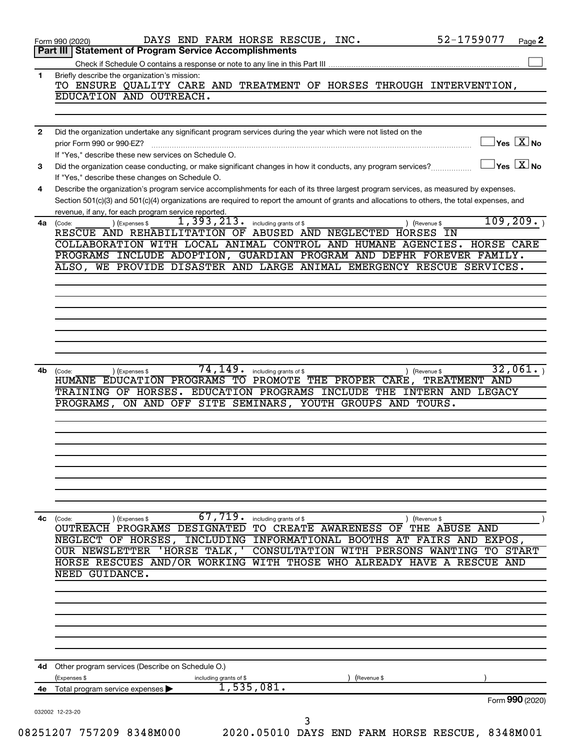|    | 52-1759077<br>DAYS END FARM HORSE RESCUE, INC.<br>Page 2<br>Form 990 (2020)                                                                                                                                                                                                          |
|----|--------------------------------------------------------------------------------------------------------------------------------------------------------------------------------------------------------------------------------------------------------------------------------------|
|    | <b>Statement of Program Service Accomplishments</b><br>Part III                                                                                                                                                                                                                      |
| 1  | Briefly describe the organization's mission:                                                                                                                                                                                                                                         |
|    | TO ENSURE QUALITY CARE AND TREATMENT OF HORSES THROUGH INTERVENTION,<br>EDUCATION AND OUTREACH.                                                                                                                                                                                      |
| 2  | Did the organization undertake any significant program services during the year which were not listed on the                                                                                                                                                                         |
|    | $\overline{\ }$ Yes $\overline{\rm X}$ No<br>prior Form 990 or 990-EZ?<br>If "Yes," describe these new services on Schedule O.                                                                                                                                                       |
| 3  | $\overline{\ }$ Yes $\overline{\rm X}$ No<br>Did the organization cease conducting, or make significant changes in how it conducts, any program services?<br>If "Yes," describe these changes on Schedule O.                                                                         |
| 4  | Describe the organization's program service accomplishments for each of its three largest program services, as measured by expenses.<br>Section 501(c)(3) and 501(c)(4) organizations are required to report the amount of grants and allocations to others, the total expenses, and |
| 4a | revenue, if any, for each program service reported<br>109, 209.<br>1,393,213.<br>including grants of \$<br>) (Revenue \$<br>(Code:<br>(Expenses \$<br>RESCUE AND REHABILITATION OF ABUSED AND NEGLECTED HORSES IN                                                                    |
|    | COLLABORATION WITH LOCAL ANIMAL CONTROL AND HUMANE AGENCIES. HORSE CARE                                                                                                                                                                                                              |
|    | PROGRAMS INCLUDE ADOPTION, GUARDIAN PROGRAM AND DEFHR FOREVER FAMILY.                                                                                                                                                                                                                |
|    | ALSO, WE PROVIDE DISASTER AND LARGE ANIMAL EMERGENCY RESCUE SERVICES.                                                                                                                                                                                                                |
|    |                                                                                                                                                                                                                                                                                      |
|    |                                                                                                                                                                                                                                                                                      |
|    |                                                                                                                                                                                                                                                                                      |
|    |                                                                                                                                                                                                                                                                                      |
|    | 74,149.<br>32,061.<br>including grants of \$                                                                                                                                                                                                                                         |
| 4b | (Expenses \$<br>(Revenue \$<br>(Code:<br>HUMANE EDUCATION PROGRAMS TO PROMOTE THE PROPER CARE, TREATMENT AND                                                                                                                                                                         |
|    | TRAINING OF HORSES. EDUCATION PROGRAMS INCLUDE THE INTERN AND LEGACY                                                                                                                                                                                                                 |
|    | PROGRAMS, ON AND OFF SITE SEMINARS, YOUTH GROUPS AND TOURS.                                                                                                                                                                                                                          |
|    |                                                                                                                                                                                                                                                                                      |
|    |                                                                                                                                                                                                                                                                                      |
|    |                                                                                                                                                                                                                                                                                      |
|    |                                                                                                                                                                                                                                                                                      |
|    |                                                                                                                                                                                                                                                                                      |
|    |                                                                                                                                                                                                                                                                                      |
| 4с | 67,719.<br>including grants of \$<br>(Code:<br>(Expenses \$<br>(Revenue \$                                                                                                                                                                                                           |
|    | OUTREACH PROGRAMS DESIGNATED TO CREATE AWARENESS OF<br>THE ABUSE AND                                                                                                                                                                                                                 |
|    | NEGLECT OF HORSES, INCLUDING INFORMATIONAL BOOTHS AT FAIRS AND EXPOS,                                                                                                                                                                                                                |
|    | 'HORSE TALK, ' CONSULTATION WITH PERSONS WANTING<br><b>OUR NEWSLETTER</b><br><b>TO START</b><br>HORSE RESCUES AND/OR WORKING WITH THOSE WHO ALREADY HAVE A RESCUE AND                                                                                                                |
|    | NEED GUIDANCE.                                                                                                                                                                                                                                                                       |
|    |                                                                                                                                                                                                                                                                                      |
|    |                                                                                                                                                                                                                                                                                      |
|    |                                                                                                                                                                                                                                                                                      |
|    |                                                                                                                                                                                                                                                                                      |
|    | 4d Other program services (Describe on Schedule O.)<br>(Expenses \$<br>(Revenue \$<br>including grants of \$                                                                                                                                                                         |
| 4e | 1,535,081.<br>Total program service expenses ▶                                                                                                                                                                                                                                       |
|    | Form 990 (2020)<br>032002 12-23-20                                                                                                                                                                                                                                                   |
|    | 3                                                                                                                                                                                                                                                                                    |
|    | 08251207 757209 8348M000<br>2020.05010 DAYS END FARM HORSE RESCUE, 8348M001                                                                                                                                                                                                          |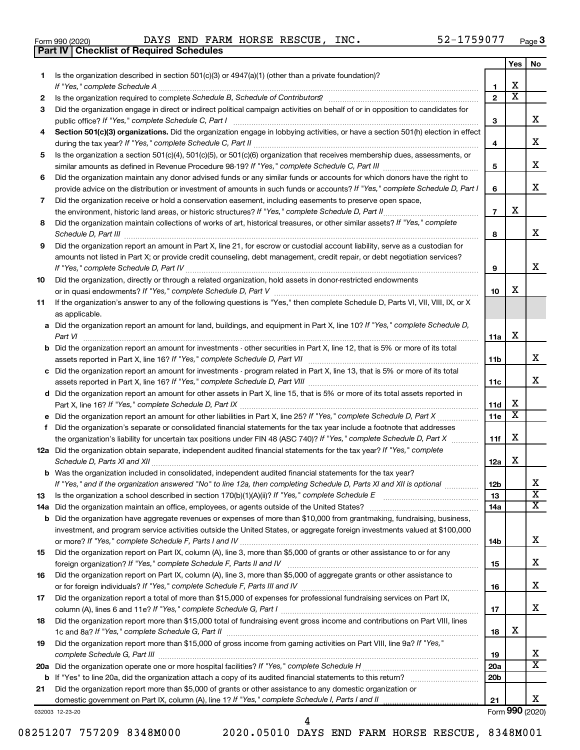|  | Form 990 (2020) |
|--|-----------------|
|  |                 |

**Part IV Checklist of Required Schedules**

Form 990 (2020) Page DAYS END FARM HORSE RESCUE, INC. 52-1759077

|     |                                                                                                                                       |                 | Yes                     | No                      |
|-----|---------------------------------------------------------------------------------------------------------------------------------------|-----------------|-------------------------|-------------------------|
| 1   | Is the organization described in section 501(c)(3) or $4947(a)(1)$ (other than a private foundation)?                                 |                 |                         |                         |
|     | If "Yes," complete Schedule A                                                                                                         | 1               | х                       |                         |
| 2   |                                                                                                                                       | $\overline{2}$  | $\overline{\textbf{x}}$ |                         |
| 3   | Did the organization engage in direct or indirect political campaign activities on behalf of or in opposition to candidates for       |                 |                         |                         |
|     |                                                                                                                                       | 3               |                         | x                       |
| 4   | Section 501(c)(3) organizations. Did the organization engage in lobbying activities, or have a section 501(h) election in effect      |                 |                         |                         |
|     |                                                                                                                                       | 4               |                         | x                       |
| 5   | Is the organization a section 501(c)(4), 501(c)(5), or 501(c)(6) organization that receives membership dues, assessments, or          |                 |                         |                         |
|     |                                                                                                                                       | 5               |                         | x                       |
| 6   | Did the organization maintain any donor advised funds or any similar funds or accounts for which donors have the right to             |                 |                         |                         |
|     | provide advice on the distribution or investment of amounts in such funds or accounts? If "Yes," complete Schedule D, Part I          | 6               |                         | x                       |
| 7   | Did the organization receive or hold a conservation easement, including easements to preserve open space,                             |                 |                         |                         |
|     | the environment, historic land areas, or historic structures? If "Yes," complete Schedule D, Part II                                  | $\overline{7}$  | X                       |                         |
|     | .                                                                                                                                     |                 |                         |                         |
| 8   | Did the organization maintain collections of works of art, historical treasures, or other similar assets? If "Yes," complete          |                 |                         | x                       |
|     |                                                                                                                                       | 8               |                         |                         |
| 9   | Did the organization report an amount in Part X, line 21, for escrow or custodial account liability, serve as a custodian for         |                 |                         |                         |
|     | amounts not listed in Part X; or provide credit counseling, debt management, credit repair, or debt negotiation services?             |                 |                         |                         |
|     |                                                                                                                                       | 9               |                         | х                       |
| 10  | Did the organization, directly or through a related organization, hold assets in donor-restricted endowments                          |                 |                         |                         |
|     |                                                                                                                                       | 10              | х                       |                         |
| 11  | If the organization's answer to any of the following questions is "Yes," then complete Schedule D, Parts VI, VII, VIII, IX, or X      |                 |                         |                         |
|     | as applicable.                                                                                                                        |                 |                         |                         |
|     | a Did the organization report an amount for land, buildings, and equipment in Part X, line 10? If "Yes," complete Schedule D,         |                 |                         |                         |
|     | Part VI                                                                                                                               | 11a             | X                       |                         |
|     | <b>b</b> Did the organization report an amount for investments - other securities in Part X, line 12, that is 5% or more of its total |                 |                         |                         |
|     |                                                                                                                                       | 11b             |                         | x                       |
|     | c Did the organization report an amount for investments - program related in Part X, line 13, that is 5% or more of its total         |                 |                         |                         |
|     |                                                                                                                                       | 11c             |                         | x                       |
|     | d Did the organization report an amount for other assets in Part X, line 15, that is 5% or more of its total assets reported in       |                 |                         |                         |
|     |                                                                                                                                       | 11d             | х                       |                         |
|     |                                                                                                                                       | 11e             | $\overline{\textbf{x}}$ |                         |
|     | f Did the organization's separate or consolidated financial statements for the tax year include a footnote that addresses             |                 |                         |                         |
|     | the organization's liability for uncertain tax positions under FIN 48 (ASC 740)? If "Yes," complete Schedule D, Part X                | 11f             | X                       |                         |
|     | 12a Did the organization obtain separate, independent audited financial statements for the tax year? If "Yes," complete               |                 |                         |                         |
|     | Schedule D, Parts XI and XII                                                                                                          | 12a             | х                       |                         |
|     | <b>b</b> Was the organization included in consolidated, independent audited financial statements for the tax year?                    |                 |                         |                         |
|     | If "Yes," and if the organization answered "No" to line 12a, then completing Schedule D, Parts XI and XII is optional                 | 12 <sub>b</sub> |                         | ▵                       |
| 13  |                                                                                                                                       | 13              |                         | $\overline{\texttt{x}}$ |
| 14a | Did the organization maintain an office, employees, or agents outside of the United States?                                           | 14a             |                         | х                       |
| b   | Did the organization have aggregate revenues or expenses of more than \$10,000 from grantmaking, fundraising, business,               |                 |                         |                         |
|     | investment, and program service activities outside the United States, or aggregate foreign investments valued at \$100,000            |                 |                         |                         |
|     |                                                                                                                                       | 14b             |                         | x                       |
| 15  | Did the organization report on Part IX, column (A), line 3, more than \$5,000 of grants or other assistance to or for any             |                 |                         |                         |
|     |                                                                                                                                       | 15              |                         | x                       |
| 16  | Did the organization report on Part IX, column (A), line 3, more than \$5,000 of aggregate grants or other assistance to              |                 |                         |                         |
|     |                                                                                                                                       | 16              |                         | x                       |
| 17  | Did the organization report a total of more than \$15,000 of expenses for professional fundraising services on Part IX,               |                 |                         |                         |
|     |                                                                                                                                       |                 |                         | x                       |
|     |                                                                                                                                       | 17              |                         |                         |
| 18  | Did the organization report more than \$15,000 total of fundraising event gross income and contributions on Part VIII, lines          |                 | х                       |                         |
|     |                                                                                                                                       | 18              |                         |                         |
| 19  | Did the organization report more than \$15,000 of gross income from gaming activities on Part VIII, line 9a? If "Yes,"                |                 |                         | х                       |
|     | complete Schedule G, Part III                                                                                                         | 19              |                         | X                       |
|     |                                                                                                                                       | 20a             |                         |                         |
| b   |                                                                                                                                       | 20 <sub>b</sub> |                         |                         |
| 21  | Did the organization report more than \$5,000 of grants or other assistance to any domestic organization or                           |                 |                         |                         |
|     |                                                                                                                                       | 21              |                         | x                       |
|     | 032003 12-23-20                                                                                                                       |                 |                         | Form 990 (2020)         |

08251207 757209 8348M000 2020.05010 DAYS END FARM HORSE RESCUE, 8348M001 4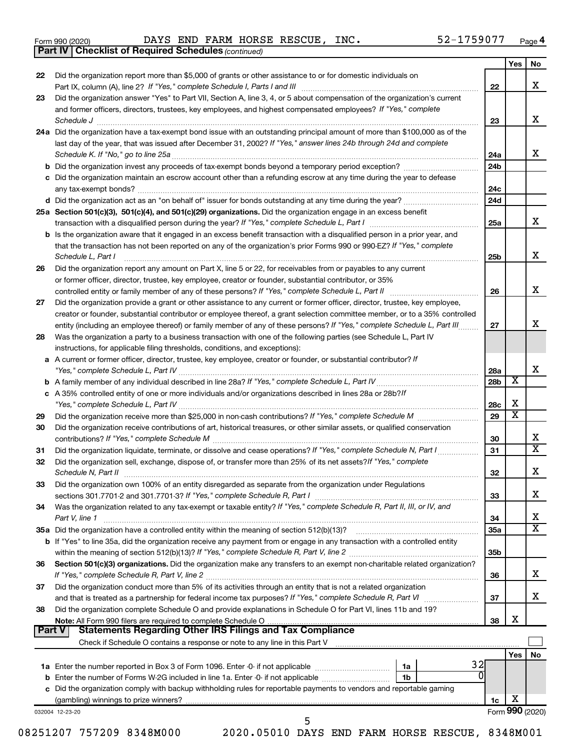|  | Form 990 (2020) |  |
|--|-----------------|--|
|  |                 |  |

*(continued)* **Part IV Checklist of Required Schedules**

Form 990 (2020) Page DAYS END FARM HORSE RESCUE, INC. 52-1759077

|        |                                                                                                                                                                                                                                                                                                                                                                                                                                                                  |                 | Yes                     | No                      |
|--------|------------------------------------------------------------------------------------------------------------------------------------------------------------------------------------------------------------------------------------------------------------------------------------------------------------------------------------------------------------------------------------------------------------------------------------------------------------------|-----------------|-------------------------|-------------------------|
| 22     | Did the organization report more than \$5,000 of grants or other assistance to or for domestic individuals on                                                                                                                                                                                                                                                                                                                                                    |                 |                         |                         |
|        |                                                                                                                                                                                                                                                                                                                                                                                                                                                                  | 22              |                         | x                       |
| 23     | Did the organization answer "Yes" to Part VII, Section A, line 3, 4, or 5 about compensation of the organization's current                                                                                                                                                                                                                                                                                                                                       |                 |                         |                         |
|        | and former officers, directors, trustees, key employees, and highest compensated employees? If "Yes," complete                                                                                                                                                                                                                                                                                                                                                   |                 |                         |                         |
|        | $\textit{Schedule J} \label{eq:1} \vspace{-0.1cm} \begin{minipage}{0.9cm} \begin{minipage}{0.9cm} \begin{minipage}{0.9cm} \begin{minipage}{0.9cm} \begin{minipage}{0.9cm} \begin{minipage}{0.9cm} \begin{minipage}{0.9cm} \begin{minipage}{0.9cm} \begin{minipage}{0.9cm} \begin{minipage}{0.9cm} \begin{minipage}{0.9cm} \end{minipage} \end{minipage} \end{minipage}} \end{minipage} \end{minipage} \end{minipage} \begin{minipage}{0.9cm} \begin{minipage}{0$ | 23              |                         | x                       |
|        | 24a Did the organization have a tax-exempt bond issue with an outstanding principal amount of more than \$100,000 as of the                                                                                                                                                                                                                                                                                                                                      |                 |                         |                         |
|        | last day of the year, that was issued after December 31, 2002? If "Yes," answer lines 24b through 24d and complete                                                                                                                                                                                                                                                                                                                                               |                 |                         |                         |
|        | Schedule K. If "No," go to line 25a                                                                                                                                                                                                                                                                                                                                                                                                                              | 24a             |                         | x                       |
|        |                                                                                                                                                                                                                                                                                                                                                                                                                                                                  | 24 <sub>b</sub> |                         |                         |
|        | c Did the organization maintain an escrow account other than a refunding escrow at any time during the year to defease                                                                                                                                                                                                                                                                                                                                           |                 |                         |                         |
|        | any tax-exempt bonds?                                                                                                                                                                                                                                                                                                                                                                                                                                            | 24c             |                         |                         |
|        |                                                                                                                                                                                                                                                                                                                                                                                                                                                                  | 24d             |                         |                         |
|        | 25a Section 501(c)(3), 501(c)(4), and 501(c)(29) organizations. Did the organization engage in an excess benefit                                                                                                                                                                                                                                                                                                                                                 |                 |                         |                         |
|        |                                                                                                                                                                                                                                                                                                                                                                                                                                                                  | 25a             |                         | x                       |
|        | b Is the organization aware that it engaged in an excess benefit transaction with a disqualified person in a prior year, and                                                                                                                                                                                                                                                                                                                                     |                 |                         |                         |
|        | that the transaction has not been reported on any of the organization's prior Forms 990 or 990-EZ? If "Yes," complete                                                                                                                                                                                                                                                                                                                                            |                 |                         | х                       |
|        | Schedule L, Part I                                                                                                                                                                                                                                                                                                                                                                                                                                               | 25b             |                         |                         |
| 26     | Did the organization report any amount on Part X, line 5 or 22, for receivables from or payables to any current                                                                                                                                                                                                                                                                                                                                                  |                 |                         |                         |
|        | or former officer, director, trustee, key employee, creator or founder, substantial contributor, or 35%                                                                                                                                                                                                                                                                                                                                                          |                 |                         | x                       |
|        | controlled entity or family member of any of these persons? If "Yes," complete Schedule L, Part II                                                                                                                                                                                                                                                                                                                                                               | 26              |                         |                         |
| 27     | Did the organization provide a grant or other assistance to any current or former officer, director, trustee, key employee,                                                                                                                                                                                                                                                                                                                                      |                 |                         |                         |
|        | creator or founder, substantial contributor or employee thereof, a grant selection committee member, or to a 35% controlled<br>entity (including an employee thereof) or family member of any of these persons? If "Yes," complete Schedule L, Part III                                                                                                                                                                                                          | 27              |                         | x                       |
| 28     | Was the organization a party to a business transaction with one of the following parties (see Schedule L, Part IV                                                                                                                                                                                                                                                                                                                                                |                 |                         |                         |
|        | instructions, for applicable filing thresholds, conditions, and exceptions):                                                                                                                                                                                                                                                                                                                                                                                     |                 |                         |                         |
|        | a A current or former officer, director, trustee, key employee, creator or founder, or substantial contributor? If                                                                                                                                                                                                                                                                                                                                               |                 |                         |                         |
|        |                                                                                                                                                                                                                                                                                                                                                                                                                                                                  | 28a             |                         | х                       |
|        |                                                                                                                                                                                                                                                                                                                                                                                                                                                                  | 28 <sub>b</sub> | х                       |                         |
|        | c A 35% controlled entity of one or more individuals and/or organizations described in lines 28a or 28b?If                                                                                                                                                                                                                                                                                                                                                       |                 |                         |                         |
|        |                                                                                                                                                                                                                                                                                                                                                                                                                                                                  | 28c             | х                       |                         |
| 29     |                                                                                                                                                                                                                                                                                                                                                                                                                                                                  | 29              | $\overline{\textbf{x}}$ |                         |
| 30     | Did the organization receive contributions of art, historical treasures, or other similar assets, or qualified conservation                                                                                                                                                                                                                                                                                                                                      |                 |                         |                         |
|        |                                                                                                                                                                                                                                                                                                                                                                                                                                                                  | 30              |                         | x                       |
| 31     | Did the organization liquidate, terminate, or dissolve and cease operations? If "Yes," complete Schedule N, Part I                                                                                                                                                                                                                                                                                                                                               | 31              |                         | $\overline{\texttt{x}}$ |
| 32     | Did the organization sell, exchange, dispose of, or transfer more than 25% of its net assets? If "Yes," complete                                                                                                                                                                                                                                                                                                                                                 |                 |                         |                         |
|        | Schedule N, Part II                                                                                                                                                                                                                                                                                                                                                                                                                                              | 32              |                         | x                       |
| 33     | Did the organization own 100% of an entity disregarded as separate from the organization under Regulations                                                                                                                                                                                                                                                                                                                                                       |                 |                         |                         |
|        |                                                                                                                                                                                                                                                                                                                                                                                                                                                                  | 33              |                         | х                       |
| 34     | Was the organization related to any tax-exempt or taxable entity? If "Yes," complete Schedule R, Part II, III, or IV, and                                                                                                                                                                                                                                                                                                                                        |                 |                         |                         |
|        | Part V, line 1                                                                                                                                                                                                                                                                                                                                                                                                                                                   | 34              |                         | х                       |
|        |                                                                                                                                                                                                                                                                                                                                                                                                                                                                  | 35a             |                         | $\overline{\text{X}}$   |
|        | b If "Yes" to line 35a, did the organization receive any payment from or engage in any transaction with a controlled entity                                                                                                                                                                                                                                                                                                                                      |                 |                         |                         |
|        |                                                                                                                                                                                                                                                                                                                                                                                                                                                                  | 35b             |                         |                         |
| 36     | Section 501(c)(3) organizations. Did the organization make any transfers to an exempt non-charitable related organization?                                                                                                                                                                                                                                                                                                                                       |                 |                         |                         |
|        |                                                                                                                                                                                                                                                                                                                                                                                                                                                                  | 36              |                         | x                       |
| 37     | Did the organization conduct more than 5% of its activities through an entity that is not a related organization                                                                                                                                                                                                                                                                                                                                                 |                 |                         |                         |
|        | and that is treated as a partnership for federal income tax purposes? If "Yes," complete Schedule R, Part VI                                                                                                                                                                                                                                                                                                                                                     | 37              |                         | х                       |
| 38     | Did the organization complete Schedule O and provide explanations in Schedule O for Part VI, lines 11b and 19?                                                                                                                                                                                                                                                                                                                                                   |                 | х                       |                         |
| Part V | <b>Statements Regarding Other IRS Filings and Tax Compliance</b>                                                                                                                                                                                                                                                                                                                                                                                                 | 38              |                         |                         |
|        |                                                                                                                                                                                                                                                                                                                                                                                                                                                                  |                 |                         |                         |
|        |                                                                                                                                                                                                                                                                                                                                                                                                                                                                  |                 | Yes                     | No                      |
|        | 32<br>1a                                                                                                                                                                                                                                                                                                                                                                                                                                                         |                 |                         |                         |
|        | $\Omega$<br>b Enter the number of Forms W-2G included in line 1a. Enter -0- if not applicable<br>1b                                                                                                                                                                                                                                                                                                                                                              |                 |                         |                         |
|        | c Did the organization comply with backup withholding rules for reportable payments to vendors and reportable gaming                                                                                                                                                                                                                                                                                                                                             |                 |                         |                         |
|        |                                                                                                                                                                                                                                                                                                                                                                                                                                                                  | 1c              | х                       |                         |
|        | 032004 12-23-20                                                                                                                                                                                                                                                                                                                                                                                                                                                  |                 |                         | Form 990 (2020)         |
|        | 5                                                                                                                                                                                                                                                                                                                                                                                                                                                                |                 |                         |                         |

08251207 757209 8348M000 2020.05010 DAYS END FARM HORSE RESCUE, 8348M001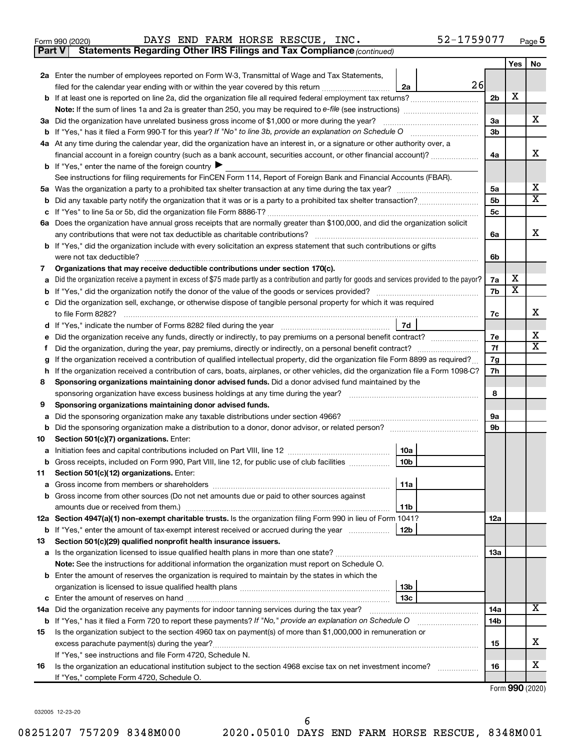|  | Form 990 (2020) |
|--|-----------------|
|  |                 |

**Part V** Statements Regarding Other IRS Filings and Tax Compliance (continued)

|    |                                                                                                                                                                                                                                  |                | Yes                     | No                      |
|----|----------------------------------------------------------------------------------------------------------------------------------------------------------------------------------------------------------------------------------|----------------|-------------------------|-------------------------|
|    | 2a Enter the number of employees reported on Form W-3, Transmittal of Wage and Tax Statements,                                                                                                                                   |                |                         |                         |
|    | 26<br>filed for the calendar year ending with or within the year covered by this return<br>2a                                                                                                                                    |                |                         |                         |
|    |                                                                                                                                                                                                                                  | 2b             | x                       |                         |
|    | <b>Note:</b> If the sum of lines 1a and 2a is greater than 250, you may be required to e-file (see instructions) <i>managererous</i>                                                                                             |                |                         |                         |
|    | 3a Did the organization have unrelated business gross income of \$1,000 or more during the year?                                                                                                                                 | За             |                         | x                       |
|    |                                                                                                                                                                                                                                  | 3b             |                         |                         |
|    | 4a At any time during the calendar year, did the organization have an interest in, or a signature or other authority over, a                                                                                                     |                |                         |                         |
|    | financial account in a foreign country (such as a bank account, securities account, or other financial account)?                                                                                                                 | 4a             |                         | X.                      |
|    | <b>b</b> If "Yes," enter the name of the foreign country $\blacktriangleright$                                                                                                                                                   |                |                         |                         |
|    | See instructions for filing requirements for FinCEN Form 114, Report of Foreign Bank and Financial Accounts (FBAR).                                                                                                              |                |                         |                         |
|    |                                                                                                                                                                                                                                  | 5a             |                         | x                       |
|    |                                                                                                                                                                                                                                  | 5b             |                         | $\overline{\mathbf{X}}$ |
|    |                                                                                                                                                                                                                                  | 5 <sub>c</sub> |                         |                         |
|    | 6a Does the organization have annual gross receipts that are normally greater than \$100,000, and did the organization solicit                                                                                                   |                |                         | x                       |
|    | any contributions that were not tax deductible as charitable contributions?                                                                                                                                                      | 6a             |                         |                         |
|    | b If "Yes," did the organization include with every solicitation an express statement that such contributions or gifts                                                                                                           |                |                         |                         |
|    | were not tax deductible?                                                                                                                                                                                                         | 6b             |                         |                         |
| 7  | Organizations that may receive deductible contributions under section 170(c).<br>Did the organization receive a payment in excess of \$75 made partly as a contribution and partly for goods and services provided to the payor? | 7a             | х                       |                         |
| a  |                                                                                                                                                                                                                                  | 7b             | $\overline{\textbf{x}}$ |                         |
|    | c Did the organization sell, exchange, or otherwise dispose of tangible personal property for which it was required                                                                                                              |                |                         |                         |
|    | to file Form 8282?                                                                                                                                                                                                               | 7c             |                         | x                       |
|    | 7d                                                                                                                                                                                                                               |                |                         |                         |
| е  | Did the organization receive any funds, directly or indirectly, to pay premiums on a personal benefit contract?                                                                                                                  | 7e             |                         | х                       |
|    |                                                                                                                                                                                                                                  | 7f             |                         | X                       |
| g  | If the organization received a contribution of qualified intellectual property, did the organization file Form 8899 as required?                                                                                                 | 7g             |                         |                         |
| h. | If the organization received a contribution of cars, boats, airplanes, or other vehicles, did the organization file a Form 1098-C?                                                                                               | 7h             |                         |                         |
| 8  | Sponsoring organizations maintaining donor advised funds. Did a donor advised fund maintained by the                                                                                                                             |                |                         |                         |
|    | sponsoring organization have excess business holdings at any time during the year?                                                                                                                                               | 8              |                         |                         |
| 9  | Sponsoring organizations maintaining donor advised funds.                                                                                                                                                                        |                |                         |                         |
| а  | Did the sponsoring organization make any taxable distributions under section 4966?                                                                                                                                               | 9а             |                         |                         |
| b  |                                                                                                                                                                                                                                  | 9b             |                         |                         |
| 10 | Section 501(c)(7) organizations. Enter:                                                                                                                                                                                          |                |                         |                         |
| а  | 10a                                                                                                                                                                                                                              |                |                         |                         |
| b  | 10 <sub>b</sub><br>Gross receipts, included on Form 990, Part VIII, line 12, for public use of club facilities <i>manumum</i>                                                                                                    |                |                         |                         |
| 11 | Section 501(c)(12) organizations. Enter:                                                                                                                                                                                         |                |                         |                         |
|    | 11a                                                                                                                                                                                                                              |                |                         |                         |
|    | <b>b</b> Gross income from other sources (Do not net amounts due or paid to other sources against                                                                                                                                |                |                         |                         |
|    | amounts due or received from them.)<br>11b<br>12a Section 4947(a)(1) non-exempt charitable trusts. Is the organization filing Form 990 in lieu of Form 1041?                                                                     | 12a            |                         |                         |
|    | <b>b</b> If "Yes," enter the amount of tax-exempt interest received or accrued during the year<br>12b                                                                                                                            |                |                         |                         |
| 13 | Section 501(c)(29) qualified nonprofit health insurance issuers.                                                                                                                                                                 |                |                         |                         |
|    | a Is the organization licensed to issue qualified health plans in more than one state?                                                                                                                                           | 13a            |                         |                         |
|    | Note: See the instructions for additional information the organization must report on Schedule O.                                                                                                                                |                |                         |                         |
|    | <b>b</b> Enter the amount of reserves the organization is required to maintain by the states in which the                                                                                                                        |                |                         |                         |
|    | 13 <sub>b</sub>                                                                                                                                                                                                                  |                |                         |                         |
|    | 13с<br><b>c</b> Enter the amount of reserves on hand                                                                                                                                                                             |                |                         |                         |
|    | 14a Did the organization receive any payments for indoor tanning services during the tax year?                                                                                                                                   | 14a            |                         | x                       |
|    | <b>b</b> If "Yes," has it filed a Form 720 to report these payments? If "No," provide an explanation on Schedule O                                                                                                               | 14b            |                         |                         |
| 15 | Is the organization subject to the section 4960 tax on payment(s) of more than \$1,000,000 in remuneration or                                                                                                                    |                |                         |                         |
|    | excess parachute payment(s) during the year?                                                                                                                                                                                     | 15             |                         | x                       |
|    | If "Yes," see instructions and file Form 4720, Schedule N.                                                                                                                                                                       |                |                         |                         |
| 16 | Is the organization an educational institution subject to the section 4968 excise tax on net investment income?                                                                                                                  | 16             |                         | х                       |
|    | If "Yes," complete Form 4720, Schedule O.                                                                                                                                                                                        |                |                         |                         |

Form (2020) **990**

032005 12-23-20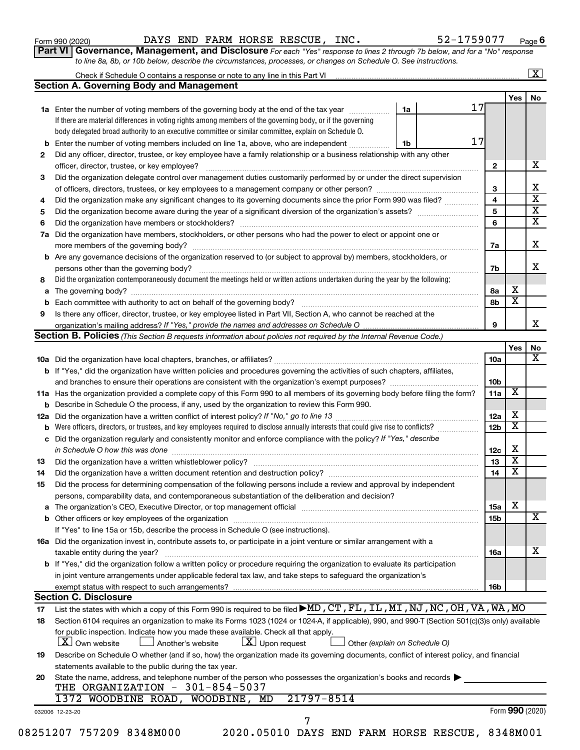| Form 990 (2020) |
|-----------------|
|-----------------|

Form 990 (2020) Page DAYS END FARM HORSE RESCUE, INC. 52-1759077

**Part VI** Governance, Management, and Disclosure For each "Yes" response to lines 2 through 7b below, and for a "No" response *to line 8a, 8b, or 10b below, describe the circumstances, processes, or changes on Schedule O. See instructions.*

|     | Check if Schedule O contains a response or note to any line in this Part VI                                                                                                                                                    |    |    |                 |                 | $\mathbf{X}$            |
|-----|--------------------------------------------------------------------------------------------------------------------------------------------------------------------------------------------------------------------------------|----|----|-----------------|-----------------|-------------------------|
|     | <b>Section A. Governing Body and Management</b>                                                                                                                                                                                |    |    |                 |                 |                         |
|     |                                                                                                                                                                                                                                |    |    |                 | Yes             | No                      |
|     | <b>1a</b> Enter the number of voting members of the governing body at the end of the tax year                                                                                                                                  | 1a | 17 |                 |                 |                         |
|     | If there are material differences in voting rights among members of the governing body, or if the governing                                                                                                                    |    |    |                 |                 |                         |
|     | body delegated broad authority to an executive committee or similar committee, explain on Schedule O.                                                                                                                          |    |    |                 |                 |                         |
| b   | Enter the number of voting members included on line 1a, above, who are independent                                                                                                                                             | 1b | 17 |                 |                 |                         |
| 2   | Did any officer, director, trustee, or key employee have a family relationship or a business relationship with any other                                                                                                       |    |    |                 |                 |                         |
|     | officer, director, trustee, or key employee?                                                                                                                                                                                   |    |    | $\mathbf{2}$    |                 | x                       |
| 3   | Did the organization delegate control over management duties customarily performed by or under the direct supervision                                                                                                          |    |    |                 |                 |                         |
|     |                                                                                                                                                                                                                                |    |    | 3               |                 | X                       |
| 4   | Did the organization make any significant changes to its governing documents since the prior Form 990 was filed?                                                                                                               |    |    | 4               |                 | $\overline{\textbf{x}}$ |
| 5   |                                                                                                                                                                                                                                |    |    | 5               |                 | $\overline{\mathbf{X}}$ |
| 6   |                                                                                                                                                                                                                                |    |    | 6               |                 | $\overline{\textbf{x}}$ |
| 7a  | Did the organization have members, stockholders, or other persons who had the power to elect or appoint one or                                                                                                                 |    |    |                 |                 |                         |
|     |                                                                                                                                                                                                                                |    |    | 7a              |                 | X                       |
| b   | Are any governance decisions of the organization reserved to (or subject to approval by) members, stockholders, or                                                                                                             |    |    |                 |                 |                         |
|     |                                                                                                                                                                                                                                |    |    | 7b              |                 | X                       |
| 8   | Did the organization contemporaneously document the meetings held or written actions undertaken during the year by the following:                                                                                              |    |    |                 |                 |                         |
| a   |                                                                                                                                                                                                                                |    |    | 8а              | х               |                         |
| b   |                                                                                                                                                                                                                                |    |    | 8b              | х               |                         |
| 9   | Is there any officer, director, trustee, or key employee listed in Part VII, Section A, who cannot be reached at the                                                                                                           |    |    |                 |                 |                         |
|     |                                                                                                                                                                                                                                |    |    | 9               |                 | x                       |
|     | Section B. Policies (This Section B requests information about policies not required by the Internal Revenue Code.)                                                                                                            |    |    |                 |                 |                         |
|     |                                                                                                                                                                                                                                |    |    |                 | Yes             | No                      |
|     |                                                                                                                                                                                                                                |    |    | 10a             |                 | $\overline{\text{X}}$   |
|     |                                                                                                                                                                                                                                |    |    |                 |                 |                         |
|     | <b>b</b> If "Yes," did the organization have written policies and procedures governing the activities of such chapters, affiliates,                                                                                            |    |    |                 |                 |                         |
|     |                                                                                                                                                                                                                                |    |    | 10 <sub>b</sub> | X               |                         |
|     | 11a Has the organization provided a complete copy of this Form 990 to all members of its governing body before filing the form?                                                                                                |    |    | 11a             |                 |                         |
|     | <b>b</b> Describe in Schedule O the process, if any, used by the organization to review this Form 990.                                                                                                                         |    |    |                 | х               |                         |
| 12a |                                                                                                                                                                                                                                |    |    | 12a             | X               |                         |
| b   | Were officers, directors, or trustees, and key employees required to disclose annually interests that could give rise to conflicts?                                                                                            |    |    | 12 <sub>b</sub> |                 |                         |
| с   | Did the organization regularly and consistently monitor and enforce compliance with the policy? If "Yes," describe                                                                                                             |    |    |                 |                 |                         |
|     | in Schedule O how this was done manufactured and continuum and contact the way to the set of the set of the schedule O how this was done                                                                                       |    |    | 12 <sub>c</sub> | х               |                         |
| 13  |                                                                                                                                                                                                                                |    |    | 13              | X               |                         |
| 14  | Did the organization have a written document retention and destruction policy? [11] manufaction manufaction in                                                                                                                 |    |    | 14              | X               |                         |
| 15  | Did the process for determining compensation of the following persons include a review and approval by independent                                                                                                             |    |    |                 |                 |                         |
|     | persons, comparability data, and contemporaneous substantiation of the deliberation and decision?                                                                                                                              |    |    |                 |                 |                         |
|     | a The organization's CEO, Executive Director, or top management official manufactured content content of the organization's CEO, Executive Director, or top management official manufactured content of the state of the state |    |    | 15a             | х               |                         |
|     |                                                                                                                                                                                                                                |    |    | 15b             |                 | X                       |
|     | If "Yes" to line 15a or 15b, describe the process in Schedule O (see instructions).                                                                                                                                            |    |    |                 |                 |                         |
|     | 16a Did the organization invest in, contribute assets to, or participate in a joint venture or similar arrangement with a                                                                                                      |    |    |                 |                 |                         |
|     | taxable entity during the year?                                                                                                                                                                                                |    |    | 16a             |                 | х                       |
|     | b If "Yes," did the organization follow a written policy or procedure requiring the organization to evaluate its participation                                                                                                 |    |    |                 |                 |                         |
|     | in joint venture arrangements under applicable federal tax law, and take steps to safeguard the organization's                                                                                                                 |    |    |                 |                 |                         |
|     | exempt status with respect to such arrangements?                                                                                                                                                                               |    |    | 16b             |                 |                         |
|     | <b>Section C. Disclosure</b>                                                                                                                                                                                                   |    |    |                 |                 |                         |
| 17  | List the states with which a copy of this Form 990 is required to be filed MD, CT, FL, IL, MI, NJ, NC, OH, VA, WA, MO                                                                                                          |    |    |                 |                 |                         |
| 18  | Section 6104 requires an organization to make its Forms 1023 (1024 or 1024-A, if applicable), 990, and 990-T (Section 501(c)(3)s only) available                                                                               |    |    |                 |                 |                         |
|     | for public inspection. Indicate how you made these available. Check all that apply.                                                                                                                                            |    |    |                 |                 |                         |
|     | $\lfloor x \rfloor$ Upon request<br><b>X</b> Own website<br>Another's website<br>Other (explain on Schedule O)                                                                                                                 |    |    |                 |                 |                         |
| 19  | Describe on Schedule O whether (and if so, how) the organization made its governing documents, conflict of interest policy, and financial                                                                                      |    |    |                 |                 |                         |
|     | statements available to the public during the tax year.                                                                                                                                                                        |    |    |                 |                 |                         |
| 20  | State the name, address, and telephone number of the person who possesses the organization's books and records                                                                                                                 |    |    |                 |                 |                         |
|     | THE ORGANIZATION - 301-854-5037                                                                                                                                                                                                |    |    |                 |                 |                         |
|     | 1372 WOODBINE ROAD, WOODBINE, MD<br>21797-8514                                                                                                                                                                                 |    |    |                 |                 |                         |
|     | 032006 12-23-20                                                                                                                                                                                                                |    |    |                 | Form 990 (2020) |                         |
|     | 7                                                                                                                                                                                                                              |    |    |                 |                 |                         |
|     | 08251207 757209 8348M000<br>2020.05010 DAYS END FARM HORSE RESCUE, 8348M001                                                                                                                                                    |    |    |                 |                 |                         |
|     |                                                                                                                                                                                                                                |    |    |                 |                 |                         |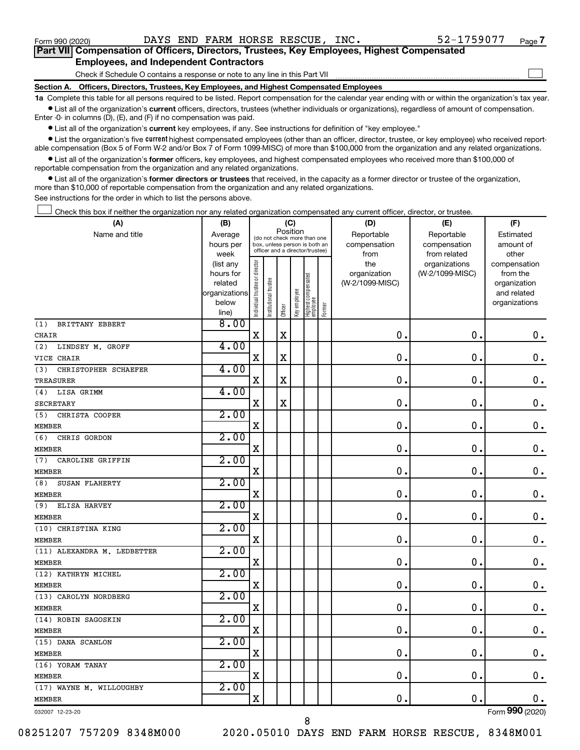$\Box$ 

| Part VII Compensation of Officers, Directors, Trustees, Key Employees, Highest Compensated |  |
|--------------------------------------------------------------------------------------------|--|
| <b>Employees, and Independent Contractors</b>                                              |  |

Check if Schedule O contains a response or note to any line in this Part VII

**Section A. Officers, Directors, Trustees, Key Employees, and Highest Compensated Employees**

**1a**  Complete this table for all persons required to be listed. Report compensation for the calendar year ending with or within the organization's tax year.  $\bullet$  List all of the organization's current officers, directors, trustees (whether individuals or organizations), regardless of amount of compensation.

Enter -0- in columns (D), (E), and (F) if no compensation was paid.

**•** List all of the organization's current key employees, if any. See instructions for definition of "key employee."

• List the organization's five *current* highest compensated employees (other than an officer, director, trustee, or key employee) who received reportable compensation (Box 5 of Form W-2 and/or Box 7 of Form 1099-MISC) of more than \$100,000 from the organization and any related organizations.

 $\bullet$  List all of the organization's former officers, key employees, and highest compensated employees who received more than \$100,000 of reportable compensation from the organization and any related organizations.

**•** List all of the organization's former directors or trustees that received, in the capacity as a former director or trustee of the organization, more than \$10,000 of reportable compensation from the organization and any related organizations.

See instructions for the order in which to list the persons above.

Check this box if neither the organization nor any related organization compensated any current officer, director, or trustee.  $\Box$ 

| (A)                         | (B)                  |                                |                                                                  | (C)         |              |                                   |        | (D)                             | (E)             | (F)                      |
|-----------------------------|----------------------|--------------------------------|------------------------------------------------------------------|-------------|--------------|-----------------------------------|--------|---------------------------------|-----------------|--------------------------|
| Name and title              | Average              |                                | (do not check more than one                                      | Position    |              |                                   |        | Reportable                      | Reportable      | Estimated                |
|                             | hours per            |                                | box, unless person is both an<br>officer and a director/trustee) |             |              |                                   |        | compensation                    | compensation    | amount of                |
|                             | week                 |                                |                                                                  |             |              |                                   |        | from                            | from related    | other                    |
|                             | (list any            |                                |                                                                  |             |              |                                   |        | the                             | organizations   | compensation             |
|                             | hours for<br>related |                                |                                                                  |             |              |                                   |        | organization<br>(W-2/1099-MISC) | (W-2/1099-MISC) | from the<br>organization |
|                             | organizations        |                                |                                                                  |             |              |                                   |        |                                 |                 | and related              |
|                             | below                |                                |                                                                  |             |              |                                   |        |                                 |                 | organizations            |
|                             | line)                | Individual trustee or director | nstitutional trustee                                             | Officer     | Key employee | Highest compensated<br>  employee | Former |                                 |                 |                          |
| BRITTANY EBBERT<br>(1)      | 8.00                 |                                |                                                                  |             |              |                                   |        |                                 |                 |                          |
| <b>CHAIR</b>                |                      | $\mathbf x$                    |                                                                  | $\mathbf X$ |              |                                   |        | 0.                              | $\mathbf 0$ .   | 0.                       |
| LINDSEY M. GROFF<br>(2)     | 4.00                 |                                |                                                                  |             |              |                                   |        |                                 |                 |                          |
| VICE CHAIR                  |                      | $\mathbf X$                    |                                                                  | $\mathbf X$ |              |                                   |        | $\mathbf 0$ .                   | $\mathbf 0$ .   | $\mathbf 0$ .            |
| (3)<br>CHRISTOPHER SCHAEFER | 4.00                 |                                |                                                                  |             |              |                                   |        |                                 |                 |                          |
| <b>TREASURER</b>            |                      | X                              |                                                                  | X           |              |                                   |        | $\mathbf 0$ .                   | 0.              | 0.                       |
| LISA GRIMM<br>(4)           | 4.00                 |                                |                                                                  |             |              |                                   |        |                                 |                 |                          |
| <b>SECRETARY</b>            |                      | $\mathbf X$                    |                                                                  | $\mathbf X$ |              |                                   |        | $\mathbf 0$ .                   | $\mathbf 0$ .   | $\boldsymbol{0}$ .       |
| (5)<br>CHRISTA COOPER       | 2.00                 |                                |                                                                  |             |              |                                   |        |                                 |                 |                          |
| <b>MEMBER</b>               |                      | X                              |                                                                  |             |              |                                   |        | $\mathbf 0$ .                   | $\mathbf 0$ .   | $\mathbf 0$ .            |
| CHRIS GORDON<br>(6)         | 2.00                 |                                |                                                                  |             |              |                                   |        |                                 |                 |                          |
| <b>MEMBER</b>               |                      | X                              |                                                                  |             |              |                                   |        | $\mathbf 0$ .                   | $\mathbf 0$ .   | $\mathbf 0$ .            |
| (7)<br>CAROLINE GRIFFIN     | 2.00                 |                                |                                                                  |             |              |                                   |        |                                 |                 |                          |
| <b>MEMBER</b>               |                      | X                              |                                                                  |             |              |                                   |        | $\mathbf 0$ .                   | $\mathbf 0$ .   | $\mathbf 0$ .            |
| SUSAN FLAHERTY<br>(8)       | 2.00                 |                                |                                                                  |             |              |                                   |        |                                 |                 |                          |
| <b>MEMBER</b>               |                      | X                              |                                                                  |             |              |                                   |        | $\mathbf 0$ .                   | $\mathbf 0$ .   | $\mathbf 0$ .            |
| ELISA HARVEY<br>(9)         | 2.00                 |                                |                                                                  |             |              |                                   |        |                                 |                 |                          |
| <b>MEMBER</b>               |                      | $\mathbf X$                    |                                                                  |             |              |                                   |        | $\mathbf{0}$ .                  | $\mathbf 0$ .   | $\mathbf 0$ .            |
| (10) CHRISTINA KING         | 2.00                 |                                |                                                                  |             |              |                                   |        |                                 |                 |                          |
| <b>MEMBER</b>               |                      | $\mathbf X$                    |                                                                  |             |              |                                   |        | $\mathbf 0$ .                   | $\mathbf 0$ .   | 0.                       |
| (11) ALEXANDRA M. LEDBETTER | 2.00                 |                                |                                                                  |             |              |                                   |        |                                 |                 |                          |
| <b>MEMBER</b>               |                      | $\mathbf X$                    |                                                                  |             |              |                                   |        | 0.                              | $\mathbf 0$ .   | $\mathbf 0$ .            |
| (12) KATHRYN MICHEL         | 2.00                 |                                |                                                                  |             |              |                                   |        |                                 |                 |                          |
| <b>MEMBER</b>               |                      | $\mathbf X$                    |                                                                  |             |              |                                   |        | $\mathbf 0$ .                   | $\mathbf 0$ .   | $\mathbf 0$ .            |
| (13) CAROLYN NORDBERG       | 2.00                 |                                |                                                                  |             |              |                                   |        |                                 |                 |                          |
| <b>MEMBER</b>               |                      | $\mathbf X$                    |                                                                  |             |              |                                   |        | $\mathbf 0$ .                   | 0.              | $\mathbf 0$ .            |
| (14) ROBIN SAGOSKIN         | 2.00                 |                                |                                                                  |             |              |                                   |        |                                 |                 |                          |
| <b>MEMBER</b>               |                      | $\mathbf X$                    |                                                                  |             |              |                                   |        | 0.                              | $\mathbf 0$ .   | $\mathbf 0$ .            |
| (15) DANA SCANLON           | 2.00                 |                                |                                                                  |             |              |                                   |        |                                 |                 |                          |
| <b>MEMBER</b>               |                      | X                              |                                                                  |             |              |                                   |        | $\mathbf 0$                     | $\mathbf 0$ .   | $\mathbf 0$ .            |
| (16) YORAM TANAY            | 2.00                 |                                |                                                                  |             |              |                                   |        |                                 |                 |                          |
| <b>MEMBER</b>               |                      | $\mathbf X$                    |                                                                  |             |              |                                   |        | 0.                              | $\mathbf 0$ .   | $0$ .                    |
| (17) WAYNE M. WILLOUGHBY    | 2.00                 |                                |                                                                  |             |              |                                   |        |                                 |                 |                          |
| <b>MEMBER</b>               |                      | $\mathbf X$                    |                                                                  |             |              |                                   |        | 0.                              | $\mathbf 0$ .   | $0$ .                    |
| 032007 12-23-20             |                      |                                |                                                                  |             |              |                                   |        |                                 |                 | Form 990 (2020)          |

8

08251207 757209 8348M000 2020.05010 DAYS END FARM HORSE RESCUE, 8348M001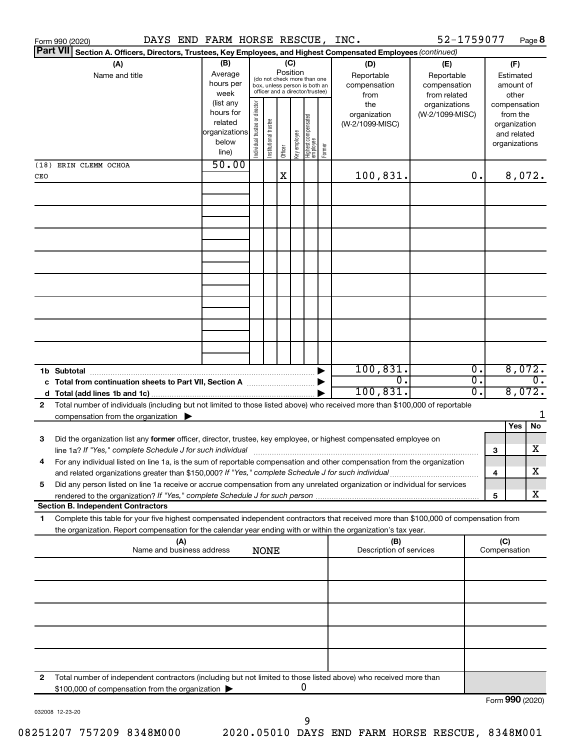|                 | DAYS END FARM HORSE RESCUE, INC.<br>Form 990 (2020)                                                                                        |               |                                |                       |          |              |                                                              |        |                         | 52-1759077      |    |     |               | Page 8           |
|-----------------|--------------------------------------------------------------------------------------------------------------------------------------------|---------------|--------------------------------|-----------------------|----------|--------------|--------------------------------------------------------------|--------|-------------------------|-----------------|----|-----|---------------|------------------|
| <b>Part VII</b> | Section A. Officers, Directors, Trustees, Key Employees, and Highest Compensated Employees (continued)                                     |               |                                |                       |          |              |                                                              |        |                         |                 |    |     |               |                  |
|                 | (A)                                                                                                                                        | (B)           |                                |                       |          | (C)          |                                                              |        | (D)                     | (E)             |    |     | (F)           |                  |
|                 | Name and title                                                                                                                             | Average       |                                |                       | Position |              |                                                              |        | Reportable              | Reportable      |    |     | Estimated     |                  |
|                 |                                                                                                                                            | hours per     |                                |                       |          |              | (do not check more than one<br>box, unless person is both an |        | compensation            | compensation    |    |     | amount of     |                  |
|                 |                                                                                                                                            | week          |                                |                       |          |              | officer and a director/trustee)                              |        | from                    | from related    |    |     | other         |                  |
|                 |                                                                                                                                            | (list any     |                                |                       |          |              |                                                              |        | the                     | organizations   |    |     | compensation  |                  |
|                 |                                                                                                                                            | hours for     |                                |                       |          |              |                                                              |        | organization            | (W-2/1099-MISC) |    |     | from the      |                  |
|                 |                                                                                                                                            | related       |                                |                       |          |              |                                                              |        | (W-2/1099-MISC)         |                 |    |     | organization  |                  |
|                 |                                                                                                                                            | organizations |                                |                       |          |              |                                                              |        |                         |                 |    |     | and related   |                  |
|                 |                                                                                                                                            | below         | Individual trustee or director | Institutional trustee |          | Key employee |                                                              | Former |                         |                 |    |     | organizations |                  |
|                 |                                                                                                                                            | line)         |                                |                       | Officer  |              | Highest compensated<br>  employee                            |        |                         |                 |    |     |               |                  |
|                 | (18) ERIN CLEMM OCHOA                                                                                                                      | 50.00         |                                |                       |          |              |                                                              |        |                         |                 |    |     |               |                  |
| CEO             |                                                                                                                                            |               |                                |                       | X        |              |                                                              |        | 100,831.                |                 | 0. |     |               | 8,072.           |
|                 |                                                                                                                                            |               |                                |                       |          |              |                                                              |        |                         |                 |    |     |               |                  |
|                 |                                                                                                                                            |               |                                |                       |          |              |                                                              |        |                         |                 |    |     |               |                  |
|                 |                                                                                                                                            |               |                                |                       |          |              |                                                              |        |                         |                 |    |     |               |                  |
|                 |                                                                                                                                            |               |                                |                       |          |              |                                                              |        |                         |                 |    |     |               |                  |
|                 |                                                                                                                                            |               |                                |                       |          |              |                                                              |        |                         |                 |    |     |               |                  |
|                 |                                                                                                                                            |               |                                |                       |          |              |                                                              |        |                         |                 |    |     |               |                  |
|                 |                                                                                                                                            |               |                                |                       |          |              |                                                              |        |                         |                 |    |     |               |                  |
|                 |                                                                                                                                            |               |                                |                       |          |              |                                                              |        |                         |                 |    |     |               |                  |
|                 |                                                                                                                                            |               |                                |                       |          |              |                                                              |        |                         |                 |    |     |               |                  |
|                 |                                                                                                                                            |               |                                |                       |          |              |                                                              |        |                         |                 |    |     |               |                  |
|                 |                                                                                                                                            |               |                                |                       |          |              |                                                              |        |                         |                 |    |     |               |                  |
|                 |                                                                                                                                            |               |                                |                       |          |              |                                                              |        |                         |                 |    |     |               |                  |
|                 |                                                                                                                                            |               |                                |                       |          |              |                                                              |        |                         |                 |    |     |               |                  |
|                 |                                                                                                                                            |               |                                |                       |          |              |                                                              |        |                         |                 |    |     |               |                  |
|                 |                                                                                                                                            |               |                                |                       |          |              |                                                              |        |                         |                 |    |     |               |                  |
|                 |                                                                                                                                            |               |                                |                       |          |              |                                                              |        |                         |                 |    |     |               |                  |
|                 |                                                                                                                                            |               |                                |                       |          |              |                                                              |        |                         |                 |    |     |               |                  |
|                 |                                                                                                                                            |               |                                |                       |          |              |                                                              |        | 100, 831.               |                 | σ. |     |               | 8,072.           |
|                 | c Total from continuation sheets to Part VII, Section A manuscription of                                                                   |               |                                |                       |          |              |                                                              |        | σ.                      |                 | σ. |     |               | $\overline{0}$ . |
|                 |                                                                                                                                            |               |                                |                       |          |              |                                                              |        | 100, 831.               |                 | О. |     |               | 8,072.           |
| 2               | Total number of individuals (including but not limited to those listed above) who received more than \$100,000 of reportable               |               |                                |                       |          |              |                                                              |        |                         |                 |    |     |               |                  |
|                 |                                                                                                                                            |               |                                |                       |          |              |                                                              |        |                         |                 |    |     |               |                  |
|                 | compensation from the organization $\blacktriangleright$                                                                                   |               |                                |                       |          |              |                                                              |        |                         |                 |    |     | Yes           | No               |
|                 |                                                                                                                                            |               |                                |                       |          |              |                                                              |        |                         |                 |    |     |               |                  |
| 3               | Did the organization list any former officer, director, trustee, key employee, or highest compensated employee on                          |               |                                |                       |          |              |                                                              |        |                         |                 |    |     |               |                  |
|                 | line 1a? If "Yes," complete Schedule J for such individual manufacture content to the set of the set of the schedule J for such individual |               |                                |                       |          |              |                                                              |        |                         |                 |    | 3   |               | х                |
|                 | For any individual listed on line 1a, is the sum of reportable compensation and other compensation from the organization                   |               |                                |                       |          |              |                                                              |        |                         |                 |    |     |               |                  |
|                 | and related organizations greater than \$150,000? If "Yes," complete Schedule J for such individual                                        |               |                                |                       |          |              |                                                              |        |                         |                 |    | 4   |               | х                |
| 5               | Did any person listed on line 1a receive or accrue compensation from any unrelated organization or individual for services                 |               |                                |                       |          |              |                                                              |        |                         |                 |    |     |               |                  |
|                 |                                                                                                                                            |               |                                |                       |          |              |                                                              |        |                         |                 |    | 5   |               | х                |
|                 | <b>Section B. Independent Contractors</b>                                                                                                  |               |                                |                       |          |              |                                                              |        |                         |                 |    |     |               |                  |
| 1               | Complete this table for your five highest compensated independent contractors that received more than \$100,000 of compensation from       |               |                                |                       |          |              |                                                              |        |                         |                 |    |     |               |                  |
|                 | the organization. Report compensation for the calendar year ending with or within the organization's tax year.                             |               |                                |                       |          |              |                                                              |        |                         |                 |    |     |               |                  |
|                 | (A)                                                                                                                                        |               |                                |                       |          |              |                                                              |        | (B)                     |                 |    | (C) |               |                  |
|                 | Name and business address                                                                                                                  |               |                                | <b>NONE</b>           |          |              |                                                              |        | Description of services |                 |    |     | Compensation  |                  |
|                 |                                                                                                                                            |               |                                |                       |          |              |                                                              |        |                         |                 |    |     |               |                  |
|                 |                                                                                                                                            |               |                                |                       |          |              |                                                              |        |                         |                 |    |     |               |                  |
|                 |                                                                                                                                            |               |                                |                       |          |              |                                                              |        |                         |                 |    |     |               |                  |
|                 |                                                                                                                                            |               |                                |                       |          |              |                                                              |        |                         |                 |    |     |               |                  |
|                 |                                                                                                                                            |               |                                |                       |          |              |                                                              |        |                         |                 |    |     |               |                  |
|                 |                                                                                                                                            |               |                                |                       |          |              |                                                              |        |                         |                 |    |     |               |                  |
|                 |                                                                                                                                            |               |                                |                       |          |              |                                                              |        |                         |                 |    |     |               |                  |
|                 |                                                                                                                                            |               |                                |                       |          |              |                                                              |        |                         |                 |    |     |               |                  |
|                 |                                                                                                                                            |               |                                |                       |          |              |                                                              |        |                         |                 |    |     |               |                  |
|                 |                                                                                                                                            |               |                                |                       |          |              |                                                              |        |                         |                 |    |     |               |                  |
|                 |                                                                                                                                            |               |                                |                       |          |              |                                                              |        |                         |                 |    |     |               |                  |
| 2               | Total number of independent contractors (including but not limited to those listed above) who received more than                           |               |                                |                       |          |              |                                                              |        |                         |                 |    |     |               |                  |
|                 | \$100,000 of compensation from the organization                                                                                            |               |                                |                       |          |              | 0                                                            |        |                         |                 |    |     |               |                  |
|                 |                                                                                                                                            |               |                                |                       |          |              |                                                              |        |                         |                 |    |     |               | Form 990 (2020)  |

032008 12-23-20

Form 990 (2020)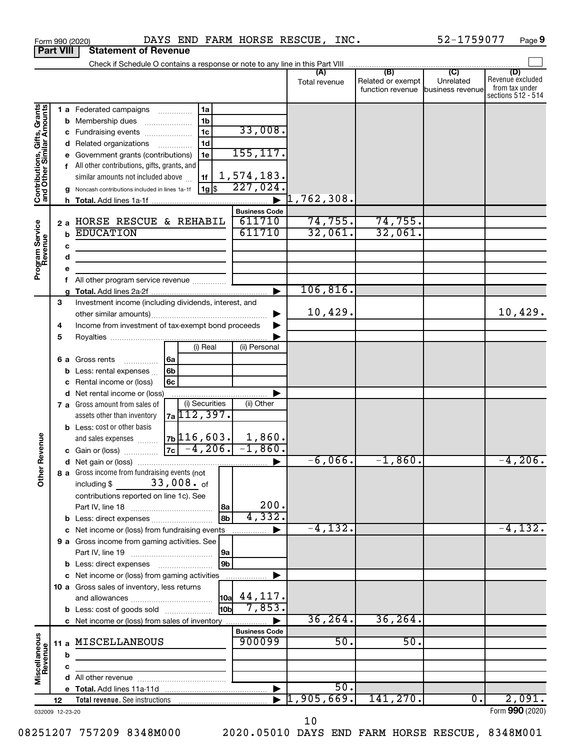|                                                           |                  | DAYS END FARM HORSE RESCUE, INC.<br>Form 990 (2020)                                  |                                                    |                                                      |                                                     | 52-1759077                    | Page 9                                                          |
|-----------------------------------------------------------|------------------|--------------------------------------------------------------------------------------|----------------------------------------------------|------------------------------------------------------|-----------------------------------------------------|-------------------------------|-----------------------------------------------------------------|
|                                                           | <b>Part VIII</b> | <b>Statement of Revenue</b>                                                          |                                                    |                                                      |                                                     |                               |                                                                 |
|                                                           |                  | Check if Schedule O contains a response or note to any line in this Part VIII        |                                                    |                                                      | $\overline{(\mathsf{B})}$ $\overline{(\mathsf{C})}$ |                               |                                                                 |
|                                                           |                  |                                                                                      |                                                    | (A)<br>Total revenue                                 | Related or exempt<br>function revenue               | Unrelated<br>business revenue | (D)<br>Revenue excluded<br>from tax under<br>sections 512 - 514 |
| Contributions, Gifts, Grants<br>and Other Similar Amounts |                  | 1 a Federated campaigns<br>1a                                                        |                                                    |                                                      |                                                     |                               |                                                                 |
|                                                           | b                | 1 <sub>b</sub><br>Membership dues                                                    | 33,008.                                            |                                                      |                                                     |                               |                                                                 |
|                                                           | с                | 1 <sub>c</sub><br>Fundraising events                                                 |                                                    |                                                      |                                                     |                               |                                                                 |
|                                                           |                  | 1d<br>Related organizations<br>d<br>.<br>1e                                          | 155, 117.                                          |                                                      |                                                     |                               |                                                                 |
|                                                           |                  | Government grants (contributions)<br>f All other contributions, gifts, grants, and   |                                                    |                                                      |                                                     |                               |                                                                 |
|                                                           |                  | similar amounts not included above<br>1f                                             | 1,574,183.                                         |                                                      |                                                     |                               |                                                                 |
|                                                           | g                | $ 1g $ \$<br>Noncash contributions included in lines 1a-1f                           | 227,024.                                           |                                                      |                                                     |                               |                                                                 |
|                                                           |                  | h.                                                                                   |                                                    | $\mathfrak{\texttt{1}}$ , 762 , 308 $\boldsymbol{.}$ |                                                     |                               |                                                                 |
|                                                           |                  |                                                                                      | <b>Business Code</b>                               |                                                      |                                                     |                               |                                                                 |
|                                                           |                  | 2 a HORSE RESCUE & REHABIL                                                           | 611710                                             | 74, 755.                                             | 74, 755.                                            |                               |                                                                 |
|                                                           | b                | <b>EDUCATION</b>                                                                     | 611710                                             | 32,061.                                              | 32,061.                                             |                               |                                                                 |
|                                                           | c                |                                                                                      |                                                    |                                                      |                                                     |                               |                                                                 |
| Program Service<br>Revenue                                | d                |                                                                                      |                                                    |                                                      |                                                     |                               |                                                                 |
|                                                           | е                |                                                                                      |                                                    |                                                      |                                                     |                               |                                                                 |
|                                                           | f                | All other program service revenue                                                    |                                                    |                                                      |                                                     |                               |                                                                 |
|                                                           |                  |                                                                                      |                                                    | 106, 816.                                            |                                                     |                               |                                                                 |
|                                                           | 3                | Investment income (including dividends, interest, and                                |                                                    |                                                      |                                                     |                               |                                                                 |
|                                                           |                  |                                                                                      |                                                    | 10,429.                                              |                                                     |                               | 10,429.                                                         |
|                                                           | 4                | Income from investment of tax-exempt bond proceeds                                   |                                                    |                                                      |                                                     |                               |                                                                 |
|                                                           | 5                |                                                                                      |                                                    |                                                      |                                                     |                               |                                                                 |
|                                                           |                  | (i) Real                                                                             | (ii) Personal                                      |                                                      |                                                     |                               |                                                                 |
|                                                           |                  | 6a<br>6 a Gross rents<br>.                                                           |                                                    |                                                      |                                                     |                               |                                                                 |
|                                                           | b                | 6 <sub>b</sub><br>Less: rental expenses                                              |                                                    |                                                      |                                                     |                               |                                                                 |
|                                                           |                  | 6c<br>Rental income or (loss)                                                        |                                                    |                                                      |                                                     |                               |                                                                 |
|                                                           |                  | Net rental income or (loss)<br>d<br>(i) Securities<br>7 a Gross amount from sales of | (ii) Other                                         |                                                      |                                                     |                               |                                                                 |
|                                                           |                  | 7a 112, 397.<br>assets other than inventory                                          |                                                    |                                                      |                                                     |                               |                                                                 |
|                                                           |                  | <b>b</b> Less: cost or other basis                                                   |                                                    |                                                      |                                                     |                               |                                                                 |
|                                                           |                  | $7b$ 116,603.<br>and sales expenses                                                  | $1,860$ .                                          |                                                      |                                                     |                               |                                                                 |
| evenue                                                    |                  | $-4, 206.$<br>7c<br>c Gain or (loss)                                                 | $-1,860.$                                          |                                                      |                                                     |                               |                                                                 |
| Œ                                                         |                  |                                                                                      |                                                    | $-6,066.$                                            | $-1,860.$                                           |                               | $-4,206$ .                                                      |
| Other                                                     |                  | 8 a Gross income from fundraising events (not                                        |                                                    |                                                      |                                                     |                               |                                                                 |
|                                                           |                  | including $$33,008.$ of                                                              |                                                    |                                                      |                                                     |                               |                                                                 |
|                                                           |                  | contributions reported on line 1c). See                                              |                                                    |                                                      |                                                     |                               |                                                                 |
|                                                           |                  | 8a                                                                                   | 200.                                               |                                                      |                                                     |                               |                                                                 |
|                                                           |                  | 8b                                                                                   | 4,332.                                             |                                                      |                                                     |                               |                                                                 |
|                                                           |                  | c Net income or (loss) from fundraising events                                       | .                                                  | $-4, 132.$                                           |                                                     |                               | $-4, 132.$                                                      |
|                                                           |                  | 9 a Gross income from gaming activities. See                                         |                                                    |                                                      |                                                     |                               |                                                                 |
|                                                           |                  | 9a                                                                                   |                                                    |                                                      |                                                     |                               |                                                                 |
|                                                           |                  | 9 <sub>b</sub><br><b>b</b> Less: direct expenses <b>manually</b>                     |                                                    |                                                      |                                                     |                               |                                                                 |
|                                                           |                  | c Net income or (loss) from gaming activities                                        |                                                    |                                                      |                                                     |                               |                                                                 |
|                                                           |                  | 10 a Gross sales of inventory, less returns                                          | $\begin{vmatrix} 10a & 44 \\ 11 & 7 \end{vmatrix}$ |                                                      |                                                     |                               |                                                                 |
|                                                           |                  | 10bl<br><b>b</b> Less: cost of goods sold                                            | 7,853.                                             |                                                      |                                                     |                               |                                                                 |
|                                                           |                  | c Net income or (loss) from sales of inventory                                       |                                                    | 36, 264.                                             | 36, 264.                                            |                               |                                                                 |
|                                                           |                  |                                                                                      | <b>Business Code</b>                               |                                                      |                                                     |                               |                                                                 |
| Miscellaneous<br>Revenue                                  |                  | 11 a MISCELLANEOUS                                                                   | 900099                                             | 50.                                                  | 50.                                                 |                               |                                                                 |
|                                                           | b                |                                                                                      |                                                    |                                                      |                                                     |                               |                                                                 |
|                                                           | c                |                                                                                      |                                                    |                                                      |                                                     |                               |                                                                 |
|                                                           |                  | d                                                                                    |                                                    |                                                      |                                                     |                               |                                                                 |
|                                                           |                  |                                                                                      |                                                    | 50.                                                  |                                                     |                               |                                                                 |
|                                                           | 12               |                                                                                      |                                                    | 1,905,669.                                           | 141, 270.                                           | $\overline{0}$ .              | 2,091.                                                          |
|                                                           | 032009 12-23-20  |                                                                                      |                                                    |                                                      |                                                     |                               | Form 990 (2020)                                                 |

**9**

 <sup>10</sup>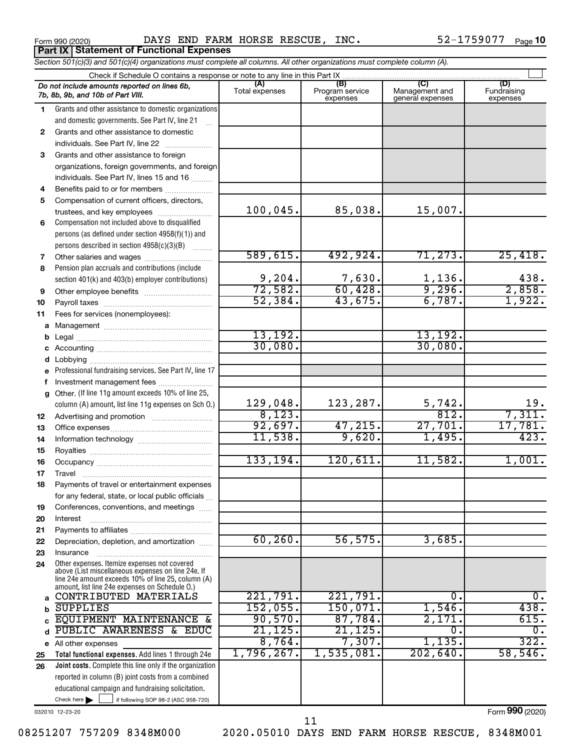Form 990 (2020) Page DAYS END FARM HORSE RESCUE, INC. 52-1759077 **Part IX Statement of Functional Expenses**

52-1759077 Page 10

|    | Section 501(c)(3) and 501(c)(4) organizations must complete all columns. All other organizations must complete column (A).                                                                                 |                        |                                    |                                           |                                       |  |  |  |  |  |  |  |
|----|------------------------------------------------------------------------------------------------------------------------------------------------------------------------------------------------------------|------------------------|------------------------------------|-------------------------------------------|---------------------------------------|--|--|--|--|--|--|--|
|    | Check if Schedule O contains a response or note to any line in this Part IX.                                                                                                                               |                        |                                    |                                           |                                       |  |  |  |  |  |  |  |
|    | Do not include amounts reported on lines 6b,<br>7b, 8b, 9b, and 10b of Part VIII.                                                                                                                          | (A)<br>Total expenses  | (B)<br>Program service<br>expenses | (C)<br>Management and<br>general expenses | (D)<br>Fundraising<br>expenses        |  |  |  |  |  |  |  |
| 1  | Grants and other assistance to domestic organizations                                                                                                                                                      |                        |                                    |                                           |                                       |  |  |  |  |  |  |  |
|    | and domestic governments. See Part IV, line 21                                                                                                                                                             |                        |                                    |                                           |                                       |  |  |  |  |  |  |  |
| 2  | Grants and other assistance to domestic                                                                                                                                                                    |                        |                                    |                                           |                                       |  |  |  |  |  |  |  |
|    | individuals. See Part IV, line 22                                                                                                                                                                          |                        |                                    |                                           |                                       |  |  |  |  |  |  |  |
| З  | Grants and other assistance to foreign                                                                                                                                                                     |                        |                                    |                                           |                                       |  |  |  |  |  |  |  |
|    | organizations, foreign governments, and foreign                                                                                                                                                            |                        |                                    |                                           |                                       |  |  |  |  |  |  |  |
|    | individuals. See Part IV, lines 15 and 16                                                                                                                                                                  |                        |                                    |                                           |                                       |  |  |  |  |  |  |  |
| 4  | Benefits paid to or for members                                                                                                                                                                            |                        |                                    |                                           |                                       |  |  |  |  |  |  |  |
| 5  | Compensation of current officers, directors,                                                                                                                                                               |                        |                                    |                                           |                                       |  |  |  |  |  |  |  |
|    | trustees, and key employees                                                                                                                                                                                | 100,045.               | 85,038.                            | 15,007.                                   |                                       |  |  |  |  |  |  |  |
| 6  | Compensation not included above to disqualified                                                                                                                                                            |                        |                                    |                                           |                                       |  |  |  |  |  |  |  |
|    | persons (as defined under section 4958(f)(1)) and                                                                                                                                                          |                        |                                    |                                           |                                       |  |  |  |  |  |  |  |
|    | persons described in section 4958(c)(3)(B)                                                                                                                                                                 |                        |                                    |                                           |                                       |  |  |  |  |  |  |  |
| 7  | Other salaries and wages                                                                                                                                                                                   | 589,615.               | 492,924.                           | 71, 273.                                  | 25,418.                               |  |  |  |  |  |  |  |
| 8  | Pension plan accruals and contributions (include                                                                                                                                                           |                        |                                    |                                           |                                       |  |  |  |  |  |  |  |
|    | section 401(k) and 403(b) employer contributions)                                                                                                                                                          | $\frac{9,204}{72,582}$ | $\frac{7,630}{60,428}$             | $\frac{1,136}{9,296}$ .                   |                                       |  |  |  |  |  |  |  |
| 9  |                                                                                                                                                                                                            |                        |                                    |                                           | $\frac{438}{2,858}$<br>$\frac{1,922}$ |  |  |  |  |  |  |  |
| 10 |                                                                                                                                                                                                            | 52, 384.               | 43,675.                            | 6,787.                                    |                                       |  |  |  |  |  |  |  |
| 11 | Fees for services (nonemployees):                                                                                                                                                                          |                        |                                    |                                           |                                       |  |  |  |  |  |  |  |
| а  |                                                                                                                                                                                                            |                        |                                    |                                           |                                       |  |  |  |  |  |  |  |
|    |                                                                                                                                                                                                            | 13,192.                |                                    | 13, 192.                                  |                                       |  |  |  |  |  |  |  |
|    |                                                                                                                                                                                                            | 30,080.                |                                    | 30,080.                                   |                                       |  |  |  |  |  |  |  |
|    |                                                                                                                                                                                                            |                        |                                    |                                           |                                       |  |  |  |  |  |  |  |
| е  | Professional fundraising services. See Part IV, line 17                                                                                                                                                    |                        |                                    |                                           |                                       |  |  |  |  |  |  |  |
|    | Investment management fees                                                                                                                                                                                 |                        |                                    |                                           |                                       |  |  |  |  |  |  |  |
| g  | Other. (If line 11g amount exceeds 10% of line 25,                                                                                                                                                         |                        |                                    |                                           |                                       |  |  |  |  |  |  |  |
|    | column (A) amount, list line 11g expenses on Sch O.)                                                                                                                                                       | 129,048.<br>8,123.     | 123,287.                           | $\frac{5,742}{812}$                       | $\frac{19}{7,311}$ .                  |  |  |  |  |  |  |  |
| 12 |                                                                                                                                                                                                            | 92,697.                | 47, 215.                           | 27,701.                                   | 17,781.                               |  |  |  |  |  |  |  |
| 13 |                                                                                                                                                                                                            | 11,538.                | 9,620.                             | 1,495.                                    | 423.                                  |  |  |  |  |  |  |  |
| 14 |                                                                                                                                                                                                            |                        |                                    |                                           |                                       |  |  |  |  |  |  |  |
| 15 |                                                                                                                                                                                                            | 133, 194.              | 120,611.                           | 11,582.                                   | 1,001.                                |  |  |  |  |  |  |  |
| 16 |                                                                                                                                                                                                            |                        |                                    |                                           |                                       |  |  |  |  |  |  |  |
| 17 |                                                                                                                                                                                                            |                        |                                    |                                           |                                       |  |  |  |  |  |  |  |
| 18 | Payments of travel or entertainment expenses                                                                                                                                                               |                        |                                    |                                           |                                       |  |  |  |  |  |  |  |
| 19 | for any federal, state, or local public officials<br>Conferences, conventions, and meetings                                                                                                                |                        |                                    |                                           |                                       |  |  |  |  |  |  |  |
| 20 | Interest                                                                                                                                                                                                   |                        |                                    |                                           |                                       |  |  |  |  |  |  |  |
| 21 |                                                                                                                                                                                                            |                        |                                    |                                           |                                       |  |  |  |  |  |  |  |
| 22 | Depreciation, depletion, and amortization                                                                                                                                                                  | 60, 260.               | 56, 575.                           | 3,685.                                    |                                       |  |  |  |  |  |  |  |
| 23 | Insurance                                                                                                                                                                                                  |                        |                                    |                                           |                                       |  |  |  |  |  |  |  |
| 24 | Other expenses. Itemize expenses not covered<br>above (List miscellaneous expenses on line 24e. If<br>line 24e amount exceeds 10% of line 25, column (A)<br>amount, list line 24e expenses on Schedule O.) |                        |                                    |                                           |                                       |  |  |  |  |  |  |  |
| a  | CONTRIBUTED MATERIALS                                                                                                                                                                                      | 221,791.               | 221,791.                           | о.                                        | о.                                    |  |  |  |  |  |  |  |
| h  | <b>SUPPLIES</b>                                                                                                                                                                                            | 152,055.               | 150,071.                           | 1,546.                                    | $\overline{438}$ .                    |  |  |  |  |  |  |  |
|    | EQUIPMENT MAINTENANCE &                                                                                                                                                                                    | 90,570.                | 87,784.                            | 2,171.                                    | 615.                                  |  |  |  |  |  |  |  |
| d  | PUBLIC AWARENESS & EDUC                                                                                                                                                                                    | 21,125.                | 21, 125.                           | $\overline{0}$ .                          | 0.                                    |  |  |  |  |  |  |  |
| е  | All other expenses                                                                                                                                                                                         | 8,764.                 | 7,307.                             | 1,135.                                    | 322.                                  |  |  |  |  |  |  |  |
| 25 | Total functional expenses. Add lines 1 through 24e                                                                                                                                                         | $1,796,267$ .          | 1,535,081.                         | 202,640.                                  | 58,546.                               |  |  |  |  |  |  |  |
| 26 | Joint costs. Complete this line only if the organization                                                                                                                                                   |                        |                                    |                                           |                                       |  |  |  |  |  |  |  |
|    | reported in column (B) joint costs from a combined                                                                                                                                                         |                        |                                    |                                           |                                       |  |  |  |  |  |  |  |
|    | educational campaign and fundraising solicitation.                                                                                                                                                         |                        |                                    |                                           |                                       |  |  |  |  |  |  |  |
|    | Check here $\blacktriangleright$<br>if following SOP 98-2 (ASC 958-720)                                                                                                                                    |                        |                                    |                                           |                                       |  |  |  |  |  |  |  |

032010 12-23-20

Form (2020) **990**

08251207 757209 8348M000 2020.05010 DAYS END FARM HORSE RESCUE, 8348M001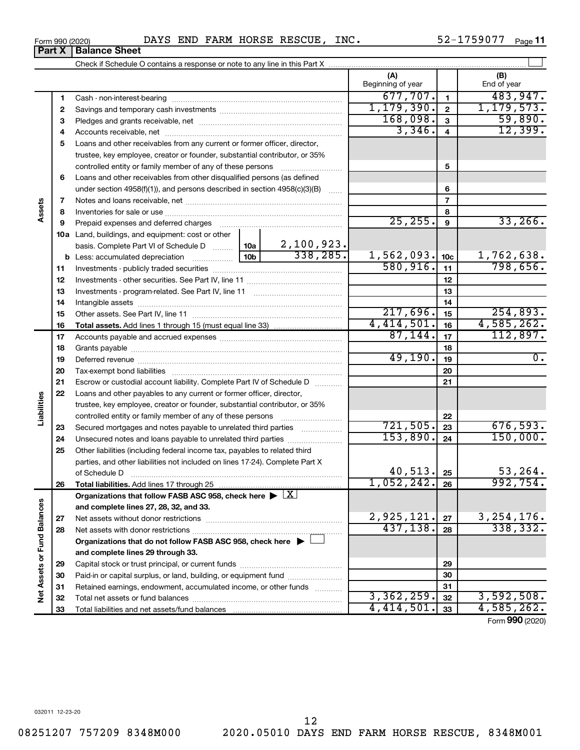Form 990 (2020) Page DAYS END FARM HORSE RESCUE, INC. 52-1759077

52-1759077 Page 11

|                             |          |                                                                                                                                                                                                                                |         |            | (A)               |                 | (B)          |
|-----------------------------|----------|--------------------------------------------------------------------------------------------------------------------------------------------------------------------------------------------------------------------------------|---------|------------|-------------------|-----------------|--------------|
|                             |          |                                                                                                                                                                                                                                |         |            | Beginning of year |                 | End of year  |
|                             | 1        |                                                                                                                                                                                                                                |         |            | 677,707.          | 1               | 483,947.     |
|                             | 2        |                                                                                                                                                                                                                                |         |            | 1, 179, 390.      | $\overline{2}$  | 1, 179, 573. |
|                             | 3        |                                                                                                                                                                                                                                |         |            | 168,098.          | 3               | 59,890.      |
|                             | 4        |                                                                                                                                                                                                                                |         |            | 3,346.            | 4               | 12,399.      |
|                             | 5        | Loans and other receivables from any current or former officer, director,                                                                                                                                                      |         |            |                   |                 |              |
|                             |          | trustee, key employee, creator or founder, substantial contributor, or 35%                                                                                                                                                     |         |            |                   |                 |              |
|                             |          | controlled entity or family member of any of these persons                                                                                                                                                                     |         |            |                   | 5               |              |
|                             | 6        | Loans and other receivables from other disqualified persons (as defined                                                                                                                                                        |         |            |                   |                 |              |
|                             |          | under section 4958(f)(1)), and persons described in section 4958(c)(3)(B)                                                                                                                                                      |         |            |                   | 6               |              |
|                             | 7        |                                                                                                                                                                                                                                |         |            | 7                 |                 |              |
| Assets                      | 8        |                                                                                                                                                                                                                                |         |            |                   | 8               |              |
|                             | 9        | Prepaid expenses and deferred charges [11] [11] prepaid expenses and deferred charges [11] [11] presummation and the Prepaid expension and the Prepaid expension and the Prepaid experiment of Prepaid experiment and the Prep |         |            | 25, 255.          | 9               | 33, 266.     |
|                             |          | <b>10a</b> Land, buildings, and equipment: cost or other                                                                                                                                                                       |         |            |                   |                 |              |
|                             |          | basis. Complete Part VI of Schedule D  10a                                                                                                                                                                                     |         | 2,100,923. |                   |                 |              |
|                             |          |                                                                                                                                                                                                                                |         | 338, 285.  | 1,562,093.        | 10 <sub>c</sub> | 1,762,638.   |
|                             | 11       |                                                                                                                                                                                                                                |         | 580, 916.  | 11                | 798,656.        |              |
|                             | 12       |                                                                                                                                                                                                                                |         | 12         |                   |                 |              |
|                             | 13       |                                                                                                                                                                                                                                |         | 13         |                   |                 |              |
|                             | 14       |                                                                                                                                                                                                                                |         |            |                   | 14              |              |
|                             | 15       |                                                                                                                                                                                                                                |         |            | 217,696.          | 15              | 254,893.     |
|                             | 16       |                                                                                                                                                                                                                                |         |            | 4,414,501.        | 16              | 4,585,262.   |
|                             | 17       |                                                                                                                                                                                                                                |         |            | 87,144.           | 17              | 112,897.     |
|                             | 18       |                                                                                                                                                                                                                                |         | 18         |                   |                 |              |
|                             | 19       |                                                                                                                                                                                                                                | 49,190. | 19         | 0.                |                 |              |
|                             | 20       |                                                                                                                                                                                                                                |         |            |                   | 20              |              |
|                             | 21       | Escrow or custodial account liability. Complete Part IV of Schedule D                                                                                                                                                          |         |            |                   | 21              |              |
|                             | 22       | Loans and other payables to any current or former officer, director,                                                                                                                                                           |         |            |                   |                 |              |
| Liabilities                 |          | trustee, key employee, creator or founder, substantial contributor, or 35%                                                                                                                                                     |         |            |                   |                 |              |
|                             |          | controlled entity or family member of any of these persons                                                                                                                                                                     |         |            |                   | 22              |              |
|                             | 23       | Secured mortgages and notes payable to unrelated third parties                                                                                                                                                                 |         |            | 721,505.          | 23              | 676,593.     |
|                             | 24       | Unsecured notes and loans payable to unrelated third parties                                                                                                                                                                   |         |            | 153,890.          | 24              | 150,000.     |
|                             | 25       | Other liabilities (including federal income tax, payables to related third                                                                                                                                                     |         |            |                   |                 |              |
|                             |          | parties, and other liabilities not included on lines 17-24). Complete Part X                                                                                                                                                   |         |            |                   |                 |              |
|                             |          | of Schedule D                                                                                                                                                                                                                  |         |            | 40,513.           | 25              | 53,264.      |
|                             | 26       | Total liabilities. Add lines 17 through 25                                                                                                                                                                                     |         |            | 1,052,242.        | 26              | 992,754.     |
|                             |          | Organizations that follow FASB ASC 958, check here $\blacktriangleright \lfloor \underline{X} \rfloor$                                                                                                                         |         |            |                   |                 |              |
|                             |          | and complete lines 27, 28, 32, and 33.                                                                                                                                                                                         |         |            | 2,925,121.        |                 | 3, 254, 176. |
|                             | 27       |                                                                                                                                                                                                                                |         |            | 437, 138.         | 27              | 338, 332.    |
|                             | 28       |                                                                                                                                                                                                                                |         | 28         |                   |                 |              |
|                             |          | Organizations that do not follow FASB ASC 958, check here ▶ L                                                                                                                                                                  |         |            |                   |                 |              |
|                             |          | and complete lines 29 through 33.                                                                                                                                                                                              |         |            |                   |                 |              |
|                             | 29       |                                                                                                                                                                                                                                |         |            |                   | 29              |              |
|                             | 30       | Paid-in or capital surplus, or land, building, or equipment fund                                                                                                                                                               |         |            |                   | 30              |              |
| Net Assets or Fund Balances | 31<br>32 | Retained earnings, endowment, accumulated income, or other funds                                                                                                                                                               |         |            | 3,362,259.        | 31<br>32        | 3,592,508.   |
|                             | 33       |                                                                                                                                                                                                                                |         |            | 4,414,501.        | 33              | 4,585,262.   |
|                             |          |                                                                                                                                                                                                                                |         |            |                   |                 |              |

**Part X Balance Sheet**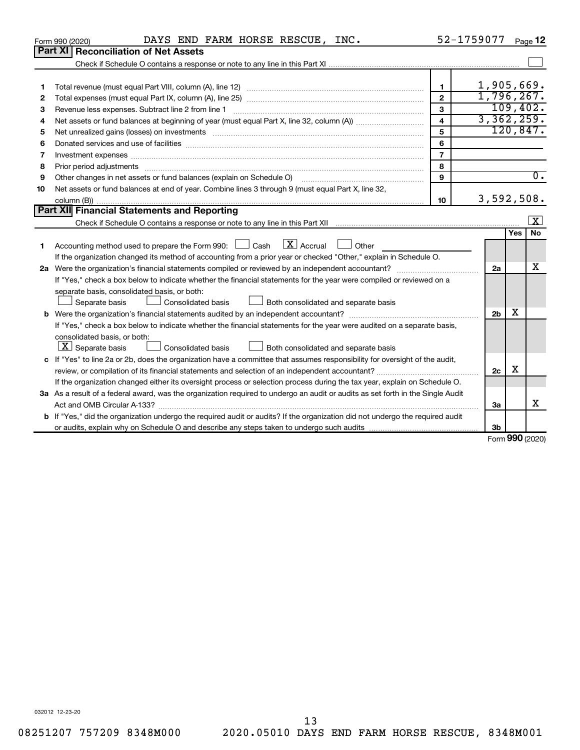|    | DAYS END FARM HORSE RESCUE, INC.<br>Form 990 (2020)                                                                                                                                                                            | 52-1759077              |                |     | Page 12                  |
|----|--------------------------------------------------------------------------------------------------------------------------------------------------------------------------------------------------------------------------------|-------------------------|----------------|-----|--------------------------|
|    | Part XI Reconciliation of Net Assets                                                                                                                                                                                           |                         |                |     |                          |
|    |                                                                                                                                                                                                                                |                         |                |     |                          |
|    |                                                                                                                                                                                                                                |                         |                |     |                          |
| 1  |                                                                                                                                                                                                                                | $\mathbf{1}$            | 1,905,669.     |     |                          |
| 2  |                                                                                                                                                                                                                                | $\overline{2}$          | 1,796,267.     |     |                          |
| З  |                                                                                                                                                                                                                                | 3                       |                |     | 109,402.                 |
| 4  |                                                                                                                                                                                                                                | $\overline{\mathbf{4}}$ | 3,362,259.     |     |                          |
| 5  | Net unrealized gains (losses) on investments [111] matter in the contract of the contract of the contract of the contract of the contract of the contract of the contract of the contract of the contract of the contract of t | 5                       |                |     | 120,847.                 |
| 6  |                                                                                                                                                                                                                                | 6                       |                |     |                          |
| 7  | Investment expenses www.communication.com/www.communication.com/www.communication.com/www.com                                                                                                                                  | $\overline{7}$          |                |     |                          |
| 8  | Prior period adjustments material contents and content and content and content and content and content and content and content and content and content and content and content and content and content and content and content | 8                       |                |     |                          |
| 9  | Other changes in net assets or fund balances (explain on Schedule O)                                                                                                                                                           | 9                       |                |     | $\overline{0}$ .         |
| 10 | Net assets or fund balances at end of year. Combine lines 3 through 9 (must equal Part X, line 32,                                                                                                                             |                         |                |     |                          |
|    |                                                                                                                                                                                                                                | 10                      | 3,592,508.     |     |                          |
|    | Part XII Financial Statements and Reporting                                                                                                                                                                                    |                         |                |     | X                        |
|    |                                                                                                                                                                                                                                |                         |                |     |                          |
|    |                                                                                                                                                                                                                                |                         |                | Yes | No.                      |
| 1. | $\lfloor \mathbf{X} \rfloor$ Accrual<br>Accounting method used to prepare the Form 990: [130] Cash<br>Other<br><b>Contract</b>                                                                                                 |                         |                |     |                          |
|    | If the organization changed its method of accounting from a prior year or checked "Other," explain in Schedule O.                                                                                                              |                         |                |     | x                        |
|    |                                                                                                                                                                                                                                |                         | 2a             |     |                          |
|    | If "Yes," check a box below to indicate whether the financial statements for the year were compiled or reviewed on a                                                                                                           |                         |                |     |                          |
|    | separate basis, consolidated basis, or both:<br>Consolidated basis                                                                                                                                                             |                         |                |     |                          |
|    | Both consolidated and separate basis<br>Separate basis                                                                                                                                                                         |                         | 2 <sub>b</sub> | х   |                          |
|    |                                                                                                                                                                                                                                |                         |                |     |                          |
|    | If "Yes," check a box below to indicate whether the financial statements for the year were audited on a separate basis,<br>consolidated basis, or both:                                                                        |                         |                |     |                          |
|    | $\boxed{\mathbf{X}}$ Separate basis<br>Consolidated basis<br>Both consolidated and separate basis                                                                                                                              |                         |                |     |                          |
|    | c If "Yes" to line 2a or 2b, does the organization have a committee that assumes responsibility for oversight of the audit,                                                                                                    |                         |                |     |                          |
|    |                                                                                                                                                                                                                                |                         | 2c             | X   |                          |
|    | If the organization changed either its oversight process or selection process during the tax year, explain on Schedule O.                                                                                                      |                         |                |     |                          |
|    | 3a As a result of a federal award, was the organization required to undergo an audit or audits as set forth in the Single Audit                                                                                                |                         |                |     |                          |
|    |                                                                                                                                                                                                                                |                         | За             |     | x                        |
|    | <b>b</b> If "Yes," did the organization undergo the required audit or audits? If the organization did not undergo the required audit                                                                                           |                         |                |     |                          |
|    |                                                                                                                                                                                                                                |                         | 3 <sub>b</sub> |     |                          |
|    |                                                                                                                                                                                                                                |                         |                |     | $F_{\rm OCD}$ 990 (2020) |

Form (2020) **990**

032012 12-23-20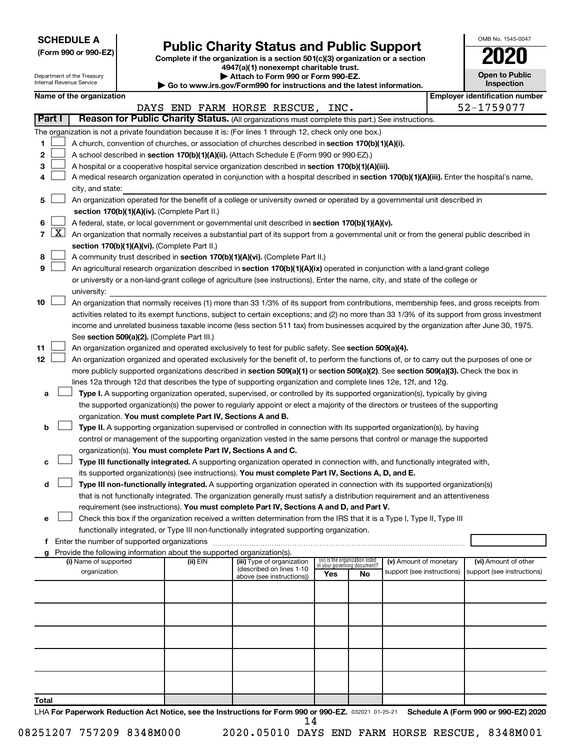**SCHEDULE A**

Department of the Treasury

# Form 990 or 990-EZ) **Public Charity Status and Public Support**<br>
Complete if the organization is a section 501(c)(3) organization or a section<br> **2020**

**4947(a)(1) nonexempt charitable trust. | Attach to Form 990 or Form 990-EZ.** 

| OMB No. 1545-0047                   |
|-------------------------------------|
| 020                                 |
| <b>Open to Public</b><br>Inspection |
|                                     |

| Internal Revenue Service<br>Inspection<br>Go to www.irs.gov/Form990 for instructions and the latest information. |                          |                                               |                                                                        |                                                                                                                                                                                                                      |                                                                |    |                            |  |                                                     |
|------------------------------------------------------------------------------------------------------------------|--------------------------|-----------------------------------------------|------------------------------------------------------------------------|----------------------------------------------------------------------------------------------------------------------------------------------------------------------------------------------------------------------|----------------------------------------------------------------|----|----------------------------|--|-----------------------------------------------------|
|                                                                                                                  | Name of the organization |                                               |                                                                        | DAYS END FARM HORSE RESCUE, INC.                                                                                                                                                                                     |                                                                |    |                            |  | <b>Employer identification number</b><br>52-1759077 |
| <b>Part I</b>                                                                                                    |                          |                                               |                                                                        | Reason for Public Charity Status. (All organizations must complete this part.) See instructions.                                                                                                                     |                                                                |    |                            |  |                                                     |
|                                                                                                                  |                          |                                               |                                                                        | The organization is not a private foundation because it is: (For lines 1 through 12, check only one box.)                                                                                                            |                                                                |    |                            |  |                                                     |
| 1                                                                                                                |                          |                                               |                                                                        | A church, convention of churches, or association of churches described in <b>section 170(b)(1)(A)(i).</b>                                                                                                            |                                                                |    |                            |  |                                                     |
| 2                                                                                                                |                          |                                               |                                                                        | A school described in section 170(b)(1)(A)(ii). (Attach Schedule E (Form 990 or 990-EZ).)                                                                                                                            |                                                                |    |                            |  |                                                     |
| з                                                                                                                |                          |                                               |                                                                        | A hospital or a cooperative hospital service organization described in section 170(b)(1)(A)(iii).                                                                                                                    |                                                                |    |                            |  |                                                     |
| 4                                                                                                                |                          |                                               |                                                                        | A medical research organization operated in conjunction with a hospital described in section 170(b)(1)(A)(iii). Enter the hospital's name,                                                                           |                                                                |    |                            |  |                                                     |
|                                                                                                                  | city, and state:         |                                               |                                                                        |                                                                                                                                                                                                                      |                                                                |    |                            |  |                                                     |
| 5                                                                                                                |                          |                                               |                                                                        | An organization operated for the benefit of a college or university owned or operated by a governmental unit described in                                                                                            |                                                                |    |                            |  |                                                     |
|                                                                                                                  |                          |                                               | section $170(b)(1)(A)(iv)$ . (Complete Part II.)                       |                                                                                                                                                                                                                      |                                                                |    |                            |  |                                                     |
| 6                                                                                                                |                          |                                               |                                                                        | A federal, state, or local government or governmental unit described in section 170(b)(1)(A)(v).                                                                                                                     |                                                                |    |                            |  |                                                     |
| $\lfloor x \rfloor$<br>7                                                                                         |                          |                                               |                                                                        | An organization that normally receives a substantial part of its support from a governmental unit or from the general public described in                                                                            |                                                                |    |                            |  |                                                     |
|                                                                                                                  |                          |                                               | section 170(b)(1)(A)(vi). (Complete Part II.)                          |                                                                                                                                                                                                                      |                                                                |    |                            |  |                                                     |
| 8                                                                                                                |                          |                                               |                                                                        | A community trust described in section 170(b)(1)(A)(vi). (Complete Part II.)                                                                                                                                         |                                                                |    |                            |  |                                                     |
| 9                                                                                                                |                          |                                               |                                                                        | An agricultural research organization described in section 170(b)(1)(A)(ix) operated in conjunction with a land-grant college                                                                                        |                                                                |    |                            |  |                                                     |
|                                                                                                                  |                          |                                               |                                                                        | or university or a non-land-grant college of agriculture (see instructions). Enter the name, city, and state of the college or                                                                                       |                                                                |    |                            |  |                                                     |
|                                                                                                                  | university:              |                                               |                                                                        |                                                                                                                                                                                                                      |                                                                |    |                            |  |                                                     |
| 10                                                                                                               |                          |                                               |                                                                        | An organization that normally receives (1) more than 33 1/3% of its support from contributions, membership fees, and gross receipts from                                                                             |                                                                |    |                            |  |                                                     |
|                                                                                                                  |                          |                                               |                                                                        | activities related to its exempt functions, subject to certain exceptions; and (2) no more than 33 1/3% of its support from gross investment                                                                         |                                                                |    |                            |  |                                                     |
|                                                                                                                  |                          |                                               |                                                                        | income and unrelated business taxable income (less section 511 tax) from businesses acquired by the organization after June 30, 1975.                                                                                |                                                                |    |                            |  |                                                     |
|                                                                                                                  |                          |                                               | See section 509(a)(2). (Complete Part III.)                            |                                                                                                                                                                                                                      |                                                                |    |                            |  |                                                     |
| 11                                                                                                               |                          |                                               |                                                                        | An organization organized and operated exclusively to test for public safety. See section 509(a)(4).                                                                                                                 |                                                                |    |                            |  |                                                     |
| 12                                                                                                               |                          |                                               |                                                                        | An organization organized and operated exclusively for the benefit of, to perform the functions of, or to carry out the purposes of one or                                                                           |                                                                |    |                            |  |                                                     |
|                                                                                                                  |                          |                                               |                                                                        | more publicly supported organizations described in section 509(a)(1) or section 509(a)(2). See section 509(a)(3). Check the box in                                                                                   |                                                                |    |                            |  |                                                     |
|                                                                                                                  |                          |                                               |                                                                        | lines 12a through 12d that describes the type of supporting organization and complete lines 12e, 12f, and 12g.                                                                                                       |                                                                |    |                            |  |                                                     |
| а                                                                                                                |                          |                                               |                                                                        | Type I. A supporting organization operated, supervised, or controlled by its supported organization(s), typically by giving                                                                                          |                                                                |    |                            |  |                                                     |
|                                                                                                                  |                          |                                               |                                                                        | the supported organization(s) the power to regularly appoint or elect a majority of the directors or trustees of the supporting                                                                                      |                                                                |    |                            |  |                                                     |
|                                                                                                                  |                          |                                               | organization. You must complete Part IV, Sections A and B.             |                                                                                                                                                                                                                      |                                                                |    |                            |  |                                                     |
| b                                                                                                                |                          |                                               |                                                                        | Type II. A supporting organization supervised or controlled in connection with its supported organization(s), by having                                                                                              |                                                                |    |                            |  |                                                     |
|                                                                                                                  |                          |                                               |                                                                        | control or management of the supporting organization vested in the same persons that control or manage the supported                                                                                                 |                                                                |    |                            |  |                                                     |
|                                                                                                                  |                          |                                               | organization(s). You must complete Part IV, Sections A and C.          |                                                                                                                                                                                                                      |                                                                |    |                            |  |                                                     |
|                                                                                                                  |                          |                                               |                                                                        | Type III functionally integrated. A supporting organization operated in connection with, and functionally integrated with,                                                                                           |                                                                |    |                            |  |                                                     |
|                                                                                                                  |                          |                                               |                                                                        | its supported organization(s) (see instructions). You must complete Part IV, Sections A, D, and E.                                                                                                                   |                                                                |    |                            |  |                                                     |
| d                                                                                                                |                          |                                               |                                                                        | Type III non-functionally integrated. A supporting organization operated in connection with its supported organization(s)                                                                                            |                                                                |    |                            |  |                                                     |
|                                                                                                                  |                          |                                               |                                                                        | that is not functionally integrated. The organization generally must satisfy a distribution requirement and an attentiveness                                                                                         |                                                                |    |                            |  |                                                     |
|                                                                                                                  |                          |                                               |                                                                        | requirement (see instructions). You must complete Part IV, Sections A and D, and Part V.                                                                                                                             |                                                                |    |                            |  |                                                     |
| е                                                                                                                |                          |                                               |                                                                        | Check this box if the organization received a written determination from the IRS that it is a Type I, Type II, Type III<br>functionally integrated, or Type III non-functionally integrated supporting organization. |                                                                |    |                            |  |                                                     |
|                                                                                                                  |                          | f Enter the number of supported organizations |                                                                        |                                                                                                                                                                                                                      |                                                                |    |                            |  |                                                     |
|                                                                                                                  |                          |                                               | Provide the following information about the supported organization(s). |                                                                                                                                                                                                                      |                                                                |    |                            |  |                                                     |
|                                                                                                                  | (i) Name of supported    |                                               | (ii) EIN                                                               | (iii) Type of organization                                                                                                                                                                                           | (iv) Is the organization listed<br>in your governing document? |    | (v) Amount of monetary     |  | (vi) Amount of other                                |
|                                                                                                                  | organization             |                                               |                                                                        | (described on lines 1-10<br>above (see instructions))                                                                                                                                                                | Yes                                                            | No | support (see instructions) |  | support (see instructions)                          |
|                                                                                                                  |                          |                                               |                                                                        |                                                                                                                                                                                                                      |                                                                |    |                            |  |                                                     |
|                                                                                                                  |                          |                                               |                                                                        |                                                                                                                                                                                                                      |                                                                |    |                            |  |                                                     |
|                                                                                                                  |                          |                                               |                                                                        |                                                                                                                                                                                                                      |                                                                |    |                            |  |                                                     |
|                                                                                                                  |                          |                                               |                                                                        |                                                                                                                                                                                                                      |                                                                |    |                            |  |                                                     |
|                                                                                                                  |                          |                                               |                                                                        |                                                                                                                                                                                                                      |                                                                |    |                            |  |                                                     |
|                                                                                                                  |                          |                                               |                                                                        |                                                                                                                                                                                                                      |                                                                |    |                            |  |                                                     |
|                                                                                                                  |                          |                                               |                                                                        |                                                                                                                                                                                                                      |                                                                |    |                            |  |                                                     |
|                                                                                                                  |                          |                                               |                                                                        |                                                                                                                                                                                                                      |                                                                |    |                            |  |                                                     |
| Total                                                                                                            |                          |                                               |                                                                        |                                                                                                                                                                                                                      |                                                                |    |                            |  |                                                     |
|                                                                                                                  |                          |                                               |                                                                        |                                                                                                                                                                                                                      |                                                                |    |                            |  |                                                     |

LHA For Paperwork Reduction Act Notice, see the Instructions for Form 990 or 990-EZ. 032021 01-25-21 Schedule A (Form 990 or 990-EZ) 2020 14

08251207 757209 8348M000 2020.05010 DAYS END FARM HORSE RESCUE, 8348M001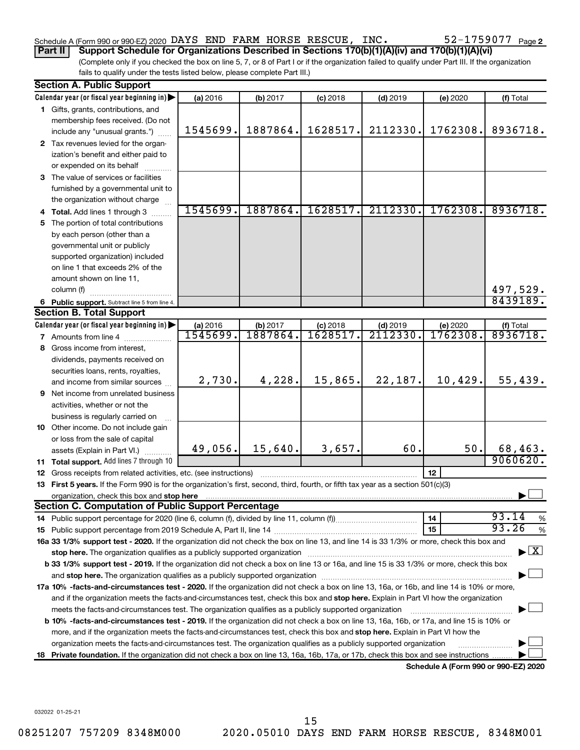### Schedule A (Form 990 or 990-EZ) 2020 DAYS END FARM HORSE RESCUE, INC.  $52-1759077$  Page

52-1759077 Page 2

**Part II Support Schedule for Organizations Described in Sections 170(b)(1)(A)(iv) and 170(b)(1)(A)(vi)**

(Complete only if you checked the box on line 5, 7, or 8 of Part I or if the organization failed to qualify under Part III. If the organization fails to qualify under the tests listed below, please complete Part III.)

|    | <b>Section A. Public Support</b>                                                                                                                                                                                               |          |          |            |            |                                      |                                            |
|----|--------------------------------------------------------------------------------------------------------------------------------------------------------------------------------------------------------------------------------|----------|----------|------------|------------|--------------------------------------|--------------------------------------------|
|    | Calendar year (or fiscal year beginning in)                                                                                                                                                                                    | (a) 2016 | (b) 2017 | $(c)$ 2018 | $(d)$ 2019 | (e) 2020                             | (f) Total                                  |
|    | 1 Gifts, grants, contributions, and                                                                                                                                                                                            |          |          |            |            |                                      |                                            |
|    | membership fees received. (Do not                                                                                                                                                                                              |          |          |            |            |                                      |                                            |
|    | include any "unusual grants.")                                                                                                                                                                                                 | 1545699. | 1887864. | 1628517.   | 2112330.   | 1762308.                             | 8936718.                                   |
|    | 2 Tax revenues levied for the organ-                                                                                                                                                                                           |          |          |            |            |                                      |                                            |
|    | ization's benefit and either paid to                                                                                                                                                                                           |          |          |            |            |                                      |                                            |
|    | or expended on its behalf                                                                                                                                                                                                      |          |          |            |            |                                      |                                            |
|    | 3 The value of services or facilities                                                                                                                                                                                          |          |          |            |            |                                      |                                            |
|    | furnished by a governmental unit to                                                                                                                                                                                            |          |          |            |            |                                      |                                            |
|    | the organization without charge                                                                                                                                                                                                |          |          |            |            |                                      |                                            |
|    | 4 Total. Add lines 1 through 3                                                                                                                                                                                                 | 1545699. | 1887864. | 1628517.   | 2112330.   | 1762308.                             | 8936718.                                   |
| 5  | The portion of total contributions                                                                                                                                                                                             |          |          |            |            |                                      |                                            |
|    | by each person (other than a                                                                                                                                                                                                   |          |          |            |            |                                      |                                            |
|    | governmental unit or publicly                                                                                                                                                                                                  |          |          |            |            |                                      |                                            |
|    | supported organization) included                                                                                                                                                                                               |          |          |            |            |                                      |                                            |
|    | on line 1 that exceeds 2% of the                                                                                                                                                                                               |          |          |            |            |                                      |                                            |
|    | amount shown on line 11,                                                                                                                                                                                                       |          |          |            |            |                                      |                                            |
|    | column (f)                                                                                                                                                                                                                     |          |          |            |            |                                      | 497,529.                                   |
|    | 6 Public support. Subtract line 5 from line 4.                                                                                                                                                                                 |          |          |            |            |                                      | 8439189.                                   |
|    | <b>Section B. Total Support</b>                                                                                                                                                                                                |          |          |            |            |                                      |                                            |
|    | Calendar year (or fiscal year beginning in)                                                                                                                                                                                    | (a) 2016 | (b) 2017 | $(c)$ 2018 | $(d)$ 2019 | (e) 2020                             |                                            |
|    | 7 Amounts from line 4                                                                                                                                                                                                          | 1545699. | 1887864  | 1628517    | 2112330    | 1762308.                             | $\underbrace{f\uparrow}$ Total<br>8936718. |
| 8  | Gross income from interest,                                                                                                                                                                                                    |          |          |            |            |                                      |                                            |
|    | dividends, payments received on                                                                                                                                                                                                |          |          |            |            |                                      |                                            |
|    | securities loans, rents, royalties,                                                                                                                                                                                            |          |          |            |            |                                      |                                            |
|    | and income from similar sources                                                                                                                                                                                                | 2,730.   | 4,228.   | 15,865.    | 22,187.    | 10,429.                              | 55,439.                                    |
| 9  | Net income from unrelated business                                                                                                                                                                                             |          |          |            |            |                                      |                                            |
|    | activities, whether or not the                                                                                                                                                                                                 |          |          |            |            |                                      |                                            |
|    | business is regularly carried on                                                                                                                                                                                               |          |          |            |            |                                      |                                            |
|    | 10 Other income. Do not include gain                                                                                                                                                                                           |          |          |            |            |                                      |                                            |
|    | or loss from the sale of capital                                                                                                                                                                                               |          |          |            |            |                                      |                                            |
|    | assets (Explain in Part VI.)                                                                                                                                                                                                   | 49,056.  | 15,640.  | 3,657.     | 60.        | 50.                                  | 68,463.                                    |
|    | 11 Total support. Add lines 7 through 10                                                                                                                                                                                       |          |          |            |            |                                      | 9060620.                                   |
|    | <b>12</b> Gross receipts from related activities, etc. (see instructions)                                                                                                                                                      |          |          |            |            | 12                                   |                                            |
|    | 13 First 5 years. If the Form 990 is for the organization's first, second, third, fourth, or fifth tax year as a section 501(c)(3)                                                                                             |          |          |            |            |                                      |                                            |
|    | organization, check this box and stop here                                                                                                                                                                                     |          |          |            |            |                                      |                                            |
|    | <b>Section C. Computation of Public Support Percentage</b>                                                                                                                                                                     |          |          |            |            |                                      |                                            |
|    |                                                                                                                                                                                                                                |          |          |            |            | 14                                   | 93.14<br>%                                 |
|    |                                                                                                                                                                                                                                |          |          |            |            | 15                                   | 93.26<br>%                                 |
|    | 16a 33 1/3% support test - 2020. If the organization did not check the box on line 13, and line 14 is 33 1/3% or more, check this box and                                                                                      |          |          |            |            |                                      |                                            |
|    | stop here. The organization qualifies as a publicly supported organization                                                                                                                                                     |          |          |            |            |                                      | $\blacktriangleright$ $\boxed{\text{X}}$   |
|    | b 33 1/3% support test - 2019. If the organization did not check a box on line 13 or 16a, and line 15 is 33 1/3% or more, check this box                                                                                       |          |          |            |            |                                      |                                            |
|    | and stop here. The organization qualifies as a publicly supported organization [11] manuscription manuscription manuscription manuscription manuscription manuscription manuscription manuscription manuscription manuscriptio |          |          |            |            |                                      |                                            |
|    | 17a 10% -facts-and-circumstances test - 2020. If the organization did not check a box on line 13, 16a, or 16b, and line 14 is 10% or more,                                                                                     |          |          |            |            |                                      |                                            |
|    | and if the organization meets the facts-and-circumstances test, check this box and stop here. Explain in Part VI how the organization                                                                                          |          |          |            |            |                                      |                                            |
|    | meets the facts-and-circumstances test. The organization qualifies as a publicly supported organization                                                                                                                        |          |          |            |            |                                      |                                            |
|    | <b>b 10%</b> -facts-and-circumstances test - 2019. If the organization did not check a box on line 13, 16a, 16b, or 17a, and line 15 is 10% or                                                                                 |          |          |            |            |                                      |                                            |
|    | more, and if the organization meets the facts-and-circumstances test, check this box and stop here. Explain in Part VI how the                                                                                                 |          |          |            |            |                                      |                                            |
|    | organization meets the facts-and-circumstances test. The organization qualifies as a publicly supported organization                                                                                                           |          |          |            |            |                                      |                                            |
| 18 | Private foundation. If the organization did not check a box on line 13, 16a, 16b, 17a, or 17b, check this box and see instructions                                                                                             |          |          |            |            |                                      |                                            |
|    |                                                                                                                                                                                                                                |          |          |            |            | Schedule A (Form 990 or 990-F7) 2020 |                                            |

**Schedule A (Form 990 or 990-EZ) 2020**

032022 01-25-21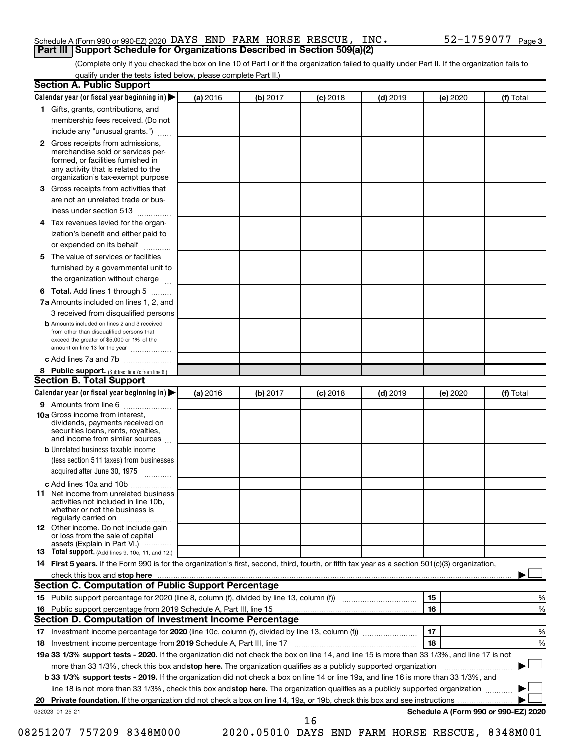### Schedule A (Form 990 or 990-EZ) 2020 DAYS END FARM HORSE RESCUE, INC.  $52-1759077$  Page **Part III Support Schedule for Organizations Described in Section 509(a)(2)**

(Complete only if you checked the box on line 10 of Part I or if the organization failed to qualify under Part II. If the organization fails to qualify under the tests listed below, please complete Part II.)

| Calendar year (or fiscal year beginning in)                                                                                                                                                                                                                                     | (a) 2016 | (b) 2017                 | $(c)$ 2018 | $(d)$ 2019 | (e) 2020 | (f) Total                                                                               |
|---------------------------------------------------------------------------------------------------------------------------------------------------------------------------------------------------------------------------------------------------------------------------------|----------|--------------------------|------------|------------|----------|-----------------------------------------------------------------------------------------|
| 1 Gifts, grants, contributions, and                                                                                                                                                                                                                                             |          |                          |            |            |          |                                                                                         |
| membership fees received. (Do not                                                                                                                                                                                                                                               |          |                          |            |            |          |                                                                                         |
| include any "unusual grants.")                                                                                                                                                                                                                                                  |          |                          |            |            |          |                                                                                         |
| 2 Gross receipts from admissions,<br>merchandise sold or services per-<br>formed, or facilities furnished in<br>any activity that is related to the                                                                                                                             |          |                          |            |            |          |                                                                                         |
| organization's tax-exempt purpose                                                                                                                                                                                                                                               |          |                          |            |            |          |                                                                                         |
| Gross receipts from activities that                                                                                                                                                                                                                                             |          |                          |            |            |          |                                                                                         |
| are not an unrelated trade or bus-<br>iness under section 513                                                                                                                                                                                                                   |          |                          |            |            |          |                                                                                         |
| Tax revenues levied for the organ-                                                                                                                                                                                                                                              |          |                          |            |            |          |                                                                                         |
| ization's benefit and either paid to<br>or expended on its behalf<br>.                                                                                                                                                                                                          |          |                          |            |            |          |                                                                                         |
| The value of services or facilities                                                                                                                                                                                                                                             |          |                          |            |            |          |                                                                                         |
| furnished by a governmental unit to<br>the organization without charge                                                                                                                                                                                                          |          |                          |            |            |          |                                                                                         |
| Total. Add lines 1 through 5                                                                                                                                                                                                                                                    |          |                          |            |            |          |                                                                                         |
| 7a Amounts included on lines 1, 2, and                                                                                                                                                                                                                                          |          |                          |            |            |          |                                                                                         |
| 3 received from disqualified persons                                                                                                                                                                                                                                            |          |                          |            |            |          |                                                                                         |
| <b>b</b> Amounts included on lines 2 and 3 received                                                                                                                                                                                                                             |          |                          |            |            |          |                                                                                         |
| from other than disqualified persons that<br>exceed the greater of \$5,000 or 1% of the<br>amount on line 13 for the year                                                                                                                                                       |          |                          |            |            |          |                                                                                         |
| c Add lines 7a and 7b                                                                                                                                                                                                                                                           |          |                          |            |            |          |                                                                                         |
| 8 Public support. (Subtract line 7c from line 6.)                                                                                                                                                                                                                               |          |                          |            |            |          |                                                                                         |
| <b>Section B. Total Support</b>                                                                                                                                                                                                                                                 |          |                          |            |            |          |                                                                                         |
| Calendar year (or fiscal year beginning in)                                                                                                                                                                                                                                     | (a) 2016 | (b) 2017                 | $(c)$ 2018 | $(d)$ 2019 | (e) 2020 | (f) Total                                                                               |
| <b>9</b> Amounts from line 6                                                                                                                                                                                                                                                    |          |                          |            |            |          |                                                                                         |
| <b>10a</b> Gross income from interest,<br>dividends, payments received on<br>securities loans, rents, royalties,<br>and income from similar sources                                                                                                                             |          |                          |            |            |          |                                                                                         |
| <b>b</b> Unrelated business taxable income                                                                                                                                                                                                                                      |          |                          |            |            |          |                                                                                         |
| (less section 511 taxes) from businesses<br>acquired after June 30, 1975 [[11, 11, 11, 11]                                                                                                                                                                                      |          |                          |            |            |          |                                                                                         |
| c Add lines 10a and 10b                                                                                                                                                                                                                                                         |          |                          |            |            |          |                                                                                         |
| Net income from unrelated business<br>activities not included in line 10b.<br>whether or not the business is<br>regularly carried on                                                                                                                                            |          |                          |            |            |          |                                                                                         |
| <b>12</b> Other income. Do not include gain<br>or loss from the sale of capital<br>assets (Explain in Part VI.)                                                                                                                                                                 |          |                          |            |            |          |                                                                                         |
| <b>13</b> Total support. (Add lines 9, 10c, 11, and 12.)                                                                                                                                                                                                                        |          |                          |            |            |          |                                                                                         |
| 14 First 5 years. If the Form 990 is for the organization's first, second, third, fourth, or fifth tax year as a section 501(c)(3) organization,                                                                                                                                |          |                          |            |            |          |                                                                                         |
|                                                                                                                                                                                                                                                                                 |          |                          |            |            |          |                                                                                         |
| Section C. Computation of Public Support Percentage                                                                                                                                                                                                                             |          |                          |            |            |          |                                                                                         |
|                                                                                                                                                                                                                                                                                 |          |                          |            |            | 15       | %                                                                                       |
|                                                                                                                                                                                                                                                                                 |          |                          |            |            | 16       | %                                                                                       |
| Section D. Computation of Investment Income Percentage                                                                                                                                                                                                                          |          |                          |            |            |          |                                                                                         |
|                                                                                                                                                                                                                                                                                 |          |                          |            |            | 17       | %                                                                                       |
| 18 Investment income percentage from 2019 Schedule A, Part III, line 17                                                                                                                                                                                                         |          |                          |            |            | 18       | %                                                                                       |
| 19a 33 1/3% support tests - 2020. If the organization did not check the box on line 14, and line 15 is more than 33 1/3%, and line 17 is not                                                                                                                                    |          |                          |            |            |          |                                                                                         |
| more than 33 1/3%, check this box and stop here. The organization qualifies as a publicly supported organization                                                                                                                                                                |          |                          |            |            |          |                                                                                         |
| <b>b 33 1/3% support tests - 2019.</b> If the organization did not check a box on line 14 or line 19a, and line 16 is more than 33 1/3%, and<br>line 18 is not more than 33 1/3%, check this box and stop here. The organization qualifies as a publicly supported organization |          |                          |            |            |          |                                                                                         |
|                                                                                                                                                                                                                                                                                 |          |                          |            |            |          |                                                                                         |
|                                                                                                                                                                                                                                                                                 |          |                          |            |            |          |                                                                                         |
|                                                                                                                                                                                                                                                                                 |          |                          |            |            |          |                                                                                         |
| 032023 01-25-21                                                                                                                                                                                                                                                                 |          | 08251207 757209 8348M000 |            | 16         |          | Schedule A (Form 990 or 990-EZ) 2020<br>2020.05010 DAYS END FARM HORSE RESCUE, 8348M001 |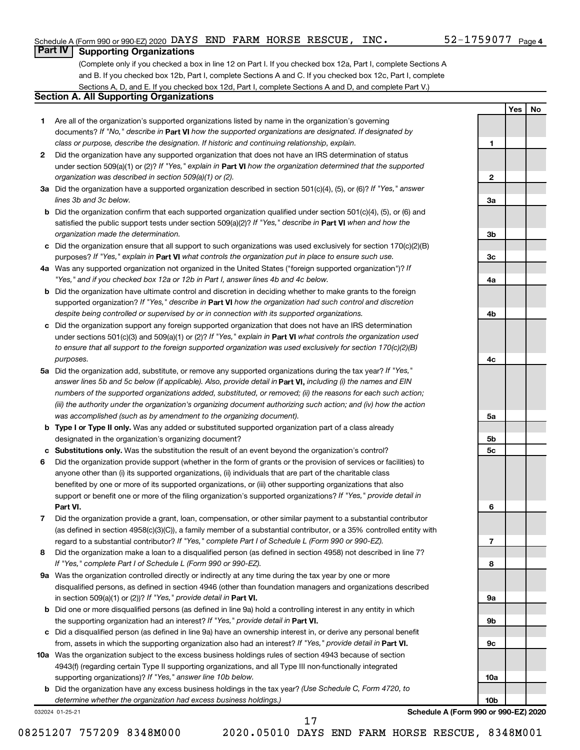**1**

**2**

**3a**

**3b**

**3c**

**4a**

**4b**

**4c**

**5a**

**5b 5c**

**6**

**7**

**8**

**9a**

**9b**

**9c**

**10a**

**10b**

**Yes No**

### **Part IV Supporting Organizations**

(Complete only if you checked a box in line 12 on Part I. If you checked box 12a, Part I, complete Sections A and B. If you checked box 12b, Part I, complete Sections A and C. If you checked box 12c, Part I, complete Sections A, D, and E. If you checked box 12d, Part I, complete Sections A and D, and complete Part V.)

### **Section A. All Supporting Organizations**

- **1** Are all of the organization's supported organizations listed by name in the organization's governing documents? If "No," describe in Part VI how the supported organizations are designated. If designated by *class or purpose, describe the designation. If historic and continuing relationship, explain.*
- **2** Did the organization have any supported organization that does not have an IRS determination of status under section 509(a)(1) or (2)? If "Yes," explain in Part **VI** how the organization determined that the supported *organization was described in section 509(a)(1) or (2).*
- **3a** Did the organization have a supported organization described in section 501(c)(4), (5), or (6)? If "Yes," answer *lines 3b and 3c below.*
- **b** Did the organization confirm that each supported organization qualified under section 501(c)(4), (5), or (6) and satisfied the public support tests under section 509(a)(2)? If "Yes," describe in Part VI when and how the *organization made the determination.*
- **c** Did the organization ensure that all support to such organizations was used exclusively for section 170(c)(2)(B) purposes? If "Yes," explain in Part VI what controls the organization put in place to ensure such use.
- **4 a** *If* Was any supported organization not organized in the United States ("foreign supported organization")? *"Yes," and if you checked box 12a or 12b in Part I, answer lines 4b and 4c below.*
- **b** Did the organization have ultimate control and discretion in deciding whether to make grants to the foreign supported organization? If "Yes," describe in Part VI how the organization had such control and discretion *despite being controlled or supervised by or in connection with its supported organizations.*
- **c** Did the organization support any foreign supported organization that does not have an IRS determination under sections 501(c)(3) and 509(a)(1) or (2)? If "Yes," explain in Part VI what controls the organization used *to ensure that all support to the foreign supported organization was used exclusively for section 170(c)(2)(B) purposes.*
- **5a** Did the organization add, substitute, or remove any supported organizations during the tax year? If "Yes," answer lines 5b and 5c below (if applicable). Also, provide detail in **Part VI,** including (i) the names and EIN *numbers of the supported organizations added, substituted, or removed; (ii) the reasons for each such action; (iii) the authority under the organization's organizing document authorizing such action; and (iv) how the action was accomplished (such as by amendment to the organizing document).*
- **b Type I or Type II only.** Was any added or substituted supported organization part of a class already designated in the organization's organizing document?
- **c Substitutions only.**  Was the substitution the result of an event beyond the organization's control?
- **6** Did the organization provide support (whether in the form of grants or the provision of services or facilities) to **Part VI.** support or benefit one or more of the filing organization's supported organizations? If "Yes," provide detail in anyone other than (i) its supported organizations, (ii) individuals that are part of the charitable class benefited by one or more of its supported organizations, or (iii) other supporting organizations that also
- **7** Did the organization provide a grant, loan, compensation, or other similar payment to a substantial contributor regard to a substantial contributor? If "Yes," complete Part I of Schedule L (Form 990 or 990-EZ). (as defined in section 4958(c)(3)(C)), a family member of a substantial contributor, or a 35% controlled entity with
- **8** Did the organization make a loan to a disqualified person (as defined in section 4958) not described in line 7? *If "Yes," complete Part I of Schedule L (Form 990 or 990-EZ).*
- **9 a** Was the organization controlled directly or indirectly at any time during the tax year by one or more in section 509(a)(1) or (2))? If "Yes," provide detail in **Part VI.** disqualified persons, as defined in section 4946 (other than foundation managers and organizations described
- **b** Did one or more disqualified persons (as defined in line 9a) hold a controlling interest in any entity in which the supporting organization had an interest? If "Yes," provide detail in Part VI.
- **c** Did a disqualified person (as defined in line 9a) have an ownership interest in, or derive any personal benefit from, assets in which the supporting organization also had an interest? If "Yes," provide detail in Part VI.
- **10 a** Was the organization subject to the excess business holdings rules of section 4943 because of section supporting organizations)? If "Yes," answer line 10b below. 4943(f) (regarding certain Type II supporting organizations, and all Type III non-functionally integrated
	- **b** Did the organization have any excess business holdings in the tax year? (Use Schedule C, Form 4720, to *determine whether the organization had excess business holdings.)*

032024 01-25-21

**Schedule A (Form 990 or 990-EZ) 2020**

08251207 757209 8348M000 2020.05010 DAYS END FARM HORSE RESCUE, 8348M001

17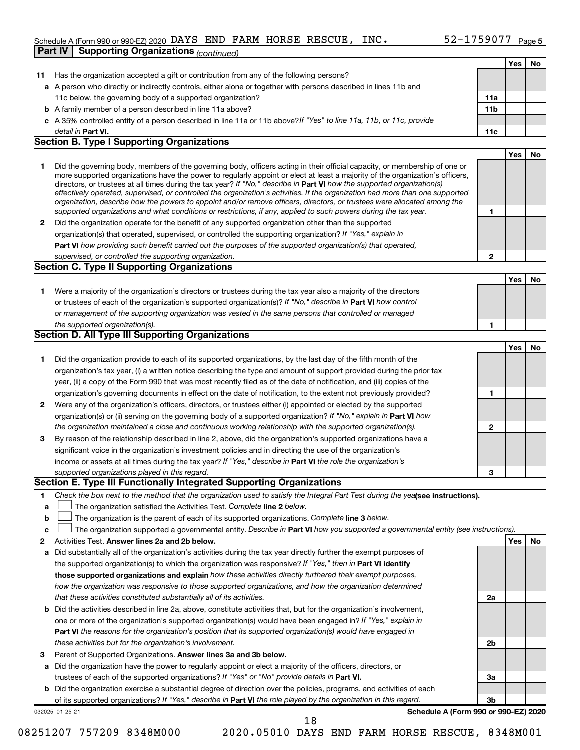### Schedule A (Form 990 or 990-EZ) 2020 DAYS END FARM HORSE RESCUE, INC.  $52 - 1759077$  Page **Part IV Supporting Organizations** *(continued)* DAYS END FARM HORSE RESCUE, INC. 52-1759077

|    |                                                                                                                                                                                                                                              |              | Yes | No |
|----|----------------------------------------------------------------------------------------------------------------------------------------------------------------------------------------------------------------------------------------------|--------------|-----|----|
| 11 | Has the organization accepted a gift or contribution from any of the following persons?                                                                                                                                                      |              |     |    |
|    | a A person who directly or indirectly controls, either alone or together with persons described in lines 11b and                                                                                                                             |              |     |    |
|    | 11c below, the governing body of a supported organization?                                                                                                                                                                                   | 11a          |     |    |
|    | <b>b</b> A family member of a person described in line 11a above?                                                                                                                                                                            | 11b          |     |    |
|    | c A 35% controlled entity of a person described in line 11a or 11b above? If "Yes" to line 11a, 11b, or 11c, provide                                                                                                                         |              |     |    |
|    | detail in Part VI.                                                                                                                                                                                                                           | 11c          |     |    |
|    | <b>Section B. Type I Supporting Organizations</b>                                                                                                                                                                                            |              |     |    |
|    |                                                                                                                                                                                                                                              |              | Yes | No |
| 1  | Did the governing body, members of the governing body, officers acting in their official capacity, or membership of one or                                                                                                                   |              |     |    |
|    | more supported organizations have the power to regularly appoint or elect at least a majority of the organization's officers,                                                                                                                |              |     |    |
|    | directors, or trustees at all times during the tax year? If "No," describe in Part VI how the supported organization(s)                                                                                                                      |              |     |    |
|    | effectively operated, supervised, or controlled the organization's activities. If the organization had more than one supported                                                                                                               |              |     |    |
|    | organization, describe how the powers to appoint and/or remove officers, directors, or trustees were allocated among the<br>supported organizations and what conditions or restrictions, if any, applied to such powers during the tax year. | 1            |     |    |
|    |                                                                                                                                                                                                                                              |              |     |    |
| 2  | Did the organization operate for the benefit of any supported organization other than the supported                                                                                                                                          |              |     |    |
|    | organization(s) that operated, supervised, or controlled the supporting organization? If "Yes," explain in                                                                                                                                   |              |     |    |
|    | Part VI how providing such benefit carried out the purposes of the supported organization(s) that operated,                                                                                                                                  |              |     |    |
|    | supervised, or controlled the supporting organization.                                                                                                                                                                                       | $\mathbf{2}$ |     |    |
|    | <b>Section C. Type II Supporting Organizations</b>                                                                                                                                                                                           |              |     |    |
|    |                                                                                                                                                                                                                                              |              | Yes | No |
| 1  | Were a majority of the organization's directors or trustees during the tax year also a majority of the directors                                                                                                                             |              |     |    |
|    | or trustees of each of the organization's supported organization(s)? If "No," describe in Part VI how control                                                                                                                                |              |     |    |
|    | or management of the supporting organization was vested in the same persons that controlled or managed                                                                                                                                       |              |     |    |
|    | the supported organization(s).                                                                                                                                                                                                               | 1            |     |    |
|    | Section D. All Type III Supporting Organizations                                                                                                                                                                                             |              |     |    |
|    |                                                                                                                                                                                                                                              |              | Yes | No |
| 1  | Did the organization provide to each of its supported organizations, by the last day of the fifth month of the                                                                                                                               |              |     |    |
|    | organization's tax year, (i) a written notice describing the type and amount of support provided during the prior tax                                                                                                                        |              |     |    |
|    | year, (ii) a copy of the Form 990 that was most recently filed as of the date of notification, and (iii) copies of the                                                                                                                       |              |     |    |
|    | organization's governing documents in effect on the date of notification, to the extent not previously provided?                                                                                                                             | 1            |     |    |
| 2  | Were any of the organization's officers, directors, or trustees either (i) appointed or elected by the supported                                                                                                                             |              |     |    |
|    | organization(s) or (ii) serving on the governing body of a supported organization? If "No," explain in Part VI how                                                                                                                           |              |     |    |
|    | the organization maintained a close and continuous working relationship with the supported organization(s).                                                                                                                                  | $\mathbf{2}$ |     |    |
| 3  | By reason of the relationship described in line 2, above, did the organization's supported organizations have a                                                                                                                              |              |     |    |
|    | significant voice in the organization's investment policies and in directing the use of the organization's                                                                                                                                   |              |     |    |
|    | income or assets at all times during the tax year? If "Yes," describe in Part VI the role the organization's                                                                                                                                 |              |     |    |
|    | supported organizations played in this regard.                                                                                                                                                                                               | 3            |     |    |
|    | Section E. Type III Functionally Integrated Supporting Organizations                                                                                                                                                                         |              |     |    |
| 1  | Check the box next to the method that the organization used to satisfy the Integral Part Test during the yealsee instructions).                                                                                                              |              |     |    |
| a  | The organization satisfied the Activities Test. Complete line 2 below.                                                                                                                                                                       |              |     |    |
| b  | The organization is the parent of each of its supported organizations. Complete line 3 below.                                                                                                                                                |              |     |    |
| с  | The organization supported a governmental entity. Describe in Part VI how you supported a governmental entity (see instructions).                                                                                                            |              |     |    |
| 2  | Activities Test. Answer lines 2a and 2b below.                                                                                                                                                                                               |              | Yes | No |
| a  | Did substantially all of the organization's activities during the tax year directly further the exempt purposes of                                                                                                                           |              |     |    |
|    | the supported organization(s) to which the organization was responsive? If "Yes," then in Part VI identify                                                                                                                                   |              |     |    |
|    | those supported organizations and explain how these activities directly furthered their exempt purposes,                                                                                                                                     |              |     |    |
|    | how the organization was responsive to those supported organizations, and how the organization determined                                                                                                                                    |              |     |    |
|    |                                                                                                                                                                                                                                              |              |     |    |
|    | that these activities constituted substantially all of its activities.                                                                                                                                                                       | 2a           |     |    |
| b  | Did the activities described in line 2a, above, constitute activities that, but for the organization's involvement,                                                                                                                          |              |     |    |
|    | one or more of the organization's supported organization(s) would have been engaged in? If "Yes," explain in                                                                                                                                 |              |     |    |
|    | <b>Part VI</b> the reasons for the organization's position that its supported organization(s) would have engaged in                                                                                                                          |              |     |    |
|    | these activities but for the organization's involvement.                                                                                                                                                                                     | 2b           |     |    |
| з  | Parent of Supported Organizations. Answer lines 3a and 3b below.                                                                                                                                                                             |              |     |    |
| а  | Did the organization have the power to regularly appoint or elect a majority of the officers, directors, or                                                                                                                                  |              |     |    |
|    | trustees of each of the supported organizations? If "Yes" or "No" provide details in Part VI.                                                                                                                                                | За           |     |    |
| b  | Did the organization exercise a substantial degree of direction over the policies, programs, and activities of each                                                                                                                          |              |     |    |
|    | of its supported organizations? If "Yes," describe in Part VI the role played by the organization in this regard.                                                                                                                            | 3b           |     |    |
|    | Schedule A (Form 990 or 990-EZ) 2020<br>032025 01-25-21                                                                                                                                                                                      |              |     |    |
|    | 18                                                                                                                                                                                                                                           |              |     |    |

<sup>08251207 757209 8348</sup>M000 2020.05010 DAYS END FARM HORSE RESCUE, 8348M001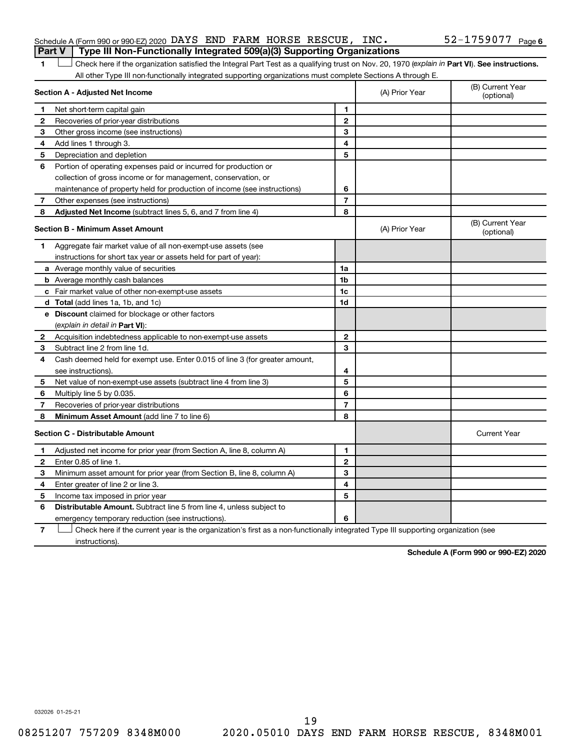|  | <b>Part V</b> Type III Non-Functionally Integrated 509(a)(3) Supporting Organizations |  |  |                              |  |
|--|---------------------------------------------------------------------------------------|--|--|------------------------------|--|
|  | Schedule A (Form 990 or 990-EZ) 2020 DAYS END FARM HORSE RESCUE, INC.                 |  |  | 52-1759077 <sub>Page 6</sub> |  |

1 **Letter See instructions.** Check here if the organization satisfied the Integral Part Test as a qualifying trust on Nov. 20, 1970 (*explain in* Part **VI**). See instructions. All other Type III non-functionally integrated supporting organizations must complete Sections A through E.

|              | Section A - Adjusted Net Income                                             | (A) Prior Year | (B) Current Year<br>(optional) |                                |
|--------------|-----------------------------------------------------------------------------|----------------|--------------------------------|--------------------------------|
| 1            | Net short-term capital gain                                                 | 1              |                                |                                |
| 2            | Recoveries of prior-year distributions                                      | $\mathbf{2}$   |                                |                                |
| 3            | Other gross income (see instructions)                                       | 3              |                                |                                |
| 4            | Add lines 1 through 3.                                                      | 4              |                                |                                |
| 5            | Depreciation and depletion                                                  | 5              |                                |                                |
| 6            | Portion of operating expenses paid or incurred for production or            |                |                                |                                |
|              | collection of gross income or for management, conservation, or              |                |                                |                                |
|              | maintenance of property held for production of income (see instructions)    | 6              |                                |                                |
| 7            | Other expenses (see instructions)                                           | $\overline{7}$ |                                |                                |
| 8            | <b>Adjusted Net Income</b> (subtract lines 5, 6, and 7 from line 4)         | 8              |                                |                                |
|              | <b>Section B - Minimum Asset Amount</b>                                     |                | (A) Prior Year                 | (B) Current Year<br>(optional) |
| 1.           | Aggregate fair market value of all non-exempt-use assets (see               |                |                                |                                |
|              | instructions for short tax year or assets held for part of year):           |                |                                |                                |
|              | <b>a</b> Average monthly value of securities                                | 1a             |                                |                                |
|              | <b>b</b> Average monthly cash balances                                      | 1b             |                                |                                |
|              | c Fair market value of other non-exempt-use assets                          | 1c             |                                |                                |
|              | d Total (add lines 1a, 1b, and 1c)                                          | 1d             |                                |                                |
|              | e Discount claimed for blockage or other factors                            |                |                                |                                |
|              | (explain in detail in <b>Part VI</b> ):                                     |                |                                |                                |
| $\mathbf{2}$ | Acquisition indebtedness applicable to non-exempt-use assets                | $\mathbf{2}$   |                                |                                |
| 3            | Subtract line 2 from line 1d.                                               | 3              |                                |                                |
| 4            | Cash deemed held for exempt use. Enter 0.015 of line 3 (for greater amount, |                |                                |                                |
|              | see instructions).                                                          | 4              |                                |                                |
| 5            | Net value of non-exempt-use assets (subtract line 4 from line 3)            | 5              |                                |                                |
| 6            | Multiply line 5 by 0.035.                                                   | 6              |                                |                                |
| 7            | Recoveries of prior-year distributions                                      | $\overline{7}$ |                                |                                |
| 8            | Minimum Asset Amount (add line 7 to line 6)                                 | 8              |                                |                                |
|              | <b>Section C - Distributable Amount</b>                                     |                |                                | <b>Current Year</b>            |
| 1            | Adjusted net income for prior year (from Section A, line 8, column A)       | 1              |                                |                                |
| 2            | Enter 0.85 of line 1.                                                       | $\mathbf{2}$   |                                |                                |
| З            | Minimum asset amount for prior year (from Section B, line 8, column A)      | 3              |                                |                                |
| 4            | Enter greater of line 2 or line 3.                                          | 4              |                                |                                |
| 5            | Income tax imposed in prior year                                            | 5              |                                |                                |
| 6            | <b>Distributable Amount.</b> Subtract line 5 from line 4, unless subject to |                |                                |                                |
|              | emergency temporary reduction (see instructions).                           | 6              |                                |                                |
|              |                                                                             |                |                                |                                |

**7** Check here if the current year is the organization's first as a non-functionally integrated Type III supporting organization (see † instructions).

**Schedule A (Form 990 or 990-EZ) 2020**

032026 01-25-21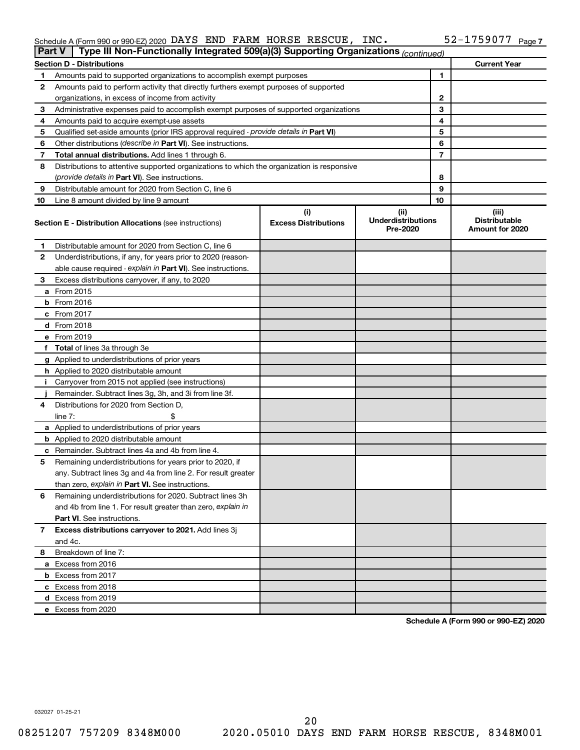### Schedule A (Form 990 or 990-EZ) 2020 DAYS END FARM HORSE RESCUE, INC.  $52 - 1759077$  Page DAYS END FARM HORSE RESCUE, INC. 52-1759077

| <b>Part V</b> | Type III Non-Functionally Integrated 509(a)(3) Supporting Organizations (continued)        |                                    |                                               |    |                                                         |
|---------------|--------------------------------------------------------------------------------------------|------------------------------------|-----------------------------------------------|----|---------------------------------------------------------|
|               | <b>Section D - Distributions</b>                                                           |                                    |                                               |    | <b>Current Year</b>                                     |
| 1             | Amounts paid to supported organizations to accomplish exempt purposes                      |                                    |                                               | 1  |                                                         |
| 2             | Amounts paid to perform activity that directly furthers exempt purposes of supported       |                                    |                                               |    |                                                         |
|               | organizations, in excess of income from activity                                           |                                    |                                               | 2  |                                                         |
| 3             | Administrative expenses paid to accomplish exempt purposes of supported organizations      |                                    |                                               | 3  |                                                         |
| 4             | Amounts paid to acquire exempt-use assets                                                  |                                    | 4                                             |    |                                                         |
| 5             | Qualified set-aside amounts (prior IRS approval required - provide details in Part VI)     |                                    |                                               | 5  |                                                         |
| 6             | Other distributions ( <i>describe in Part VI</i> ). See instructions.                      |                                    |                                               | 6  |                                                         |
| 7             | Total annual distributions. Add lines 1 through 6.                                         |                                    |                                               | 7  |                                                         |
| 8             | Distributions to attentive supported organizations to which the organization is responsive |                                    |                                               |    |                                                         |
|               | (provide details in Part VI). See instructions.                                            |                                    |                                               | 8  |                                                         |
| 9             | Distributable amount for 2020 from Section C, line 6                                       |                                    | 9                                             |    |                                                         |
| 10            | Line 8 amount divided by line 9 amount                                                     |                                    |                                               | 10 |                                                         |
|               | <b>Section E - Distribution Allocations (see instructions)</b>                             | (i)<br><b>Excess Distributions</b> | (ii)<br><b>Underdistributions</b><br>Pre-2020 |    | (iii)<br><b>Distributable</b><br><b>Amount for 2020</b> |
| 1             | Distributable amount for 2020 from Section C, line 6                                       |                                    |                                               |    |                                                         |
| 2             | Underdistributions, if any, for years prior to 2020 (reason-                               |                                    |                                               |    |                                                         |
|               | able cause required - explain in Part VI). See instructions.                               |                                    |                                               |    |                                                         |
| 3             | Excess distributions carryover, if any, to 2020                                            |                                    |                                               |    |                                                         |
|               | a From 2015                                                                                |                                    |                                               |    |                                                         |
|               | <b>b</b> From 2016                                                                         |                                    |                                               |    |                                                         |
|               | $c$ From 2017                                                                              |                                    |                                               |    |                                                         |
|               | d From 2018                                                                                |                                    |                                               |    |                                                         |
|               | e From 2019                                                                                |                                    |                                               |    |                                                         |
|               | f Total of lines 3a through 3e                                                             |                                    |                                               |    |                                                         |
|               | g Applied to underdistributions of prior years                                             |                                    |                                               |    |                                                         |
|               | <b>h</b> Applied to 2020 distributable amount                                              |                                    |                                               |    |                                                         |
| Ť.            | Carryover from 2015 not applied (see instructions)                                         |                                    |                                               |    |                                                         |
|               | Remainder. Subtract lines 3g, 3h, and 3i from line 3f.                                     |                                    |                                               |    |                                                         |
| 4             | Distributions for 2020 from Section D,                                                     |                                    |                                               |    |                                                         |
|               | line $7:$                                                                                  |                                    |                                               |    |                                                         |
|               | a Applied to underdistributions of prior years                                             |                                    |                                               |    |                                                         |
|               | <b>b</b> Applied to 2020 distributable amount                                              |                                    |                                               |    |                                                         |
|               | c Remainder. Subtract lines 4a and 4b from line 4.                                         |                                    |                                               |    |                                                         |
| 5             | Remaining underdistributions for years prior to 2020, if                                   |                                    |                                               |    |                                                         |
|               | any. Subtract lines 3g and 4a from line 2. For result greater                              |                                    |                                               |    |                                                         |
|               | than zero, explain in Part VI. See instructions.                                           |                                    |                                               |    |                                                         |
| 6             | Remaining underdistributions for 2020. Subtract lines 3h                                   |                                    |                                               |    |                                                         |
|               | and 4b from line 1. For result greater than zero, explain in                               |                                    |                                               |    |                                                         |
|               | <b>Part VI.</b> See instructions.                                                          |                                    |                                               |    |                                                         |
| 7             | Excess distributions carryover to 2021. Add lines 3j                                       |                                    |                                               |    |                                                         |
|               | and 4c.                                                                                    |                                    |                                               |    |                                                         |
| 8             | Breakdown of line 7:                                                                       |                                    |                                               |    |                                                         |
|               | a Excess from 2016                                                                         |                                    |                                               |    |                                                         |
|               | <b>b</b> Excess from 2017                                                                  |                                    |                                               |    |                                                         |
|               | c Excess from 2018                                                                         |                                    |                                               |    |                                                         |
|               | d Excess from 2019                                                                         |                                    |                                               |    |                                                         |
|               | e Excess from 2020                                                                         |                                    |                                               |    |                                                         |

**Schedule A (Form 990 or 990-EZ) 2020**

032027 01-25-21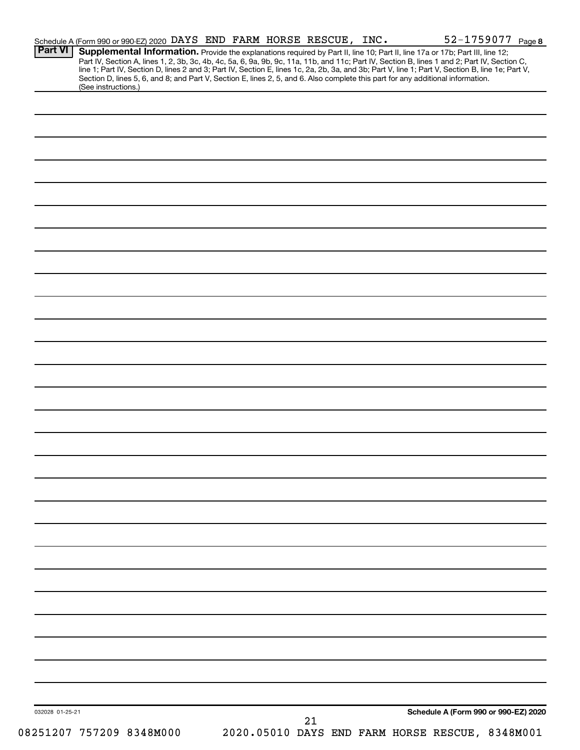| <b>Part VI</b>  |                     | Schedule A (Form 990 or 990-EZ) 2020 DAYS END FARM HORSE RESCUE, INC.<br>Supplemental Information. Provide the explanations required by Part II, line 10; Part II, line 17a or 17b; Part III, line 12;                                                                                           |  |    |  | 52-1759077 Page 8                    |  |
|-----------------|---------------------|--------------------------------------------------------------------------------------------------------------------------------------------------------------------------------------------------------------------------------------------------------------------------------------------------|--|----|--|--------------------------------------|--|
|                 |                     | Part IV, Section A, lines 1, 2, 3b, 3c, 4b, 4c, 5a, 6, 9a, 9b, 9c, 11a, 11b, and 11c; Part IV, Section B, lines 1 and 2; Part IV, Section C,<br>line 1; Part IV, Section D, lines 2 and 3; Part IV, Section E, lines 1c, 2a, 2b, 3a, and 3b; Part V, line 1; Part V, Section B, line 1e; Part V, |  |    |  |                                      |  |
|                 |                     | Section D, lines 5, 6, and 8; and Part V, Section E, lines 2, 5, and 6. Also complete this part for any additional information.                                                                                                                                                                  |  |    |  |                                      |  |
|                 | (See instructions.) |                                                                                                                                                                                                                                                                                                  |  |    |  |                                      |  |
|                 |                     |                                                                                                                                                                                                                                                                                                  |  |    |  |                                      |  |
|                 |                     |                                                                                                                                                                                                                                                                                                  |  |    |  |                                      |  |
|                 |                     |                                                                                                                                                                                                                                                                                                  |  |    |  |                                      |  |
|                 |                     |                                                                                                                                                                                                                                                                                                  |  |    |  |                                      |  |
|                 |                     |                                                                                                                                                                                                                                                                                                  |  |    |  |                                      |  |
|                 |                     |                                                                                                                                                                                                                                                                                                  |  |    |  |                                      |  |
|                 |                     |                                                                                                                                                                                                                                                                                                  |  |    |  |                                      |  |
|                 |                     |                                                                                                                                                                                                                                                                                                  |  |    |  |                                      |  |
|                 |                     |                                                                                                                                                                                                                                                                                                  |  |    |  |                                      |  |
|                 |                     |                                                                                                                                                                                                                                                                                                  |  |    |  |                                      |  |
|                 |                     |                                                                                                                                                                                                                                                                                                  |  |    |  |                                      |  |
|                 |                     |                                                                                                                                                                                                                                                                                                  |  |    |  |                                      |  |
|                 |                     |                                                                                                                                                                                                                                                                                                  |  |    |  |                                      |  |
|                 |                     |                                                                                                                                                                                                                                                                                                  |  |    |  |                                      |  |
|                 |                     |                                                                                                                                                                                                                                                                                                  |  |    |  |                                      |  |
|                 |                     |                                                                                                                                                                                                                                                                                                  |  |    |  |                                      |  |
|                 |                     |                                                                                                                                                                                                                                                                                                  |  |    |  |                                      |  |
|                 |                     |                                                                                                                                                                                                                                                                                                  |  |    |  |                                      |  |
|                 |                     |                                                                                                                                                                                                                                                                                                  |  |    |  |                                      |  |
|                 |                     |                                                                                                                                                                                                                                                                                                  |  |    |  |                                      |  |
|                 |                     |                                                                                                                                                                                                                                                                                                  |  |    |  |                                      |  |
|                 |                     |                                                                                                                                                                                                                                                                                                  |  |    |  |                                      |  |
|                 |                     |                                                                                                                                                                                                                                                                                                  |  |    |  |                                      |  |
|                 |                     |                                                                                                                                                                                                                                                                                                  |  |    |  |                                      |  |
|                 |                     |                                                                                                                                                                                                                                                                                                  |  |    |  |                                      |  |
|                 |                     |                                                                                                                                                                                                                                                                                                  |  |    |  |                                      |  |
|                 |                     |                                                                                                                                                                                                                                                                                                  |  |    |  |                                      |  |
|                 |                     |                                                                                                                                                                                                                                                                                                  |  |    |  |                                      |  |
|                 |                     |                                                                                                                                                                                                                                                                                                  |  |    |  |                                      |  |
|                 |                     |                                                                                                                                                                                                                                                                                                  |  |    |  |                                      |  |
|                 |                     |                                                                                                                                                                                                                                                                                                  |  |    |  |                                      |  |
|                 |                     |                                                                                                                                                                                                                                                                                                  |  |    |  |                                      |  |
|                 |                     |                                                                                                                                                                                                                                                                                                  |  |    |  |                                      |  |
|                 |                     |                                                                                                                                                                                                                                                                                                  |  |    |  |                                      |  |
|                 |                     |                                                                                                                                                                                                                                                                                                  |  |    |  |                                      |  |
|                 |                     |                                                                                                                                                                                                                                                                                                  |  |    |  |                                      |  |
|                 |                     |                                                                                                                                                                                                                                                                                                  |  |    |  |                                      |  |
|                 |                     |                                                                                                                                                                                                                                                                                                  |  |    |  |                                      |  |
|                 |                     |                                                                                                                                                                                                                                                                                                  |  |    |  |                                      |  |
|                 |                     |                                                                                                                                                                                                                                                                                                  |  |    |  |                                      |  |
|                 |                     |                                                                                                                                                                                                                                                                                                  |  |    |  |                                      |  |
|                 |                     |                                                                                                                                                                                                                                                                                                  |  |    |  |                                      |  |
|                 |                     |                                                                                                                                                                                                                                                                                                  |  |    |  |                                      |  |
|                 |                     |                                                                                                                                                                                                                                                                                                  |  |    |  |                                      |  |
|                 |                     |                                                                                                                                                                                                                                                                                                  |  |    |  |                                      |  |
| 032028 01-25-21 |                     |                                                                                                                                                                                                                                                                                                  |  | 21 |  | Schedule A (Form 990 or 990-EZ) 2020 |  |
|                 |                     |                                                                                                                                                                                                                                                                                                  |  |    |  |                                      |  |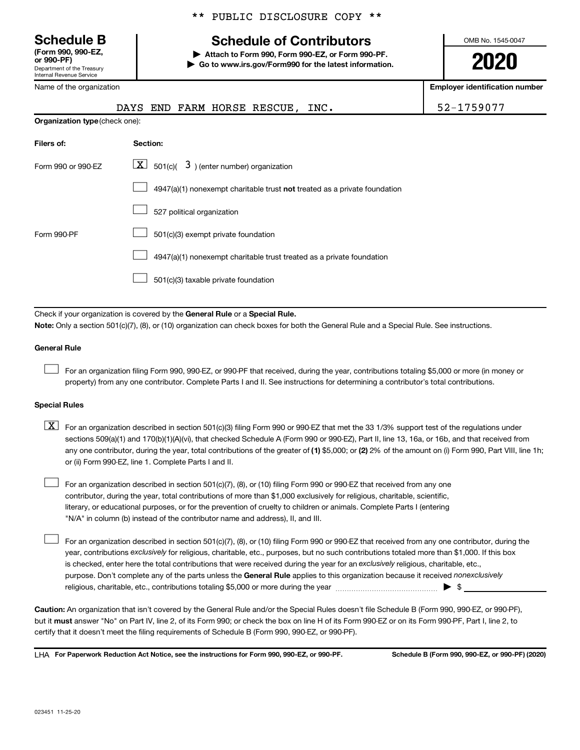Department of the Treasury Internal Revenue Service **(Form 990, 990-EZ,**

Name of the organization

### \*\* PUBLIC DISCLOSURE COPY \*\*

## **Schedule B Schedule of Contributors**

**or 990-PF) | Attach to Form 990, Form 990-EZ, or Form 990-PF. | Go to www.irs.gov/Form990 for the latest information.** OMB No. 1545-0047

**2020**

mber

| Name of the organization       |                                                                                                                                                                                                                                                                                                                                                                                                                                                                                                           | Employer identification number |
|--------------------------------|-----------------------------------------------------------------------------------------------------------------------------------------------------------------------------------------------------------------------------------------------------------------------------------------------------------------------------------------------------------------------------------------------------------------------------------------------------------------------------------------------------------|--------------------------------|
|                                | DAYS END FARM HORSE RESCUE,<br>INC.                                                                                                                                                                                                                                                                                                                                                                                                                                                                       | 52-1759077                     |
| Organization type (check one): |                                                                                                                                                                                                                                                                                                                                                                                                                                                                                                           |                                |
| Filers of:                     | Section:                                                                                                                                                                                                                                                                                                                                                                                                                                                                                                  |                                |
| Form 990 or 990-EZ             | $\lfloor x \rfloor$ 501(c)( 3) (enter number) organization                                                                                                                                                                                                                                                                                                                                                                                                                                                |                                |
|                                | $4947(a)(1)$ nonexempt charitable trust not treated as a private foundation                                                                                                                                                                                                                                                                                                                                                                                                                               |                                |
|                                | 527 political organization                                                                                                                                                                                                                                                                                                                                                                                                                                                                                |                                |
| Form 990-PF                    | 501(c)(3) exempt private foundation                                                                                                                                                                                                                                                                                                                                                                                                                                                                       |                                |
|                                | 4947(a)(1) nonexempt charitable trust treated as a private foundation                                                                                                                                                                                                                                                                                                                                                                                                                                     |                                |
|                                | 501(c)(3) taxable private foundation                                                                                                                                                                                                                                                                                                                                                                                                                                                                      |                                |
|                                |                                                                                                                                                                                                                                                                                                                                                                                                                                                                                                           |                                |
|                                | Check if your organization is covered by the General Rule or a Special Rule.<br>Note: Only a section 501(c)(7), (8), or (10) organization can check boxes for both the General Rule and a Special Rule. See instructions.                                                                                                                                                                                                                                                                                 |                                |
| <b>General Rule</b>            |                                                                                                                                                                                                                                                                                                                                                                                                                                                                                                           |                                |
|                                | For an organization filing Form 990, 990-EZ, or 990-PF that received, during the year, contributions totaling \$5,000 or more (in money or<br>property) from any one contributor. Complete Parts I and II. See instructions for determining a contributor's total contributions.                                                                                                                                                                                                                          |                                |
| <b>Special Rules</b>           |                                                                                                                                                                                                                                                                                                                                                                                                                                                                                                           |                                |
| $\lfloor x \rfloor$            | For an organization described in section 501(c)(3) filing Form 990 or 990-EZ that met the 33 1/3% support test of the regulations under<br>sections 509(a)(1) and 170(b)(1)(A)(vi), that checked Schedule A (Form 990 or 990-EZ), Part II, line 13, 16a, or 16b, and that received from<br>any one contributor, during the year, total contributions of the greater of (1) \$5,000; or (2) 2% of the amount on (i) Form 990, Part VIII, line 1h;<br>or (ii) Form 990-EZ, line 1. Complete Parts I and II. |                                |
|                                | For an organization described in section 501(c)(7), (8), or (10) filing Form 990 or 990-EZ that received from any one<br>contributor, during the year, total contributions of more than \$1,000 exclusively for religious, charitable, scientific,                                                                                                                                                                                                                                                        |                                |

literary, or educational purposes, or for the prevention of cruelty to children or animals. Complete Parts I (entering "N/A" in column (b) instead of the contributor name and address), II, and III.

purpose. Don't complete any of the parts unless the General Rule applies to this organization because it received nonexclusively year, contributions exclusively for religious, charitable, etc., purposes, but no such contributions totaled more than \$1,000. If this box is checked, enter here the total contributions that were received during the year for an exclusively religious, charitable, etc., For an organization described in section 501(c)(7), (8), or (10) filing Form 990 or 990-EZ that received from any one contributor, during the religious, charitable, etc., contributions totaling \$5,000 or more during the year  $\ldots$  $\ldots$  $\ldots$  $\ldots$  $\ldots$  $\ldots$ 

**Caution:**  An organization that isn't covered by the General Rule and/or the Special Rules doesn't file Schedule B (Form 990, 990-EZ, or 990-PF),  **must** but it answer "No" on Part IV, line 2, of its Form 990; or check the box on line H of its Form 990-EZ or on its Form 990-PF, Part I, line 2, to certify that it doesn't meet the filing requirements of Schedule B (Form 990, 990-EZ, or 990-PF).

**For Paperwork Reduction Act Notice, see the instructions for Form 990, 990-EZ, or 990-PF. Schedule B (Form 990, 990-EZ, or 990-PF) (2020)** LHA

 $\Box$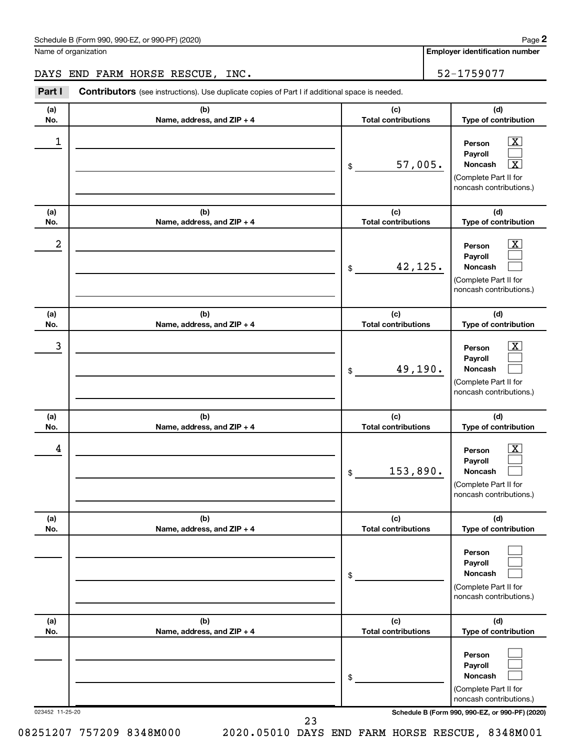### Schedule B (Form 990, 990-EZ, or 990-PF) (2020)

Name of organization

**Employer identification number**

### DAYS END FARM HORSE RESCUE, INC. 52-1759077

**Part I** Contributors (see instructions). Use duplicate copies of Part I if additional space is needed.

| (a)<br>No.       | (b)<br>Name, address, and ZIP + 4 | (c)<br><b>Total contributions</b> | (d)<br>Type of contribution                                                                                                         |
|------------------|-----------------------------------|-----------------------------------|-------------------------------------------------------------------------------------------------------------------------------------|
| 1                |                                   | 57,005.<br>\$                     | $\boxed{\textbf{X}}$<br>Person<br>Payroll<br>$\overline{\mathbf{X}}$<br>Noncash<br>(Complete Part II for<br>noncash contributions.) |
| (a)<br>No.       | (b)<br>Name, address, and ZIP + 4 | (c)<br><b>Total contributions</b> | (d)<br>Type of contribution                                                                                                         |
| $\boldsymbol{2}$ |                                   | 42,125.<br>\$                     | $\mathbf{X}$<br>Person<br>Payroll<br>Noncash<br>(Complete Part II for<br>noncash contributions.)                                    |
| (a)<br>No.       | (b)<br>Name, address, and ZIP + 4 | (c)<br><b>Total contributions</b> | (d)<br>Type of contribution                                                                                                         |
| 3                |                                   | 49,190.<br>\$                     | $\overline{\mathbf{X}}$<br>Person<br>Payroll<br><b>Noncash</b><br>(Complete Part II for<br>noncash contributions.)                  |
| (a)<br>No.       | (b)<br>Name, address, and ZIP + 4 | (c)<br><b>Total contributions</b> | (d)<br>Type of contribution                                                                                                         |
| 4                |                                   | 153,890.<br>\$                    | $\mathbf{X}$<br>Person<br>Payroll<br><b>Noncash</b><br>(Complete Part II for<br>noncash contributions.)                             |
| (a)<br>No.       | (b)<br>Name, address, and ZIP + 4 | (c)<br><b>Total contributions</b> | (d)<br>Type of contribution                                                                                                         |
|                  |                                   | \$                                | Person<br>Payroll<br>Noncash<br>(Complete Part II for<br>noncash contributions.)                                                    |
| (a)<br>No.       | (b)<br>Name, address, and ZIP + 4 | (c)<br><b>Total contributions</b> | (d)<br>Type of contribution                                                                                                         |
| 023452 11-25-20  |                                   | \$                                | Person<br>Payroll<br>Noncash<br>(Complete Part II for<br>noncash contributions.)<br>Schedule B (Form 990, 990-EZ, or 990-PF) (2020) |
|                  | 23                                |                                   |                                                                                                                                     |

08251207 757209 8348M000 2020.05010 DAYS END FARM HORSE RESCUE, 8348M001

**2**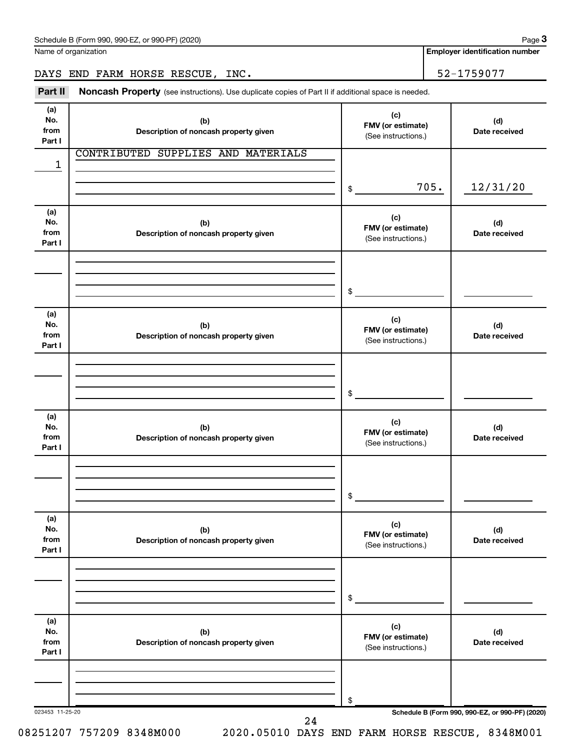Name of organization

**Employer identification number**

DAYS END FARM HORSE RESCUE, INC. 52-1759077

Part II Noncash Property (see instructions). Use duplicate copies of Part II if additional space is needed.

| (a)<br>No.<br>from<br>Part I | (b)<br>Description of noncash property given | (c)<br>FMV (or estimate)<br>(See instructions.) | (d)<br>Date received                            |
|------------------------------|----------------------------------------------|-------------------------------------------------|-------------------------------------------------|
|                              | CONTRIBUTED SUPPLIES AND MATERIALS           |                                                 |                                                 |
| 1                            |                                              |                                                 |                                                 |
|                              |                                              | 705.<br>\$                                      | 12/31/20                                        |
| (a)<br>No.<br>from<br>Part I | (b)<br>Description of noncash property given | (c)<br>FMV (or estimate)<br>(See instructions.) | (d)<br>Date received                            |
|                              |                                              |                                                 |                                                 |
|                              |                                              | \$                                              |                                                 |
| (a)<br>No.<br>from<br>Part I | (b)<br>Description of noncash property given | (c)<br>FMV (or estimate)<br>(See instructions.) | (d)<br>Date received                            |
|                              |                                              |                                                 |                                                 |
|                              |                                              | \$                                              |                                                 |
| (a)<br>No.<br>from<br>Part I | (b)<br>Description of noncash property given | (c)<br>FMV (or estimate)<br>(See instructions.) | (d)<br>Date received                            |
|                              |                                              |                                                 |                                                 |
|                              |                                              | \$                                              |                                                 |
| (a)<br>No.<br>from<br>Part I | (b)<br>Description of noncash property given | (c)<br>FMV (or estimate)<br>(See instructions.) | (d)<br>Date received                            |
|                              |                                              |                                                 |                                                 |
|                              |                                              | \$                                              |                                                 |
| (a)<br>No.<br>from<br>Part I | (b)<br>Description of noncash property given | (c)<br>FMV (or estimate)<br>(See instructions.) | (d)<br>Date received                            |
|                              |                                              |                                                 |                                                 |
|                              |                                              | \$                                              |                                                 |
| 023453 11-25-20              | 24                                           |                                                 | Schedule B (Form 990, 990-EZ, or 990-PF) (2020) |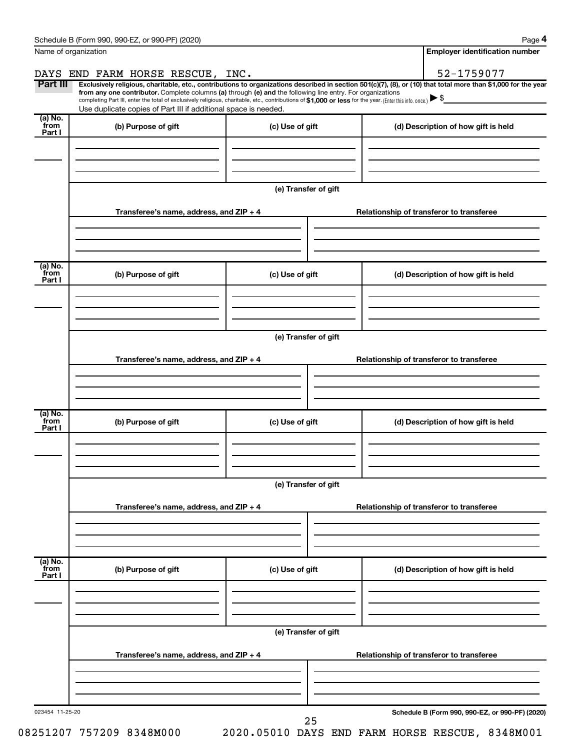| Name of organization |                                                                                                                                                                                                                                                                              |                      |  | <b>Employer identification number</b>           |  |  |  |  |
|----------------------|------------------------------------------------------------------------------------------------------------------------------------------------------------------------------------------------------------------------------------------------------------------------------|----------------------|--|-------------------------------------------------|--|--|--|--|
|                      | DAYS END FARM HORSE RESCUE, INC.                                                                                                                                                                                                                                             |                      |  | 52-1759077                                      |  |  |  |  |
| Part III             | Exclusively religious, charitable, etc., contributions to organizations described in section 501(c)(7), (8), or (10) that total more than \$1,000 for the year<br>from any one contributor. Complete columns (a) through (e) and the following line entry. For organizations |                      |  |                                                 |  |  |  |  |
|                      | completing Part III, enter the total of exclusively religious, charitable, etc., contributions of \$1,000 or less for the year. (Enter this info. once.) $\blacktriangleright$ \$                                                                                            |                      |  |                                                 |  |  |  |  |
| (a) No.              | Use duplicate copies of Part III if additional space is needed.                                                                                                                                                                                                              |                      |  |                                                 |  |  |  |  |
| from                 | (b) Purpose of gift                                                                                                                                                                                                                                                          | (c) Use of gift      |  | (d) Description of how gift is held             |  |  |  |  |
| Part I               |                                                                                                                                                                                                                                                                              |                      |  |                                                 |  |  |  |  |
|                      |                                                                                                                                                                                                                                                                              |                      |  |                                                 |  |  |  |  |
|                      |                                                                                                                                                                                                                                                                              |                      |  |                                                 |  |  |  |  |
|                      |                                                                                                                                                                                                                                                                              |                      |  |                                                 |  |  |  |  |
|                      |                                                                                                                                                                                                                                                                              | (e) Transfer of gift |  |                                                 |  |  |  |  |
|                      | Transferee's name, address, and ZIP + 4                                                                                                                                                                                                                                      |                      |  | Relationship of transferor to transferee        |  |  |  |  |
|                      |                                                                                                                                                                                                                                                                              |                      |  |                                                 |  |  |  |  |
|                      |                                                                                                                                                                                                                                                                              |                      |  |                                                 |  |  |  |  |
|                      |                                                                                                                                                                                                                                                                              |                      |  |                                                 |  |  |  |  |
| (a) No.<br>from      | (b) Purpose of gift                                                                                                                                                                                                                                                          | (c) Use of gift      |  | (d) Description of how gift is held             |  |  |  |  |
| Part I               |                                                                                                                                                                                                                                                                              |                      |  |                                                 |  |  |  |  |
|                      |                                                                                                                                                                                                                                                                              |                      |  |                                                 |  |  |  |  |
|                      |                                                                                                                                                                                                                                                                              |                      |  |                                                 |  |  |  |  |
|                      |                                                                                                                                                                                                                                                                              |                      |  |                                                 |  |  |  |  |
|                      | (e) Transfer of gift                                                                                                                                                                                                                                                         |                      |  |                                                 |  |  |  |  |
|                      | Transferee's name, address, and ZIP + 4                                                                                                                                                                                                                                      |                      |  | Relationship of transferor to transferee        |  |  |  |  |
|                      |                                                                                                                                                                                                                                                                              |                      |  |                                                 |  |  |  |  |
|                      |                                                                                                                                                                                                                                                                              |                      |  |                                                 |  |  |  |  |
|                      |                                                                                                                                                                                                                                                                              |                      |  |                                                 |  |  |  |  |
| (a) No.              |                                                                                                                                                                                                                                                                              |                      |  |                                                 |  |  |  |  |
| from<br>Part I       | (b) Purpose of gift                                                                                                                                                                                                                                                          | (c) Use of gift      |  | (d) Description of how gift is held             |  |  |  |  |
|                      |                                                                                                                                                                                                                                                                              |                      |  |                                                 |  |  |  |  |
|                      |                                                                                                                                                                                                                                                                              |                      |  |                                                 |  |  |  |  |
|                      |                                                                                                                                                                                                                                                                              |                      |  |                                                 |  |  |  |  |
|                      |                                                                                                                                                                                                                                                                              | (e) Transfer of gift |  |                                                 |  |  |  |  |
|                      | Transferee's name, address, and ZIP + 4                                                                                                                                                                                                                                      |                      |  |                                                 |  |  |  |  |
|                      |                                                                                                                                                                                                                                                                              |                      |  | Relationship of transferor to transferee        |  |  |  |  |
|                      |                                                                                                                                                                                                                                                                              |                      |  |                                                 |  |  |  |  |
|                      |                                                                                                                                                                                                                                                                              |                      |  |                                                 |  |  |  |  |
| (a) No.              |                                                                                                                                                                                                                                                                              |                      |  |                                                 |  |  |  |  |
| from<br>Part I       | (b) Purpose of gift                                                                                                                                                                                                                                                          | (c) Use of gift      |  | (d) Description of how gift is held             |  |  |  |  |
|                      |                                                                                                                                                                                                                                                                              |                      |  |                                                 |  |  |  |  |
|                      |                                                                                                                                                                                                                                                                              |                      |  |                                                 |  |  |  |  |
|                      |                                                                                                                                                                                                                                                                              |                      |  |                                                 |  |  |  |  |
|                      |                                                                                                                                                                                                                                                                              | (e) Transfer of gift |  |                                                 |  |  |  |  |
|                      | Transferee's name, address, and ZIP + 4                                                                                                                                                                                                                                      |                      |  | Relationship of transferor to transferee        |  |  |  |  |
|                      |                                                                                                                                                                                                                                                                              |                      |  |                                                 |  |  |  |  |
|                      |                                                                                                                                                                                                                                                                              |                      |  |                                                 |  |  |  |  |
|                      |                                                                                                                                                                                                                                                                              |                      |  |                                                 |  |  |  |  |
| 023454 11-25-20      |                                                                                                                                                                                                                                                                              |                      |  | Schedule B (Form 990, 990-EZ, or 990-PF) (2020) |  |  |  |  |
|                      |                                                                                                                                                                                                                                                                              | 25                   |  |                                                 |  |  |  |  |

| Schedule B (Form 990, 990-EZ, or 990-PF) (2020 |  |  |  |  |
|------------------------------------------------|--|--|--|--|
|                                                |  |  |  |  |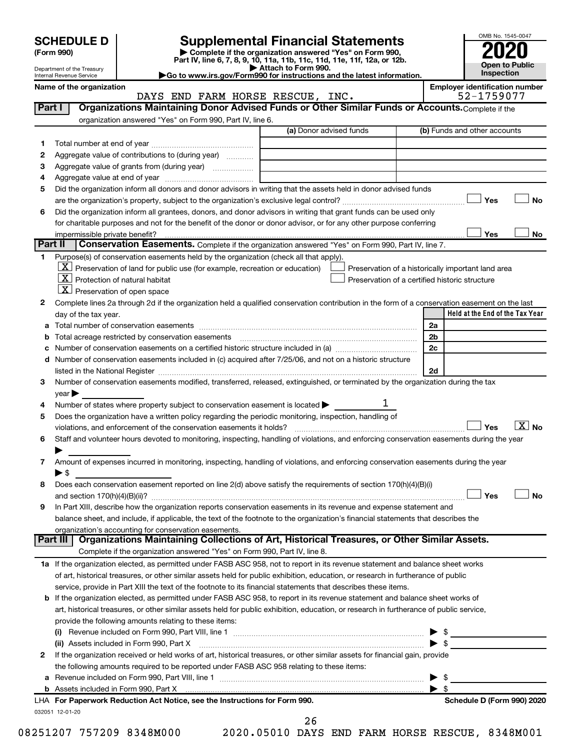| <b>SCHEDULE D</b> |  |
|-------------------|--|
|-------------------|--|

Department of the Treasury Internal Revenue Service

| (Form 990) |
|------------|
|            |

# **SCHEDULE D Supplemental Financial Statements**<br> **Form 990 2020**<br> **Part IV** line 6.7.8.9.10, 11a, 11b, 11d, 11d, 11d, 11d, 11d, 12a, 0r, 12b

**(Form 990) | Complete if the organization answered "Yes" on Form 990, Part IV, line 6, 7, 8, 9, 10, 11a, 11b, 11c, 11d, 11e, 11f, 12a, or 12b.**

**| Attach to Form 990. |Go to www.irs.gov/Form990 for instructions and the latest information.**



Name of the organization<br> **Employer identification number**<br> **EMPLO FARM HORSE RESCUE, INC.**<br>
52-1759077 DAYS END FARM HORSE RESCUE, INC.

|                                                                                                                                                                                                                               | (a) Donor advised funds                                                                           | (b) Funds and other accounts                       |
|-------------------------------------------------------------------------------------------------------------------------------------------------------------------------------------------------------------------------------|---------------------------------------------------------------------------------------------------|----------------------------------------------------|
| 1                                                                                                                                                                                                                             |                                                                                                   |                                                    |
| Aggregate value of contributions to (during year)<br>2                                                                                                                                                                        |                                                                                                   |                                                    |
| З                                                                                                                                                                                                                             |                                                                                                   |                                                    |
| 4                                                                                                                                                                                                                             |                                                                                                   |                                                    |
| Did the organization inform all donors and donor advisors in writing that the assets held in donor advised funds<br>5                                                                                                         |                                                                                                   |                                                    |
|                                                                                                                                                                                                                               |                                                                                                   | Yes                                                |
| Did the organization inform all grantees, donors, and donor advisors in writing that grant funds can be used only<br>6                                                                                                        |                                                                                                   |                                                    |
| for charitable purposes and not for the benefit of the donor or donor advisor, or for any other purpose conferring                                                                                                            |                                                                                                   |                                                    |
|                                                                                                                                                                                                                               |                                                                                                   | Yes                                                |
| Part II                                                                                                                                                                                                                       | Conservation Easements. Complete if the organization answered "Yes" on Form 990, Part IV, line 7. |                                                    |
| Purpose(s) of conservation easements held by the organization (check all that apply).<br>1                                                                                                                                    |                                                                                                   |                                                    |
| $\underline{X}$ Preservation of land for public use (for example, recreation or education)                                                                                                                                    |                                                                                                   | Preservation of a historically important land area |
| $X$ Protection of natural habitat                                                                                                                                                                                             |                                                                                                   | Preservation of a certified historic structure     |
| $\lfloor x \rfloor$ Preservation of open space                                                                                                                                                                                |                                                                                                   |                                                    |
| Complete lines 2a through 2d if the organization held a qualified conservation contribution in the form of a conservation easement on the last<br>2                                                                           |                                                                                                   |                                                    |
| day of the tax year.                                                                                                                                                                                                          |                                                                                                   | Held at the End of the Tax Year                    |
| а                                                                                                                                                                                                                             |                                                                                                   | 2a                                                 |
| Total acreage restricted by conservation easements [11] matter continuum matter of the stricted by conservation easements [11] matter continuum matter of the stricted by conservation easements [11] matter continuum matter |                                                                                                   | 2 <sub>b</sub>                                     |
| Number of conservation easements on a certified historic structure included in (a) manufacture included in (a)                                                                                                                |                                                                                                   | 2 <sub>c</sub>                                     |
| Number of conservation easements included in (c) acquired after 7/25/06, and not on a historic structure<br>d                                                                                                                 |                                                                                                   |                                                    |
| listed in the National Register [111] [12] The Mational Register [11] Matter Mathematical Register [11] Matter                                                                                                                |                                                                                                   | 2d                                                 |
| Number of conservation easements modified, transferred, released, extinguished, or terminated by the organization during the tax<br>3                                                                                         |                                                                                                   |                                                    |
| year                                                                                                                                                                                                                          |                                                                                                   |                                                    |
| Number of states where property subject to conservation easement is located ><br>4                                                                                                                                            | 1                                                                                                 |                                                    |
| Does the organization have a written policy regarding the periodic monitoring, inspection, handling of<br>5                                                                                                                   |                                                                                                   |                                                    |
| violations, and enforcement of the conservation easements it holds?                                                                                                                                                           |                                                                                                   | $X$ No<br>Yes                                      |
| Staff and volunteer hours devoted to monitoring, inspecting, handling of violations, and enforcing conservation easements during the year<br>6                                                                                |                                                                                                   |                                                    |
|                                                                                                                                                                                                                               |                                                                                                   |                                                    |
| Amount of expenses incurred in monitoring, inspecting, handling of violations, and enforcing conservation easements during the year<br>7                                                                                      |                                                                                                   |                                                    |
| $\blacktriangleright$ \$                                                                                                                                                                                                      |                                                                                                   |                                                    |
| Does each conservation easement reported on line 2(d) above satisfy the requirements of section 170(h)(4)(B)(i)<br>8                                                                                                          |                                                                                                   |                                                    |
|                                                                                                                                                                                                                               |                                                                                                   | Yes                                                |
| In Part XIII, describe how the organization reports conservation easements in its revenue and expense statement and<br>9                                                                                                      |                                                                                                   |                                                    |
| balance sheet, and include, if applicable, the text of the footnote to the organization's financial statements that describes the                                                                                             |                                                                                                   |                                                    |
| organization's accounting for conservation easements.                                                                                                                                                                         |                                                                                                   |                                                    |
| Part III                                                                                                                                                                                                                      | Organizations Maintaining Collections of Art, Historical Treasures, or Other Similar Assets.      |                                                    |
| Complete if the organization answered "Yes" on Form 990, Part IV, line 8.                                                                                                                                                     |                                                                                                   |                                                    |
| 1a If the organization elected, as permitted under FASB ASC 958, not to report in its revenue statement and balance sheet works                                                                                               |                                                                                                   |                                                    |
| of art, historical treasures, or other similar assets held for public exhibition, education, or research in furtherance of public                                                                                             |                                                                                                   |                                                    |
| service, provide in Part XIII the text of the footnote to its financial statements that describes these items.                                                                                                                |                                                                                                   |                                                    |
| b If the organization elected, as permitted under FASB ASC 958, to report in its revenue statement and balance sheet works of                                                                                                 |                                                                                                   |                                                    |
| art, historical treasures, or other similar assets held for public exhibition, education, or research in furtherance of public service,                                                                                       |                                                                                                   |                                                    |
| provide the following amounts relating to these items:                                                                                                                                                                        |                                                                                                   |                                                    |
|                                                                                                                                                                                                                               |                                                                                                   |                                                    |
| (ii) Assets included in Form 990, Part X [11] [2000] [2010] Assets included in Form 990, Part X [11] [11] [200                                                                                                                |                                                                                                   | $\blacktriangleright$ \$                           |
| If the organization received or held works of art, historical treasures, or other similar assets for financial gain, provide<br>2                                                                                             |                                                                                                   |                                                    |
| the following amounts required to be reported under FASB ASC 958 relating to these items:                                                                                                                                     |                                                                                                   |                                                    |
| а                                                                                                                                                                                                                             |                                                                                                   | - \$                                               |
|                                                                                                                                                                                                                               |                                                                                                   | $\blacktriangleright$ s                            |
| LHA For Paperwork Reduction Act Notice, see the Instructions for Form 990.                                                                                                                                                    |                                                                                                   | Schedule D (Form 990) 2020                         |
| 032051 12-01-20                                                                                                                                                                                                               |                                                                                                   |                                                    |
|                                                                                                                                                                                                                               | 26                                                                                                |                                                    |
| 08251207 757209 8348M000                                                                                                                                                                                                      | 2020.05010 DAYS END FARM HORSE RESCUE, 8348M001                                                   |                                                    |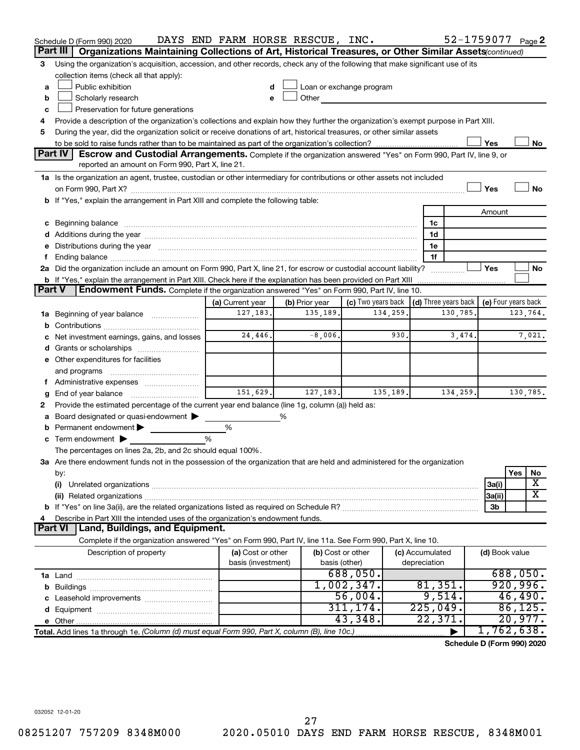|               | Schedule D (Form 990) 2020                                                                                                                                                                                                     | DAYS END FARM HORSE RESCUE, INC. |   |                |                                                         |           |                 | 52-1759077 Page 2          |                     |          |           |
|---------------|--------------------------------------------------------------------------------------------------------------------------------------------------------------------------------------------------------------------------------|----------------------------------|---|----------------|---------------------------------------------------------|-----------|-----------------|----------------------------|---------------------|----------|-----------|
|               | Organizations Maintaining Collections of Art, Historical Treasures, or Other Similar Assets (continued)<br>Part III                                                                                                            |                                  |   |                |                                                         |           |                 |                            |                     |          |           |
| 3             | Using the organization's acquisition, accession, and other records, check any of the following that make significant use of its                                                                                                |                                  |   |                |                                                         |           |                 |                            |                     |          |           |
|               | collection items (check all that apply):                                                                                                                                                                                       |                                  |   |                |                                                         |           |                 |                            |                     |          |           |
| a             | Public exhibition                                                                                                                                                                                                              |                                  |   |                | Loan or exchange program                                |           |                 |                            |                     |          |           |
| b             | Scholarly research                                                                                                                                                                                                             |                                  |   | Other          | <u> 1990 - Jan Barat, prima po</u>                      |           |                 |                            |                     |          |           |
| c             | Preservation for future generations                                                                                                                                                                                            |                                  |   |                |                                                         |           |                 |                            |                     |          |           |
| 4             | Provide a description of the organization's collections and explain how they further the organization's exempt purpose in Part XIII.                                                                                           |                                  |   |                |                                                         |           |                 |                            |                     |          |           |
| 5             | During the year, did the organization solicit or receive donations of art, historical treasures, or other similar assets                                                                                                       |                                  |   |                |                                                         |           |                 |                            |                     |          |           |
|               |                                                                                                                                                                                                                                |                                  |   |                |                                                         |           |                 |                            | Yes                 |          | No        |
|               | Part IV I<br>Escrow and Custodial Arrangements. Complete if the organization answered "Yes" on Form 990, Part IV, line 9, or                                                                                                   |                                  |   |                |                                                         |           |                 |                            |                     |          |           |
|               | reported an amount on Form 990, Part X, line 21.                                                                                                                                                                               |                                  |   |                |                                                         |           |                 |                            |                     |          |           |
|               | 1a Is the organization an agent, trustee, custodian or other intermediary for contributions or other assets not included                                                                                                       |                                  |   |                |                                                         |           |                 |                            |                     |          |           |
|               |                                                                                                                                                                                                                                |                                  |   |                |                                                         |           |                 |                            | Yes                 |          | <b>No</b> |
|               | b If "Yes," explain the arrangement in Part XIII and complete the following table:                                                                                                                                             |                                  |   |                |                                                         |           |                 |                            |                     |          |           |
|               |                                                                                                                                                                                                                                |                                  |   |                |                                                         |           |                 |                            | Amount              |          |           |
|               |                                                                                                                                                                                                                                |                                  |   |                |                                                         |           | 1c              |                            |                     |          |           |
|               |                                                                                                                                                                                                                                |                                  |   |                |                                                         |           | 1d              |                            |                     |          |           |
| е             | Distributions during the year manufactured and an account of the year manufactured and the year manufactured and the year manufactured and the year manufactured and the year manufactured and the year manufactured and the y |                                  |   |                |                                                         |           | 1e              |                            |                     |          |           |
| f.            | 2a Did the organization include an amount on Form 990, Part X, line 21, for escrow or custodial account liability?                                                                                                             |                                  |   |                |                                                         |           | 1f              |                            | Yes                 |          | No        |
|               | b If "Yes," explain the arrangement in Part XIII. Check here if the explanation has been provided on Part XIII                                                                                                                 |                                  |   |                |                                                         |           |                 | .                          |                     |          |           |
| <b>Part V</b> | Endowment Funds. Complete if the organization answered "Yes" on Form 990, Part IV, line 10.                                                                                                                                    |                                  |   |                |                                                         |           |                 |                            |                     |          |           |
|               |                                                                                                                                                                                                                                | (a) Current year                 |   | (b) Prior year | (c) Two years back $\vert$ (d) Three years back $\vert$ |           |                 |                            | (e) Four years back |          |           |
|               | 1a Beginning of year balance                                                                                                                                                                                                   | 127,183.                         |   | 135,189.       |                                                         | 134,259.  |                 | 130,785.                   |                     | 123,764. |           |
| b             |                                                                                                                                                                                                                                |                                  |   |                |                                                         |           |                 |                            |                     |          |           |
| с             | Net investment earnings, gains, and losses                                                                                                                                                                                     | 24,446.                          |   | $-8,006.$      |                                                         | 930.      |                 | 3,474.                     |                     |          | 7,021.    |
|               | d Grants or scholarships                                                                                                                                                                                                       |                                  |   |                |                                                         |           |                 |                            |                     |          |           |
|               | e Other expenditures for facilities                                                                                                                                                                                            |                                  |   |                |                                                         |           |                 |                            |                     |          |           |
|               | and programs                                                                                                                                                                                                                   |                                  |   |                |                                                         |           |                 |                            |                     |          |           |
|               | f Administrative expenses                                                                                                                                                                                                      |                                  |   |                |                                                         |           |                 |                            |                     |          |           |
| g             |                                                                                                                                                                                                                                | 151,629.                         |   | 127, 183.      |                                                         | 135, 189. |                 | 134,259.                   |                     | 130,785. |           |
| 2             | Provide the estimated percentage of the current year end balance (line 1g, column (a)) held as:                                                                                                                                |                                  |   |                |                                                         |           |                 |                            |                     |          |           |
| а             | Board designated or quasi-endowment                                                                                                                                                                                            |                                  | % |                |                                                         |           |                 |                            |                     |          |           |
| b             | Permanent endowment                                                                                                                                                                                                            | %                                |   |                |                                                         |           |                 |                            |                     |          |           |
|               | c Term endowment $\blacktriangleright$                                                                                                                                                                                         | %                                |   |                |                                                         |           |                 |                            |                     |          |           |
|               | The percentages on lines 2a, 2b, and 2c should equal 100%.                                                                                                                                                                     |                                  |   |                |                                                         |           |                 |                            |                     |          |           |
|               | 3a Are there endowment funds not in the possession of the organization that are held and administered for the organization                                                                                                     |                                  |   |                |                                                         |           |                 |                            |                     |          |           |
|               | by:                                                                                                                                                                                                                            |                                  |   |                |                                                         |           |                 |                            |                     | Yes      | No        |
|               | (i)                                                                                                                                                                                                                            |                                  |   |                |                                                         |           |                 |                            | 3a(i)               |          | х         |
|               |                                                                                                                                                                                                                                |                                  |   |                |                                                         |           |                 |                            | 3a(ii)              |          | X         |
|               |                                                                                                                                                                                                                                |                                  |   |                |                                                         |           |                 |                            | 3b                  |          |           |
| 4             | Describe in Part XIII the intended uses of the organization's endowment funds.                                                                                                                                                 |                                  |   |                |                                                         |           |                 |                            |                     |          |           |
|               | Land, Buildings, and Equipment.<br><b>Part VI</b>                                                                                                                                                                              |                                  |   |                |                                                         |           |                 |                            |                     |          |           |
|               | Complete if the organization answered "Yes" on Form 990, Part IV, line 11a. See Form 990, Part X, line 10.                                                                                                                     |                                  |   |                |                                                         |           |                 |                            |                     |          |           |
|               | Description of property                                                                                                                                                                                                        | (a) Cost or other                |   |                | (b) Cost or other                                       |           | (c) Accumulated |                            | (d) Book value      |          |           |
|               |                                                                                                                                                                                                                                | basis (investment)               |   |                | basis (other)                                           |           | depreciation    |                            |                     |          |           |
|               |                                                                                                                                                                                                                                |                                  |   |                | 688,050.                                                |           |                 |                            |                     | 688,050. |           |
| b             |                                                                                                                                                                                                                                |                                  |   |                | 1,002,347.                                              |           | 81,351.         |                            |                     | 920,996. |           |
|               |                                                                                                                                                                                                                                |                                  |   |                | 56,004.                                                 |           |                 | 9,514.                     |                     | 46,490.  |           |
|               |                                                                                                                                                                                                                                |                                  |   |                | 311, 174.                                               |           | 225,049.        |                            |                     | 86, 125. |           |
|               |                                                                                                                                                                                                                                |                                  |   |                | 43,348.                                                 |           | 22,371          |                            | 1,762,638.          | 20,977.  |           |
|               | Total. Add lines 1a through 1e. (Column (d) must equal Form 990, Part X, column (B), line 10c.)                                                                                                                                |                                  |   |                |                                                         |           |                 |                            |                     |          |           |
|               |                                                                                                                                                                                                                                |                                  |   |                |                                                         |           |                 | Schedule D (Form 990) 2020 |                     |          |           |

032052 12-01-20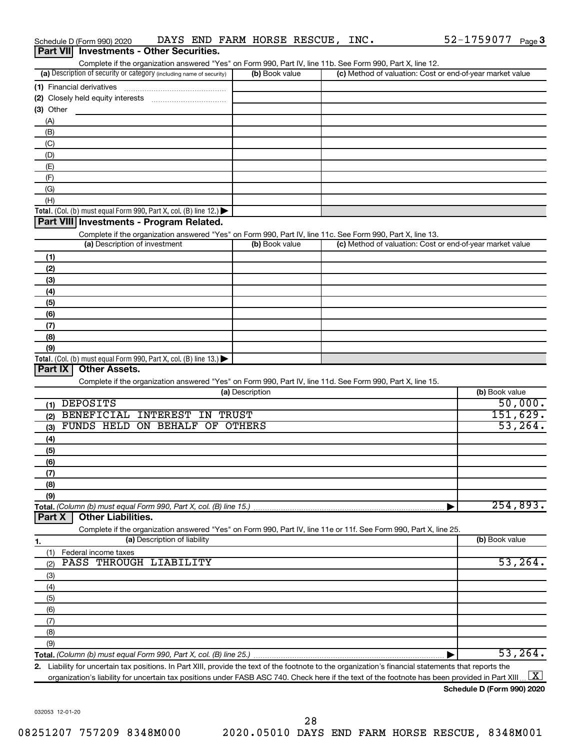| Complete if the organization answered "Yes" on Form 990, Part IV, line 11b. See Form 990, Part X, line 12.                                           |                 |                                                           |                     |
|------------------------------------------------------------------------------------------------------------------------------------------------------|-----------------|-----------------------------------------------------------|---------------------|
| (a) Description of security or category (including name of security)                                                                                 | (b) Book value  | (c) Method of valuation: Cost or end-of-year market value |                     |
|                                                                                                                                                      |                 |                                                           |                     |
|                                                                                                                                                      |                 |                                                           |                     |
| (3) Other                                                                                                                                            |                 |                                                           |                     |
| (A)                                                                                                                                                  |                 |                                                           |                     |
| (B)                                                                                                                                                  |                 |                                                           |                     |
| (C)                                                                                                                                                  |                 |                                                           |                     |
| (D)                                                                                                                                                  |                 |                                                           |                     |
| (E)                                                                                                                                                  |                 |                                                           |                     |
| (F)                                                                                                                                                  |                 |                                                           |                     |
| (G)                                                                                                                                                  |                 |                                                           |                     |
| (H)                                                                                                                                                  |                 |                                                           |                     |
| Total. (Col. (b) must equal Form 990, Part X, col. (B) line 12.) $\blacktriangleright$                                                               |                 |                                                           |                     |
| Part VIII Investments - Program Related.                                                                                                             |                 |                                                           |                     |
|                                                                                                                                                      |                 |                                                           |                     |
| Complete if the organization answered "Yes" on Form 990, Part IV, line 11c. See Form 990, Part X, line 13.<br>(a) Description of investment          | (b) Book value  | (c) Method of valuation: Cost or end-of-year market value |                     |
|                                                                                                                                                      |                 |                                                           |                     |
| (1)                                                                                                                                                  |                 |                                                           |                     |
| (2)                                                                                                                                                  |                 |                                                           |                     |
| (3)                                                                                                                                                  |                 |                                                           |                     |
| (4)                                                                                                                                                  |                 |                                                           |                     |
| (5)                                                                                                                                                  |                 |                                                           |                     |
| (6)                                                                                                                                                  |                 |                                                           |                     |
| (7)                                                                                                                                                  |                 |                                                           |                     |
| (8)                                                                                                                                                  |                 |                                                           |                     |
| (9)                                                                                                                                                  |                 |                                                           |                     |
| Total. (Col. (b) must equal Form 990, Part X, col. (B) line $13.$ )                                                                                  |                 |                                                           |                     |
| <b>Other Assets.</b><br>Part IX                                                                                                                      |                 |                                                           |                     |
| Complete if the organization answered "Yes" on Form 990, Part IV, line 11d. See Form 990, Part X, line 15.                                           |                 |                                                           |                     |
|                                                                                                                                                      | (a) Description |                                                           | (b) Book value      |
| <b>DEPOSITS</b><br>(1)                                                                                                                               |                 |                                                           | 50,000.             |
| BENEFICIAL INTEREST IN TRUST<br>(2)                                                                                                                  |                 |                                                           | 151,629.            |
| FUNDS HELD ON BEHALF OF OTHERS<br>(3)                                                                                                                |                 |                                                           | 53, 264.            |
| (4)                                                                                                                                                  |                 |                                                           |                     |
| (5)                                                                                                                                                  |                 |                                                           |                     |
| (6)                                                                                                                                                  |                 |                                                           |                     |
| (7)                                                                                                                                                  |                 |                                                           |                     |
| (8)                                                                                                                                                  |                 |                                                           |                     |
| (9)                                                                                                                                                  |                 |                                                           |                     |
| Total. (Column (b) must equal Form 990, Part X, col. (B) line 15.)                                                                                   |                 |                                                           | 254,893.            |
| <b>Other Liabilities.</b><br>Part X                                                                                                                  |                 |                                                           |                     |
| Complete if the organization answered "Yes" on Form 990, Part IV, line 11e or 11f. See Form 990, Part X, line 25.                                    |                 |                                                           |                     |
| (a) Description of liability<br>1.                                                                                                                   |                 |                                                           | (b) Book value      |
| Federal income taxes<br>(1)                                                                                                                          |                 |                                                           |                     |
| PASS THROUGH LIABILITY<br>(2)                                                                                                                        |                 |                                                           | 53, 264.            |
| (3)                                                                                                                                                  |                 |                                                           |                     |
| (4)                                                                                                                                                  |                 |                                                           |                     |
| (5)                                                                                                                                                  |                 |                                                           |                     |
| (6)                                                                                                                                                  |                 |                                                           |                     |
|                                                                                                                                                      |                 |                                                           |                     |
| (7)                                                                                                                                                  |                 |                                                           |                     |
| (8)                                                                                                                                                  |                 |                                                           |                     |
| (9)                                                                                                                                                  |                 |                                                           | 53, 264.            |
|                                                                                                                                                      |                 |                                                           |                     |
| 2. Liability for uncertain tax positions. In Part XIII, provide the text of the footnote to the organization's financial statements that reports the |                 |                                                           |                     |
| organization's liability for uncertain tax positions under FASB ASC 740. Check here if the text of the footnote has been provided in Part XIII.      |                 |                                                           | $\lfloor x \rfloor$ |

Schedule D (Form 990) 2020  $\;$  DAYS END FARM HORSE RESCUE, INC.  $\;$  52-1759077  $\;$  Page 52-1759077 Page 3

**Schedule D (Form 990) 2020**

032053 12-01-20

**Part VII Investments - Other Securities.**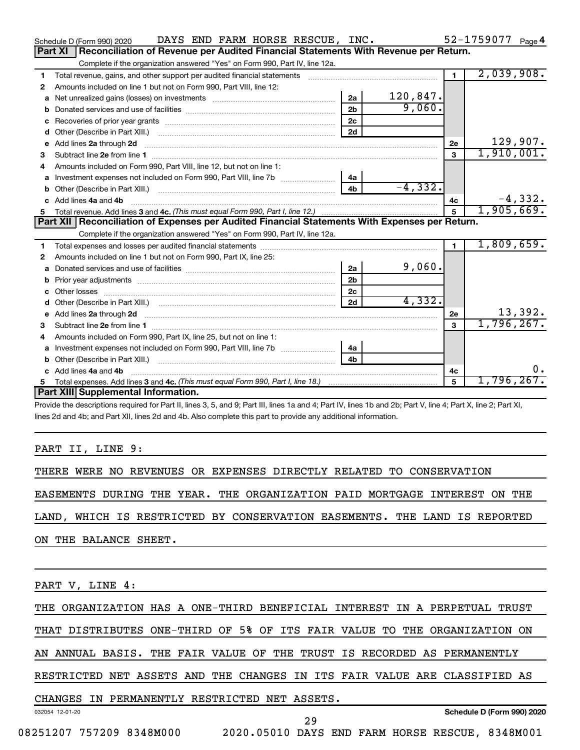|   | DAYS END FARM HORSE RESCUE, INC.<br>Schedule D (Form 990) 2020                                                                                                                                                                     |                |            |                | $52 - 1759077$ Page 4 |
|---|------------------------------------------------------------------------------------------------------------------------------------------------------------------------------------------------------------------------------------|----------------|------------|----------------|-----------------------|
|   | Reconciliation of Revenue per Audited Financial Statements With Revenue per Return.<br>Part XI                                                                                                                                     |                |            |                |                       |
|   | Complete if the organization answered "Yes" on Form 990, Part IV, line 12a.                                                                                                                                                        |                |            |                |                       |
| 1 | Total revenue, gains, and other support per audited financial statements                                                                                                                                                           |                |            | $\blacksquare$ | 2,039,908.            |
| 2 | Amounts included on line 1 but not on Form 990, Part VIII, line 12:                                                                                                                                                                |                |            |                |                       |
| a |                                                                                                                                                                                                                                    | 2a             | 120,847.   |                |                       |
| b |                                                                                                                                                                                                                                    | 2 <sub>b</sub> | 9,060.     |                |                       |
|   |                                                                                                                                                                                                                                    | 2c             |            |                |                       |
| d |                                                                                                                                                                                                                                    | 2d             |            |                |                       |
| е | Add lines 2a through 2d                                                                                                                                                                                                            |                |            | 2e             | 129,907.              |
| 3 |                                                                                                                                                                                                                                    |                |            | 3              | 1,910,001.            |
| 4 | Amounts included on Form 990, Part VIII, line 12, but not on line 1:                                                                                                                                                               |                |            |                |                       |
| a |                                                                                                                                                                                                                                    | 4a             |            |                |                       |
| b |                                                                                                                                                                                                                                    | 4 <sub>b</sub> | $-4, 332.$ |                |                       |
|   | c Add lines 4a and 4b                                                                                                                                                                                                              |                |            | 4c             | $-4,332.$             |
| 5 |                                                                                                                                                                                                                                    |                |            |                | 1,905,669.            |
|   | Part XII   Reconciliation of Expenses per Audited Financial Statements With Expenses per Return.                                                                                                                                   |                |            |                |                       |
|   | Complete if the organization answered "Yes" on Form 990, Part IV, line 12a.                                                                                                                                                        |                |            |                |                       |
| 1 |                                                                                                                                                                                                                                    |                |            | $\blacksquare$ | 1,809,659.            |
| 2 | Amounts included on line 1 but not on Form 990, Part IX, line 25:                                                                                                                                                                  |                |            |                |                       |
| a |                                                                                                                                                                                                                                    | 2a             | 9,060.     |                |                       |
| b |                                                                                                                                                                                                                                    | 2 <sub>b</sub> |            |                |                       |
| c |                                                                                                                                                                                                                                    | 2 <sub>c</sub> |            |                |                       |
| d |                                                                                                                                                                                                                                    | 2d             | 4,332.     |                |                       |
| е | Add lines 2a through 2d <b>contained a contained a contained a contained a</b> contained a contained a contained a contained a contact a contact a contact a contact a contact a contact a contact a contact a contact a contact a |                |            | 2e             | 13,392.               |
| 3 |                                                                                                                                                                                                                                    |                |            | 3              | 1,796,267.            |
| 4 | Amounts included on Form 990, Part IX, line 25, but not on line 1:                                                                                                                                                                 |                |            |                |                       |
| a |                                                                                                                                                                                                                                    | 4a             |            |                |                       |
|   |                                                                                                                                                                                                                                    | 4 <sub>b</sub> |            |                |                       |
|   | c Add lines 4a and 4b                                                                                                                                                                                                              |                |            | 4c             | ο.                    |
|   |                                                                                                                                                                                                                                    |                |            | 5              | 1,796,267.            |
|   | Part XIII Supplemental Information.                                                                                                                                                                                                |                |            |                |                       |
|   | Drovide the descriptions required for Dart II lines 3, 5, and Q: Dart III lines 1a and A: Dart IV lines 1b and 2b: Dart V line A: Dart Y, line 2: Dart YI                                                                          |                |            |                |                       |

the descriptions required for Part II, lines 3, 5, and 9; Part III, lines 1a and 4; Part IV, lines 1b and 2b; lines 2d and 4b; and Part XII, lines 2d and 4b. Also complete this part to provide any additional information.

### PART II, LINE 9:

THERE WERE NO REVENUES OR EXPENSES DIRECTLY RELATED TO CONSERVATION

EASEMENTS DURING THE YEAR. THE ORGANIZATION PAID MORTGAGE INTEREST ON THE

LAND, WHICH IS RESTRICTED BY CONSERVATION EASEMENTS. THE LAND IS REPORTED

ON THE BALANCE SHEET.

PART V, LINE 4:

THE ORGANIZATION HAS A ONE-THIRD BENEFICIAL INTEREST IN A PERPETUAL TRUST

THAT DISTRIBUTES ONE-THIRD OF 5% OF ITS FAIR VALUE TO THE ORGANIZATION ON

AN ANNUAL BASIS. THE FAIR VALUE OF THE TRUST IS RECORDED AS PERMANENTLY

RESTRICTED NET ASSETS AND THE CHANGES IN ITS FAIR VALUE ARE CLASSIFIED AS

### CHANGES IN PERMANENTLY RESTRICTED NET ASSETS.

032054 12-01-20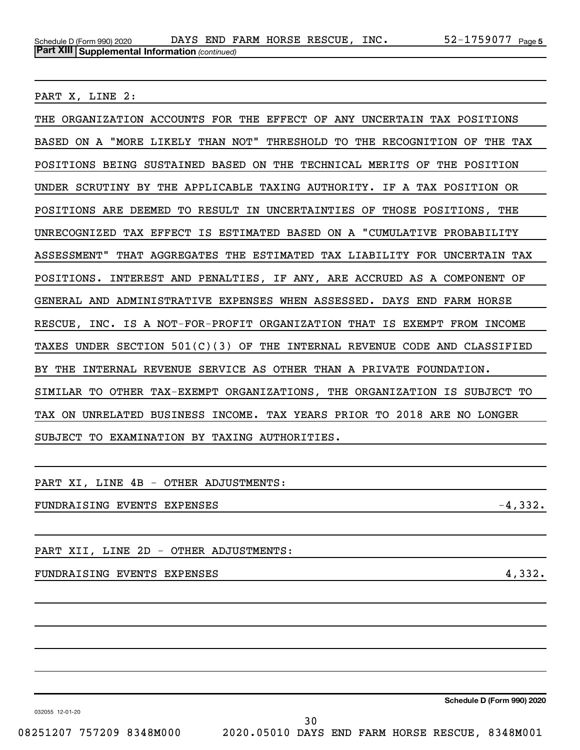PART X, LINE 2:

THE ORGANIZATION ACCOUNTS FOR THE EFFECT OF ANY UNCERTAIN TAX POSITIONS BASED ON A "MORE LIKELY THAN NOT" THRESHOLD TO THE RECOGNITION OF THE TAX POSITIONS BEING SUSTAINED BASED ON THE TECHNICAL MERITS OF THE POSITION UNDER SCRUTINY BY THE APPLICABLE TAXING AUTHORITY. IF A TAX POSITION OR POSITIONS ARE DEEMED TO RESULT IN UNCERTAINTIES OF THOSE POSITIONS, THE UNRECOGNIZED TAX EFFECT IS ESTIMATED BASED ON A "CUMULATIVE PROBABILITY ASSESSMENT" THAT AGGREGATES THE ESTIMATED TAX LIABILITY FOR UNCERTAIN TAX POSITIONS. INTEREST AND PENALTIES, IF ANY, ARE ACCRUED AS A COMPONENT OF GENERAL AND ADMINISTRATIVE EXPENSES WHEN ASSESSED. DAYS END FARM HORSE RESCUE, INC. IS A NOT-FOR-PROFIT ORGANIZATION THAT IS EXEMPT FROM INCOME TAXES UNDER SECTION 501(C)(3) OF THE INTERNAL REVENUE CODE AND CLASSIFIED BY THE INTERNAL REVENUE SERVICE AS OTHER THAN A PRIVATE FOUNDATION. SIMILAR TO OTHER TAX-EXEMPT ORGANIZATIONS, THE ORGANIZATION IS SUBJECT TO TAX ON UNRELATED BUSINESS INCOME. TAX YEARS PRIOR TO 2018 ARE NO LONGER SUBJECT TO EXAMINATION BY TAXING AUTHORITIES.

PART XI, LINE 4B - OTHER ADJUSTMENTS:

FUNDRAISING EVENTS EXPENSES FOR THE SERVICE OF A 4,332.

PART XII, LINE 2D - OTHER ADJUSTMENTS:

FUNDRAISING EVENTS EXPENSES 4,332.

**Schedule D (Form 990) 2020**

032055 12-01-20

30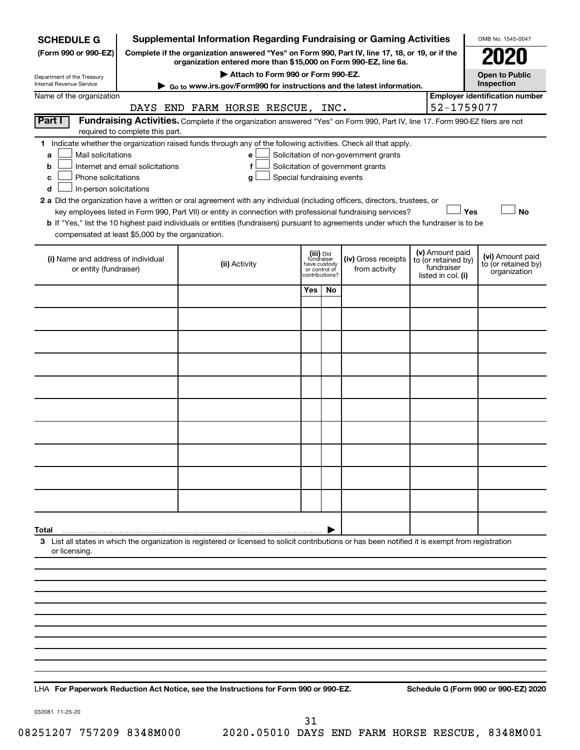| <b>SCHEDULE G</b>                                                                        |                                                                                                                     | <b>Supplemental Information Regarding Fundraising or Gaming Activities</b>                                                                                                                                                                                                                                                                                                                                |                                         |                                 |                                                                            |  |                                                                            | OMB No. 1545-0047                                       |  |  |
|------------------------------------------------------------------------------------------|---------------------------------------------------------------------------------------------------------------------|-----------------------------------------------------------------------------------------------------------------------------------------------------------------------------------------------------------------------------------------------------------------------------------------------------------------------------------------------------------------------------------------------------------|-----------------------------------------|---------------------------------|----------------------------------------------------------------------------|--|----------------------------------------------------------------------------|---------------------------------------------------------|--|--|
| (Form 990 or 990-EZ)                                                                     |                                                                                                                     | Complete if the organization answered "Yes" on Form 990, Part IV, line 17, 18, or 19, or if the<br>organization entered more than \$15,000 on Form 990-EZ, line 6a.                                                                                                                                                                                                                                       |                                         |                                 |                                                                            |  |                                                                            |                                                         |  |  |
| Department of the Treasury                                                               |                                                                                                                     | Attach to Form 990 or Form 990-EZ.                                                                                                                                                                                                                                                                                                                                                                        |                                         |                                 |                                                                            |  |                                                                            | <b>Open to Public</b>                                   |  |  |
| Internal Revenue Service                                                                 | Inspection<br>► Go to www.irs.gov/Form990 for instructions and the latest information.                              |                                                                                                                                                                                                                                                                                                                                                                                                           |                                         |                                 |                                                                            |  |                                                                            |                                                         |  |  |
|                                                                                          | <b>Employer identification number</b><br>Name of the organization<br>52-1759077<br>DAYS END FARM HORSE RESCUE, INC. |                                                                                                                                                                                                                                                                                                                                                                                                           |                                         |                                 |                                                                            |  |                                                                            |                                                         |  |  |
| Part I                                                                                   | required to complete this part.                                                                                     | Fundraising Activities. Complete if the organization answered "Yes" on Form 990, Part IV, line 17. Form 990-EZ filers are not                                                                                                                                                                                                                                                                             |                                         |                                 |                                                                            |  |                                                                            |                                                         |  |  |
| Mail solicitations<br>a<br>b<br>Phone solicitations<br>c<br>In-person solicitations<br>d | Internet and email solicitations                                                                                    | 1 Indicate whether the organization raised funds through any of the following activities. Check all that apply.<br>e<br>f<br>Special fundraising events<br>g<br>2 a Did the organization have a written or oral agreement with any individual (including officers, directors, trustees, or<br>key employees listed in Form 990, Part VII) or entity in connection with professional fundraising services? |                                         |                                 | Solicitation of non-government grants<br>Solicitation of government grants |  | Yes                                                                        | <b>No</b>                                               |  |  |
| compensated at least \$5,000 by the organization.                                        |                                                                                                                     | b If "Yes," list the 10 highest paid individuals or entities (fundraisers) pursuant to agreements under which the fundraiser is to be                                                                                                                                                                                                                                                                     |                                         |                                 |                                                                            |  |                                                                            |                                                         |  |  |
| (i) Name and address of individual<br>or entity (fundraiser)                             |                                                                                                                     | (ii) Activity                                                                                                                                                                                                                                                                                                                                                                                             | (iii) Did<br>fundraiser<br>have custody | or control of<br>contributions? | (iv) Gross receipts<br>from activity                                       |  | (v) Amount paid<br>to (or retained by)<br>fundraiser<br>listed in col. (i) | (vi) Amount paid<br>to (or retained by)<br>organization |  |  |
|                                                                                          |                                                                                                                     |                                                                                                                                                                                                                                                                                                                                                                                                           | Yes                                     | No                              |                                                                            |  |                                                                            |                                                         |  |  |
|                                                                                          |                                                                                                                     |                                                                                                                                                                                                                                                                                                                                                                                                           |                                         |                                 |                                                                            |  |                                                                            |                                                         |  |  |
|                                                                                          |                                                                                                                     |                                                                                                                                                                                                                                                                                                                                                                                                           |                                         |                                 |                                                                            |  |                                                                            |                                                         |  |  |
|                                                                                          |                                                                                                                     |                                                                                                                                                                                                                                                                                                                                                                                                           |                                         |                                 |                                                                            |  |                                                                            |                                                         |  |  |
|                                                                                          |                                                                                                                     |                                                                                                                                                                                                                                                                                                                                                                                                           |                                         |                                 |                                                                            |  |                                                                            |                                                         |  |  |
|                                                                                          |                                                                                                                     |                                                                                                                                                                                                                                                                                                                                                                                                           |                                         |                                 |                                                                            |  |                                                                            |                                                         |  |  |
|                                                                                          |                                                                                                                     |                                                                                                                                                                                                                                                                                                                                                                                                           |                                         |                                 |                                                                            |  |                                                                            |                                                         |  |  |
|                                                                                          |                                                                                                                     |                                                                                                                                                                                                                                                                                                                                                                                                           |                                         |                                 |                                                                            |  |                                                                            |                                                         |  |  |
|                                                                                          |                                                                                                                     |                                                                                                                                                                                                                                                                                                                                                                                                           |                                         |                                 |                                                                            |  |                                                                            |                                                         |  |  |
|                                                                                          |                                                                                                                     |                                                                                                                                                                                                                                                                                                                                                                                                           |                                         |                                 |                                                                            |  |                                                                            |                                                         |  |  |
| Total                                                                                    |                                                                                                                     |                                                                                                                                                                                                                                                                                                                                                                                                           |                                         |                                 |                                                                            |  |                                                                            |                                                         |  |  |
| or licensing.                                                                            |                                                                                                                     | 3 List all states in which the organization is registered or licensed to solicit contributions or has been notified it is exempt from registration                                                                                                                                                                                                                                                        |                                         |                                 |                                                                            |  |                                                                            |                                                         |  |  |
|                                                                                          |                                                                                                                     |                                                                                                                                                                                                                                                                                                                                                                                                           |                                         |                                 |                                                                            |  |                                                                            |                                                         |  |  |
|                                                                                          |                                                                                                                     |                                                                                                                                                                                                                                                                                                                                                                                                           |                                         |                                 |                                                                            |  |                                                                            |                                                         |  |  |
|                                                                                          |                                                                                                                     |                                                                                                                                                                                                                                                                                                                                                                                                           |                                         |                                 |                                                                            |  |                                                                            |                                                         |  |  |
|                                                                                          |                                                                                                                     |                                                                                                                                                                                                                                                                                                                                                                                                           |                                         |                                 |                                                                            |  |                                                                            |                                                         |  |  |
|                                                                                          |                                                                                                                     |                                                                                                                                                                                                                                                                                                                                                                                                           |                                         |                                 |                                                                            |  |                                                                            |                                                         |  |  |
|                                                                                          |                                                                                                                     |                                                                                                                                                                                                                                                                                                                                                                                                           |                                         |                                 |                                                                            |  |                                                                            |                                                         |  |  |
|                                                                                          |                                                                                                                     |                                                                                                                                                                                                                                                                                                                                                                                                           |                                         |                                 |                                                                            |  |                                                                            |                                                         |  |  |
|                                                                                          |                                                                                                                     |                                                                                                                                                                                                                                                                                                                                                                                                           |                                         |                                 |                                                                            |  |                                                                            |                                                         |  |  |

**For Paperwork Reduction Act Notice, see the Instructions for Form 990 or 990-EZ. Schedule G (Form 990 or 990-EZ) 2020** LHA

032081 11-25-20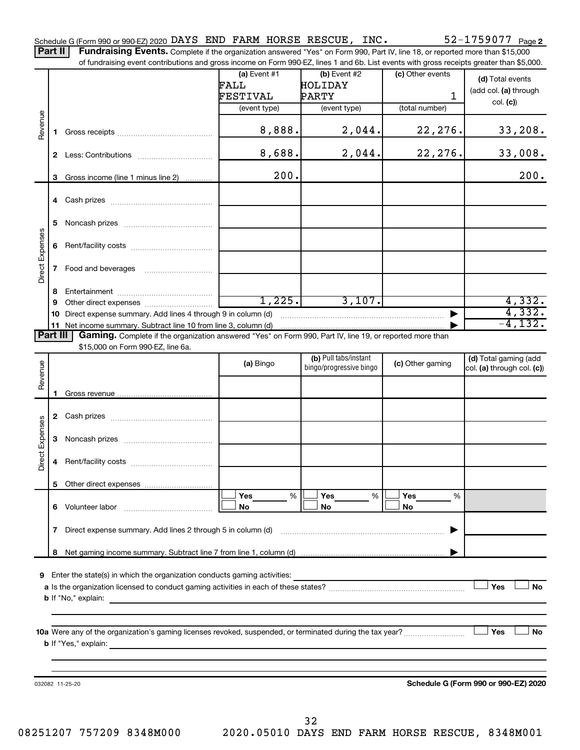Schedule G (Form 990 or 990-EZ) 2020 DAYS END FARM HORSE RESCUE, INC.  $52-1759077$   $_{\rm Page}$ 

Part II | Fundraising Events. Complete if the organization answered "Yes" on Form 990, Part IV, line 18, or reported more than \$15,000 of fundraising event contributions and gross income on Form 990-EZ, lines 1 and 6b. List events with gross receipts greater than \$5,000.

|                 |              |                                                                                                                                                                                                                                           | (a) Event #1 | $(b)$ Event #2          | (c) Other events |                                      |
|-----------------|--------------|-------------------------------------------------------------------------------------------------------------------------------------------------------------------------------------------------------------------------------------------|--------------|-------------------------|------------------|--------------------------------------|
|                 |              |                                                                                                                                                                                                                                           | FALL         | <b>HOLIDAY</b>          |                  | (d) Total events                     |
|                 |              |                                                                                                                                                                                                                                           |              |                         |                  | (add col. (a) through                |
|                 |              |                                                                                                                                                                                                                                           | FESTIVAL     | PARTY                   | 1                | col. (c)                             |
|                 |              |                                                                                                                                                                                                                                           | (event type) | (event type)            | (total number)   |                                      |
| Revenue         |              |                                                                                                                                                                                                                                           |              |                         |                  |                                      |
|                 |              |                                                                                                                                                                                                                                           |              |                         |                  |                                      |
|                 | 1.           |                                                                                                                                                                                                                                           | 8,888.       | 2,044.                  | 22, 276.         | 33,208.                              |
|                 |              |                                                                                                                                                                                                                                           |              |                         |                  |                                      |
|                 | $\mathbf{2}$ |                                                                                                                                                                                                                                           | 8,688.       | 2,044.                  | 22,276.          | 33,008.                              |
|                 |              |                                                                                                                                                                                                                                           |              |                         |                  |                                      |
|                 |              |                                                                                                                                                                                                                                           |              |                         |                  |                                      |
|                 | 3            | Gross income (line 1 minus line 2)                                                                                                                                                                                                        | 200.         |                         |                  | 200.                                 |
|                 |              |                                                                                                                                                                                                                                           |              |                         |                  |                                      |
|                 |              |                                                                                                                                                                                                                                           |              |                         |                  |                                      |
|                 |              |                                                                                                                                                                                                                                           |              |                         |                  |                                      |
|                 |              |                                                                                                                                                                                                                                           |              |                         |                  |                                      |
|                 | 5.           |                                                                                                                                                                                                                                           |              |                         |                  |                                      |
|                 |              |                                                                                                                                                                                                                                           |              |                         |                  |                                      |
|                 |              |                                                                                                                                                                                                                                           |              |                         |                  |                                      |
|                 | 6            |                                                                                                                                                                                                                                           |              |                         |                  |                                      |
| Direct Expenses |              |                                                                                                                                                                                                                                           |              |                         |                  |                                      |
|                 | $\mathbf{7}$ |                                                                                                                                                                                                                                           |              |                         |                  |                                      |
|                 |              |                                                                                                                                                                                                                                           |              |                         |                  |                                      |
|                 |              |                                                                                                                                                                                                                                           |              |                         |                  |                                      |
|                 | 8            |                                                                                                                                                                                                                                           |              |                         |                  |                                      |
|                 | 9            |                                                                                                                                                                                                                                           | 1,225.       | 3,107.                  |                  | 4,332.                               |
|                 | 10           | Direct expense summary. Add lines 4 through 9 in column (d)                                                                                                                                                                               |              |                         |                  | 4,332.                               |
|                 |              |                                                                                                                                                                                                                                           |              |                         |                  | $-4, 132.$                           |
|                 | 11           | Net income summary. Subtract line 10 from line 3, column (d)                                                                                                                                                                              |              |                         |                  |                                      |
| <b>Part III</b> |              | Gaming. Complete if the organization answered "Yes" on Form 990, Part IV, line 19, or reported more than                                                                                                                                  |              |                         |                  |                                      |
|                 |              | \$15,000 on Form 990-EZ, line 6a.                                                                                                                                                                                                         |              |                         |                  |                                      |
|                 |              |                                                                                                                                                                                                                                           |              | (b) Pull tabs/instant   |                  | (d) Total gaming (add                |
|                 |              |                                                                                                                                                                                                                                           | (a) Bingo    | bingo/progressive bingo | (c) Other gaming | col. (a) through col. (c))           |
| Revenue         |              |                                                                                                                                                                                                                                           |              |                         |                  |                                      |
|                 |              |                                                                                                                                                                                                                                           |              |                         |                  |                                      |
|                 | 1.           |                                                                                                                                                                                                                                           |              |                         |                  |                                      |
|                 |              |                                                                                                                                                                                                                                           |              |                         |                  |                                      |
|                 |              |                                                                                                                                                                                                                                           |              |                         |                  |                                      |
|                 |              |                                                                                                                                                                                                                                           |              |                         |                  |                                      |
|                 |              |                                                                                                                                                                                                                                           |              |                         |                  |                                      |
|                 | 3            |                                                                                                                                                                                                                                           |              |                         |                  |                                      |
|                 |              |                                                                                                                                                                                                                                           |              |                         |                  |                                      |
| Direct Expenses |              |                                                                                                                                                                                                                                           |              |                         |                  |                                      |
|                 | 4            |                                                                                                                                                                                                                                           |              |                         |                  |                                      |
|                 |              |                                                                                                                                                                                                                                           |              |                         |                  |                                      |
|                 |              |                                                                                                                                                                                                                                           |              |                         |                  |                                      |
|                 |              |                                                                                                                                                                                                                                           |              |                         |                  |                                      |
|                 |              |                                                                                                                                                                                                                                           | Yes<br>%     | Yes<br>%                | Yes<br>%         |                                      |
|                 | 6.           | Volunteer labor                                                                                                                                                                                                                           | No           | No                      | No               |                                      |
|                 |              |                                                                                                                                                                                                                                           |              |                         |                  |                                      |
|                 | 7            | Direct expense summary. Add lines 2 through 5 in column (d)                                                                                                                                                                               |              |                         |                  |                                      |
|                 |              |                                                                                                                                                                                                                                           |              |                         |                  |                                      |
|                 |              |                                                                                                                                                                                                                                           |              |                         |                  |                                      |
|                 | 8            |                                                                                                                                                                                                                                           |              |                         |                  |                                      |
|                 |              |                                                                                                                                                                                                                                           |              |                         |                  |                                      |
|                 |              |                                                                                                                                                                                                                                           |              |                         |                  |                                      |
| 9               |              | Enter the state(s) in which the organization conducts gaming activities:                                                                                                                                                                  |              |                         |                  |                                      |
|                 |              |                                                                                                                                                                                                                                           |              |                         |                  | Yes<br><b>No</b>                     |
|                 |              | <b>b</b> If "No," explain:<br>the control of the control of the control of the control of the control of                                                                                                                                  |              |                         |                  |                                      |
|                 |              |                                                                                                                                                                                                                                           |              |                         |                  |                                      |
|                 |              |                                                                                                                                                                                                                                           |              |                         |                  |                                      |
|                 |              |                                                                                                                                                                                                                                           |              |                         |                  |                                      |
|                 |              |                                                                                                                                                                                                                                           |              |                         |                  | ∣ Yes<br>No                          |
|                 |              | <b>b</b> If "Yes," explain: <u>And a set of the set of the set of the set of the set of the set of the set of the set of the set of the set of the set of the set of the set of the set of the set of the set of the set of the set o</u> |              |                         |                  |                                      |
|                 |              |                                                                                                                                                                                                                                           |              |                         |                  |                                      |
|                 |              |                                                                                                                                                                                                                                           |              |                         |                  |                                      |
|                 |              |                                                                                                                                                                                                                                           |              |                         |                  |                                      |
|                 |              |                                                                                                                                                                                                                                           |              |                         |                  | Schedule G (Form 990 or 990-EZ) 2020 |
|                 |              | 032082 11-25-20                                                                                                                                                                                                                           |              |                         |                  |                                      |
|                 |              |                                                                                                                                                                                                                                           |              |                         |                  |                                      |
|                 |              |                                                                                                                                                                                                                                           |              |                         |                  |                                      |
|                 |              |                                                                                                                                                                                                                                           |              |                         |                  |                                      |

32

08251207 757209 8348M000 2020.05010 DAYS END FARM HORSE RESCUE, 8348M001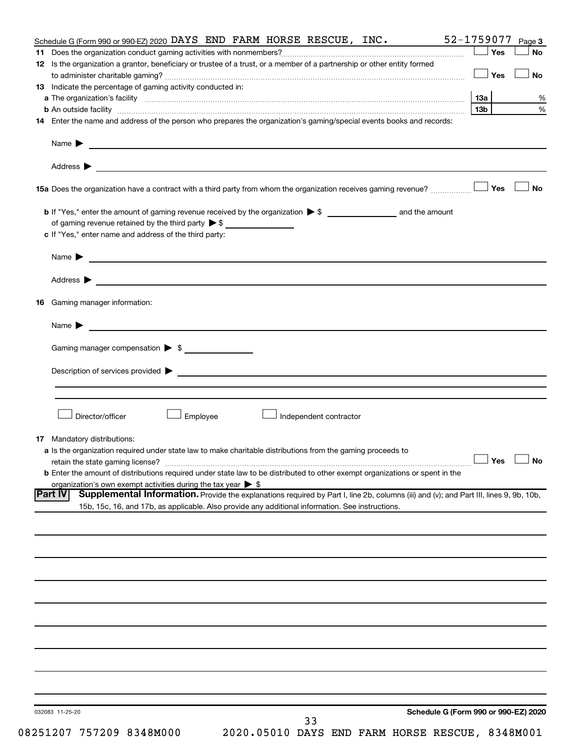|     | Schedule G (Form 990 or 990-EZ) 2020 DAYS END FARM HORSE RESCUE, INC.                                                                                                                                                                    | 52-1759077 | Page 3    |
|-----|------------------------------------------------------------------------------------------------------------------------------------------------------------------------------------------------------------------------------------------|------------|-----------|
|     |                                                                                                                                                                                                                                          | Yes        | <b>No</b> |
|     | 12 Is the organization a grantor, beneficiary or trustee of a trust, or a member of a partnership or other entity formed                                                                                                                 |            |           |
|     |                                                                                                                                                                                                                                          | Yes        | <b>No</b> |
|     | <b>13</b> Indicate the percentage of gaming activity conducted in:                                                                                                                                                                       |            |           |
|     |                                                                                                                                                                                                                                          |            |           |
|     |                                                                                                                                                                                                                                          | 13b        |           |
|     | 14 Enter the name and address of the person who prepares the organization's gaming/special events books and records:                                                                                                                     |            |           |
|     | Name $\blacktriangleright$<br><u> 1989 - Johann Barbara, marka a shekara tsa 1989 - An tsa 1989 - An tsa 1989 - An tsa 1989 - An tsa 1989 - An</u>                                                                                       |            |           |
|     |                                                                                                                                                                                                                                          |            |           |
|     |                                                                                                                                                                                                                                          | Yes        | <b>No</b> |
|     |                                                                                                                                                                                                                                          |            |           |
|     |                                                                                                                                                                                                                                          |            |           |
|     | of gaming revenue retained by the third party $\triangleright$ \$                                                                                                                                                                        |            |           |
|     | c If "Yes," enter name and address of the third party:                                                                                                                                                                                   |            |           |
|     | Name $\triangleright$ $\underbrace{\qquad \qquad }$                                                                                                                                                                                      |            |           |
|     | Address $\blacktriangleright$                                                                                                                                                                                                            |            |           |
| 16. | Gaming manager information:                                                                                                                                                                                                              |            |           |
|     | Name $\blacktriangleright$ $\frac{1}{\sqrt{1-\frac{1}{2}}\left(1-\frac{1}{2}\right)}$                                                                                                                                                    |            |           |
|     |                                                                                                                                                                                                                                          |            |           |
|     | Gaming manager compensation > \$                                                                                                                                                                                                         |            |           |
|     | Director/officer<br>Employee<br>Independent contractor                                                                                                                                                                                   |            |           |
|     |                                                                                                                                                                                                                                          |            |           |
|     | <b>17</b> Mandatory distributions:                                                                                                                                                                                                       |            |           |
|     | a Is the organization required under state law to make charitable distributions from the gaming proceeds to                                                                                                                              |            |           |
|     | retain the state gaming license? $\Box$ No                                                                                                                                                                                               |            |           |
|     | <b>b</b> Enter the amount of distributions required under state law to be distributed to other exempt organizations or spent in the                                                                                                      |            |           |
|     | organization's own exempt activities during the tax year $\triangleright$ \$<br>Supplemental Information. Provide the explanations required by Part I, line 2b, columns (iii) and (v); and Part III, lines 9, 9b, 10b,<br><b>Part IV</b> |            |           |
|     | 15b, 15c, 16, and 17b, as applicable. Also provide any additional information. See instructions.                                                                                                                                         |            |           |
|     |                                                                                                                                                                                                                                          |            |           |
|     |                                                                                                                                                                                                                                          |            |           |
|     |                                                                                                                                                                                                                                          |            |           |
|     |                                                                                                                                                                                                                                          |            |           |
|     |                                                                                                                                                                                                                                          |            |           |
|     |                                                                                                                                                                                                                                          |            |           |
|     |                                                                                                                                                                                                                                          |            |           |
|     |                                                                                                                                                                                                                                          |            |           |
|     |                                                                                                                                                                                                                                          |            |           |
|     |                                                                                                                                                                                                                                          |            |           |
|     |                                                                                                                                                                                                                                          |            |           |
|     |                                                                                                                                                                                                                                          |            |           |
|     |                                                                                                                                                                                                                                          |            |           |
|     |                                                                                                                                                                                                                                          |            |           |
|     |                                                                                                                                                                                                                                          |            |           |
|     |                                                                                                                                                                                                                                          |            |           |
|     | Schedule G (Form 990 or 990-EZ) 2020                                                                                                                                                                                                     |            |           |
|     | 032083 11-25-20<br>33                                                                                                                                                                                                                    |            |           |
|     |                                                                                                                                                                                                                                          |            |           |
|     | 08251207 757209 8348M000<br>2020.05010 DAYS END FARM HORSE RESCUE, 8348M001                                                                                                                                                              |            |           |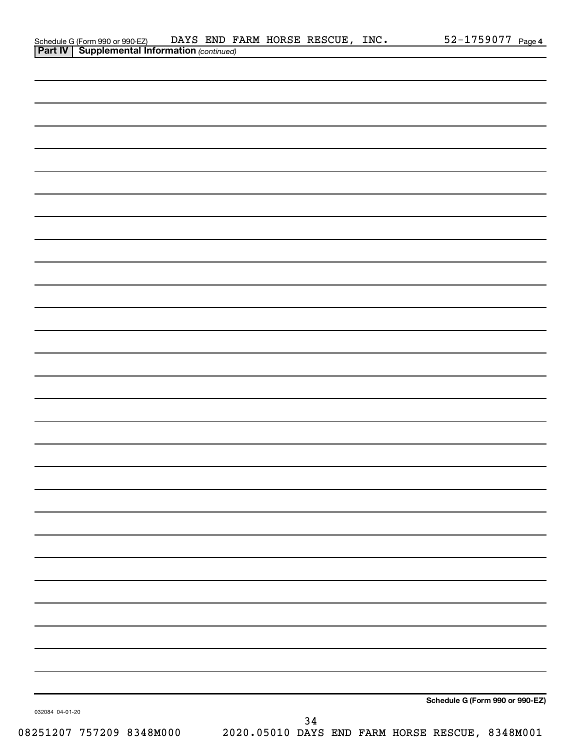| <b>Part IV   Supplemental Information (continued)</b> |                                                       |
|-------------------------------------------------------|-------------------------------------------------------|
|                                                       |                                                       |
|                                                       |                                                       |
|                                                       |                                                       |
|                                                       |                                                       |
|                                                       |                                                       |
|                                                       |                                                       |
|                                                       |                                                       |
|                                                       |                                                       |
|                                                       |                                                       |
|                                                       |                                                       |
|                                                       |                                                       |
|                                                       |                                                       |
|                                                       |                                                       |
|                                                       |                                                       |
|                                                       |                                                       |
|                                                       |                                                       |
|                                                       |                                                       |
|                                                       |                                                       |
|                                                       |                                                       |
|                                                       |                                                       |
|                                                       |                                                       |
|                                                       |                                                       |
|                                                       |                                                       |
|                                                       |                                                       |
|                                                       |                                                       |
|                                                       |                                                       |
|                                                       |                                                       |
|                                                       |                                                       |
|                                                       |                                                       |
|                                                       |                                                       |
|                                                       |                                                       |
|                                                       |                                                       |
|                                                       |                                                       |
|                                                       |                                                       |
|                                                       |                                                       |
| 032084 04-01-20                                       | Schedule G (Form 990 or 990-EZ)                       |
|                                                       | 34<br>2020.05010 DAYS END FARM HORSE RESCUE, 8348M001 |

Schedule G (Form 990 or 990-EZ) DAYS END FARM HORSE RESCUE, INC.  $52-1759077$   $_{\rm Page}$ 

52-1759077 Page 4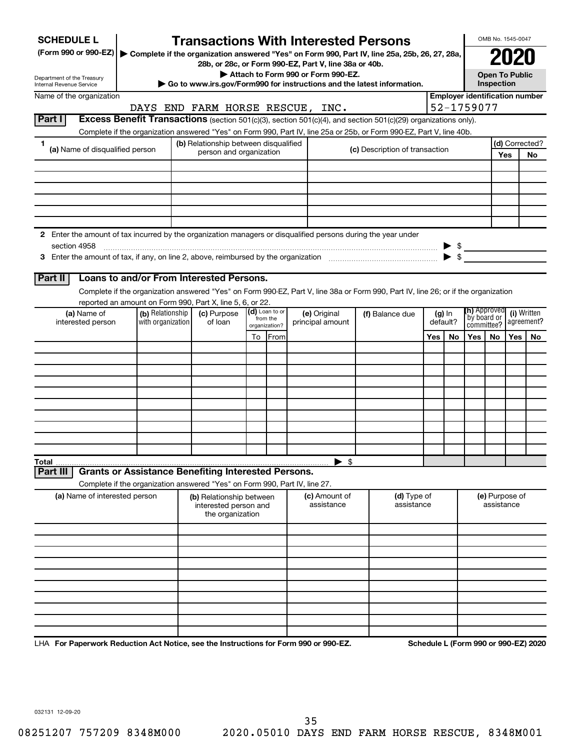| <b>SCHEDULE L</b>                                                                                                             |                   | <b>Transactions With Interested Persons</b>                                                                                        |    |                           |                                    |                 |                                |                      |    |                                                     | OMB No. 1545-0047            |            |                                      |
|-------------------------------------------------------------------------------------------------------------------------------|-------------------|------------------------------------------------------------------------------------------------------------------------------------|----|---------------------------|------------------------------------|-----------------|--------------------------------|----------------------|----|-----------------------------------------------------|------------------------------|------------|--------------------------------------|
| (Form 990 or 990-EZ)   Complete if the organization answered "Yes" on Form 990, Part IV, line 25a, 25b, 26, 27, 28a,          |                   | 28b, or 28c, or Form 990-EZ, Part V, line 38a or 40b.                                                                              |    |                           |                                    |                 |                                |                      |    |                                                     |                              |            |                                      |
| Department of the Treasury                                                                                                    |                   |                                                                                                                                    |    |                           | Attach to Form 990 or Form 990-EZ. |                 |                                |                      |    |                                                     | <b>Open To Public</b>        |            |                                      |
| <b>Internal Revenue Service</b>                                                                                               |                   | Go to www.irs.gov/Form990 for instructions and the latest information.                                                             |    |                           |                                    |                 |                                |                      |    |                                                     | Inspection                   |            |                                      |
| Name of the organization                                                                                                      |                   | DAYS END FARM HORSE RESCUE, INC.                                                                                                   |    |                           |                                    |                 |                                |                      |    | <b>Employer identification number</b><br>52-1759077 |                              |            |                                      |
| Part I                                                                                                                        |                   | Excess Benefit Transactions (section 501(c)(3), section 501(c)(4), and section 501(c)(29) organizations only).                     |    |                           |                                    |                 |                                |                      |    |                                                     |                              |            |                                      |
|                                                                                                                               |                   | Complete if the organization answered "Yes" on Form 990, Part IV, line 25a or 25b, or Form 990-EZ, Part V, line 40b.               |    |                           |                                    |                 |                                |                      |    |                                                     |                              |            |                                      |
| 1<br>(a) Name of disqualified person                                                                                          |                   | (b) Relationship between disqualified                                                                                              |    |                           |                                    |                 | (c) Description of transaction |                      |    |                                                     |                              |            | (d) Corrected?                       |
|                                                                                                                               |                   | person and organization                                                                                                            |    |                           |                                    |                 |                                |                      |    |                                                     |                              | Yes        | No                                   |
|                                                                                                                               |                   |                                                                                                                                    |    |                           |                                    |                 |                                |                      |    |                                                     |                              |            |                                      |
|                                                                                                                               |                   |                                                                                                                                    |    |                           |                                    |                 |                                |                      |    |                                                     |                              |            |                                      |
|                                                                                                                               |                   |                                                                                                                                    |    |                           |                                    |                 |                                |                      |    |                                                     |                              |            |                                      |
|                                                                                                                               |                   |                                                                                                                                    |    |                           |                                    |                 |                                |                      |    |                                                     |                              |            |                                      |
|                                                                                                                               |                   |                                                                                                                                    |    |                           |                                    |                 |                                |                      |    |                                                     |                              |            |                                      |
| 2 Enter the amount of tax incurred by the organization managers or disqualified persons during the year under<br>section 4958 |                   |                                                                                                                                    |    |                           |                                    |                 |                                |                      |    |                                                     |                              |            |                                      |
|                                                                                                                               |                   |                                                                                                                                    |    |                           |                                    |                 |                                |                      |    | $\triangleright$ \$                                 |                              |            |                                      |
|                                                                                                                               |                   |                                                                                                                                    |    |                           |                                    |                 |                                |                      |    |                                                     |                              |            |                                      |
| Part II                                                                                                                       |                   | Loans to and/or From Interested Persons.                                                                                           |    |                           |                                    |                 |                                |                      |    |                                                     |                              |            |                                      |
|                                                                                                                               |                   | Complete if the organization answered "Yes" on Form 990-EZ, Part V, line 38a or Form 990, Part IV, line 26; or if the organization |    |                           |                                    |                 |                                |                      |    |                                                     |                              |            |                                      |
| (a) Name of                                                                                                                   | (b) Relationship  | reported an amount on Form 990, Part X, line 5, 6, or 22.<br>(c) Purpose                                                           |    | (d) Loan to or            | (e) Original                       |                 |                                |                      |    | <b>(h)</b> Approved                                 |                              |            | (i) Written                          |
| interested person                                                                                                             | with organization | of loan                                                                                                                            |    | from the<br>organization? | principal amount                   | (f) Balance due |                                | $(g)$ In<br>default? |    |                                                     | `by board or<br>committee?   |            | agreement?                           |
|                                                                                                                               |                   |                                                                                                                                    | To | From                      |                                    |                 |                                | Yes                  | No | Yes                                                 | No                           | <b>Yes</b> | No                                   |
|                                                                                                                               |                   |                                                                                                                                    |    |                           |                                    |                 |                                |                      |    |                                                     |                              |            |                                      |
|                                                                                                                               |                   |                                                                                                                                    |    |                           |                                    |                 |                                |                      |    |                                                     |                              |            |                                      |
|                                                                                                                               |                   |                                                                                                                                    |    |                           |                                    |                 |                                |                      |    |                                                     |                              |            |                                      |
|                                                                                                                               |                   |                                                                                                                                    |    |                           |                                    |                 |                                |                      |    |                                                     |                              |            |                                      |
|                                                                                                                               |                   |                                                                                                                                    |    |                           |                                    |                 |                                |                      |    |                                                     |                              |            |                                      |
|                                                                                                                               |                   |                                                                                                                                    |    |                           |                                    |                 |                                |                      |    |                                                     |                              |            |                                      |
|                                                                                                                               |                   |                                                                                                                                    |    |                           |                                    |                 |                                |                      |    |                                                     |                              |            |                                      |
|                                                                                                                               |                   |                                                                                                                                    |    |                           |                                    |                 |                                |                      |    |                                                     |                              |            |                                      |
| Total                                                                                                                         |                   |                                                                                                                                    |    |                           | $\blacktriangleright$ \$           |                 |                                |                      |    |                                                     |                              |            |                                      |
| Part II                                                                                                                       |                   | <b>Grants or Assistance Benefiting Interested Persons.</b>                                                                         |    |                           |                                    |                 |                                |                      |    |                                                     |                              |            |                                      |
|                                                                                                                               |                   | Complete if the organization answered "Yes" on Form 990, Part IV, line 27.                                                         |    |                           |                                    |                 |                                |                      |    |                                                     |                              |            |                                      |
| (a) Name of interested person                                                                                                 |                   | (b) Relationship between<br>interested person and<br>the organization                                                              |    |                           | <b>(c)</b> Amount of<br>assistance |                 | (d) Type of<br>assistance      |                      |    |                                                     | (e) Purpose of<br>assistance |            |                                      |
|                                                                                                                               |                   |                                                                                                                                    |    |                           |                                    |                 |                                |                      |    |                                                     |                              |            |                                      |
|                                                                                                                               |                   |                                                                                                                                    |    |                           |                                    |                 |                                |                      |    |                                                     |                              |            |                                      |
|                                                                                                                               |                   |                                                                                                                                    |    |                           |                                    |                 |                                |                      |    |                                                     |                              |            |                                      |
|                                                                                                                               |                   |                                                                                                                                    |    |                           |                                    |                 |                                |                      |    |                                                     |                              |            |                                      |
|                                                                                                                               |                   |                                                                                                                                    |    |                           |                                    |                 |                                |                      |    |                                                     |                              |            |                                      |
|                                                                                                                               |                   |                                                                                                                                    |    |                           |                                    |                 |                                |                      |    |                                                     |                              |            |                                      |
|                                                                                                                               |                   |                                                                                                                                    |    |                           |                                    |                 |                                |                      |    |                                                     |                              |            |                                      |
|                                                                                                                               |                   |                                                                                                                                    |    |                           |                                    |                 |                                |                      |    |                                                     |                              |            |                                      |
|                                                                                                                               |                   |                                                                                                                                    |    |                           |                                    |                 |                                |                      |    |                                                     |                              |            |                                      |
| LHA For Paperwork Reduction Act Notice, see the Instructions for Form 990 or 990-EZ.                                          |                   |                                                                                                                                    |    |                           |                                    |                 |                                |                      |    |                                                     |                              |            | Schedule L (Form 990 or 990-EZ) 2020 |

08251207 757209 8348M000 2020.05010 DAYS END FARM HORSE RESCUE, 8348M001 35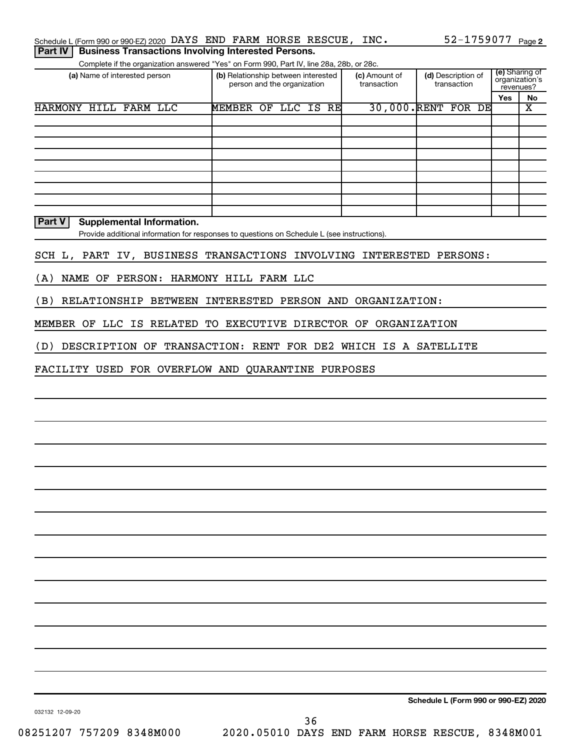| .                                                                                        |                                     |    |                             |  |                              |                                   |     |                                               |
|------------------------------------------------------------------------------------------|-------------------------------------|----|-----------------------------|--|------------------------------|-----------------------------------|-----|-----------------------------------------------|
| Complete if the organization answered "Yes" on Form 990, Part IV, line 28a, 28b, or 28c. |                                     |    |                             |  |                              |                                   |     |                                               |
| (a) Name of interested person                                                            | (b) Relationship between interested |    | person and the organization |  | (c) Amount of<br>transaction | (d) Description of<br>transaction |     | (e) Sharing of<br>organization's<br>revenues? |
|                                                                                          |                                     |    |                             |  |                              |                                   | Yes | No                                            |
| HARMONY<br>HILL FARM LLC                                                                 | <b>MEMBER</b>                       | OF | LLC IS RE                   |  | 30,000.RENT                  | FOR DE                            |     | х                                             |
|                                                                                          |                                     |    |                             |  |                              |                                   |     |                                               |
|                                                                                          |                                     |    |                             |  |                              |                                   |     |                                               |
|                                                                                          |                                     |    |                             |  |                              |                                   |     |                                               |
|                                                                                          |                                     |    |                             |  |                              |                                   |     |                                               |
|                                                                                          |                                     |    |                             |  |                              |                                   |     |                                               |
|                                                                                          |                                     |    |                             |  |                              |                                   |     |                                               |
|                                                                                          |                                     |    |                             |  |                              |                                   |     |                                               |
|                                                                                          |                                     |    |                             |  |                              |                                   |     |                                               |

**Part V Supplemental Information.**

Provide additional information for responses to questions on Schedule L (see instructions).

SCH L, PART IV, BUSINESS TRANSACTIONS INVOLVING INTERESTED PERSONS:

(A) NAME OF PERSON: HARMONY HILL FARM LLC

(B) RELATIONSHIP BETWEEN INTERESTED PERSON AND ORGANIZATION:

MEMBER OF LLC IS RELATED TO EXECUTIVE DIRECTOR OF ORGANIZATION

(D) DESCRIPTION OF TRANSACTION: RENT FOR DE2 WHICH IS A SATELLITE

FACILITY USED FOR OVERFLOW AND QUARANTINE PURPOSES

**Schedule L (Form 990 or 990-EZ) 2020**

032132 12-09-20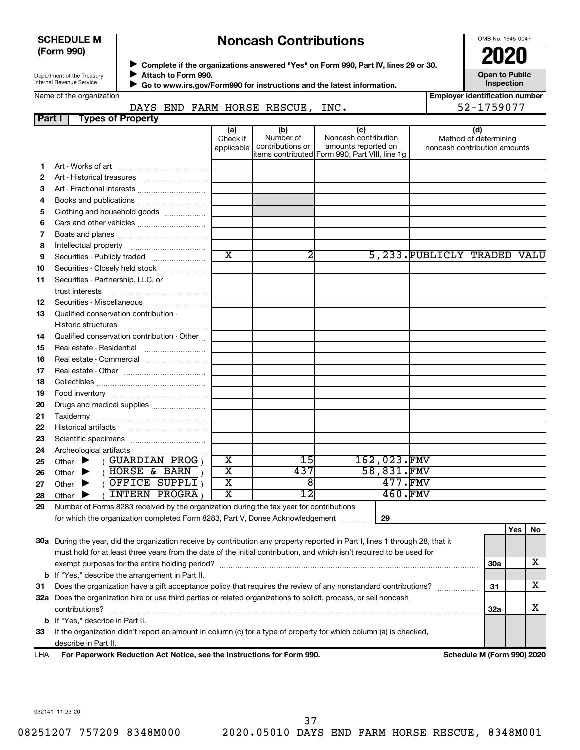### **SCHEDULE M (Form 990)**

## **Noncash Contributions**

OMB No. 1545-0047

**Employer identification number**

| Department of the Treasury |
|----------------------------|
| Internal Revenue Service   |

◆ Complete if the organizations answered "Yes" on Form 990, Part IV, lines 29 or 30.<br>● Complete if the organizations answered "Yes" on Form 990, Part IV, lines 29 or 30. **Attach to Form 990.**  $\blacktriangleright$ 

**Open to Public Inspection**

|  |  | Name of the organization |
|--|--|--------------------------|
|--|--|--------------------------|

 **Go to www.irs.gov/Form990 for instructions and the latest information.** J

### **Part I Types of Property** DAYS END FARM HORSE RESCUE, INC. | 52-1759077

| Part i       | Types of Property                                                                                                              |                         |                  |                                                |                              |
|--------------|--------------------------------------------------------------------------------------------------------------------------------|-------------------------|------------------|------------------------------------------------|------------------------------|
|              |                                                                                                                                | (a)<br>Check if         | (b)<br>Number of | (c)<br>Noncash contribution                    | (d)<br>Method of determining |
|              |                                                                                                                                | applicable              | contributions or | amounts reported on                            | noncash contribution amounts |
|              |                                                                                                                                |                         |                  | items contributed Form 990, Part VIII, line 1g |                              |
| 1.           |                                                                                                                                |                         |                  |                                                |                              |
| $\mathbf{2}$ |                                                                                                                                |                         |                  |                                                |                              |
| 3            |                                                                                                                                |                         |                  |                                                |                              |
| 4            |                                                                                                                                |                         |                  |                                                |                              |
| 5            | Clothing and household goods                                                                                                   |                         |                  |                                                |                              |
| 6            | Cars and other vehicles                                                                                                        |                         |                  |                                                |                              |
| 7            |                                                                                                                                |                         |                  |                                                |                              |
| 8            |                                                                                                                                |                         |                  |                                                |                              |
| 9            | Securities - Publicly traded                                                                                                   | $\overline{\text{x}}$   | 2                |                                                | 5,233. PUBLICLY TRADED VALU  |
| 10           | Securities - Closely held stock                                                                                                |                         |                  |                                                |                              |
| 11           | Securities - Partnership, LLC, or                                                                                              |                         |                  |                                                |                              |
|              | trust interests                                                                                                                |                         |                  |                                                |                              |
| 12           |                                                                                                                                |                         |                  |                                                |                              |
| 13           | Qualified conservation contribution -                                                                                          |                         |                  |                                                |                              |
|              |                                                                                                                                |                         |                  |                                                |                              |
| 14           | Qualified conservation contribution - Other                                                                                    |                         |                  |                                                |                              |
| 15           | Real estate - Residential                                                                                                      |                         |                  |                                                |                              |
| 16           | Real estate - Commercial                                                                                                       |                         |                  |                                                |                              |
| 17           |                                                                                                                                |                         |                  |                                                |                              |
| 18           |                                                                                                                                |                         |                  |                                                |                              |
| 19           |                                                                                                                                |                         |                  |                                                |                              |
| 20           | Drugs and medical supplies                                                                                                     |                         |                  |                                                |                              |
| 21           |                                                                                                                                |                         |                  |                                                |                              |
| 22           |                                                                                                                                |                         |                  |                                                |                              |
| 23           |                                                                                                                                |                         |                  |                                                |                              |
| 24           |                                                                                                                                |                         |                  |                                                |                              |
| 25           | $($ GUARDIAN PROG $)$<br>Other $\blacktriangleright$                                                                           | $\overline{\textbf{x}}$ | 15I              | 162,023.FMV                                    |                              |
| 26           | $(\overline{HORSE} \& \overline{BARN})$<br>Other $\blacktriangleright$                                                         | $\overline{\text{x}}$   | 437              | 58,831.FMV                                     |                              |
| 27           | (OFFICE SUPPLI)<br>Other $\blacktriangleright$                                                                                 | $\overline{\mathtt{x}}$ | 8                | 477.FMV                                        |                              |
| 28           | <b>INTERN PROGRA</b><br>Other                                                                                                  | $\overline{\text{x}}$   | $\overline{12}$  | 460.FMV                                        |                              |
| 29           | Number of Forms 8283 received by the organization during the tax year for contributions                                        |                         |                  |                                                |                              |
|              | for which the organization completed Form 8283, Part V, Donee Acknowledgement                                                  |                         |                  | 29                                             |                              |
|              |                                                                                                                                |                         |                  |                                                | Yes<br>No                    |
|              | 30a During the year, did the organization receive by contribution any property reported in Part I, lines 1 through 28, that it |                         |                  |                                                |                              |

| ᆸᅀ | Ear Danarwark Paduction Act Nation, see the Instructions for Farm 000                                                                 | Schodule M (Form 000) 2020 |  |
|----|---------------------------------------------------------------------------------------------------------------------------------------|----------------------------|--|
|    | describe in Part II.                                                                                                                  |                            |  |
| 33 | If the organization didn't report an amount in column (c) for a type of property for which column (a) is checked,                     |                            |  |
|    |                                                                                                                                       |                            |  |
|    | <b>b</b> If "Yes," describe in Part II.                                                                                               |                            |  |
|    | contributions?                                                                                                                        | 32a                        |  |
|    | 32a Does the organization hire or use third parties or related organizations to solicit, process, or sell noncash                     |                            |  |
| 31 | Does the organization have a gift acceptance policy that requires the review of any nonstandard contributions?                        | 31                         |  |
|    | <b>b</b> If "Yes," describe the arrangement in Part II.                                                                               |                            |  |
|    | exempt purposes for the entire holding period?                                                                                        | 30a                        |  |
|    | must hold for at least three years from the date of the initial contribution, and which isn't required to be used for                 |                            |  |
|    | <b>30a</b> During the year, ald the organization receive by contribution any property reported in Part I, lines T through 28, that it |                            |  |

**For Paperwork Reduction Act Notice, see the Instructions for Form 990. Schedule M (Form 990) 2020** LHA

032141 11-23-20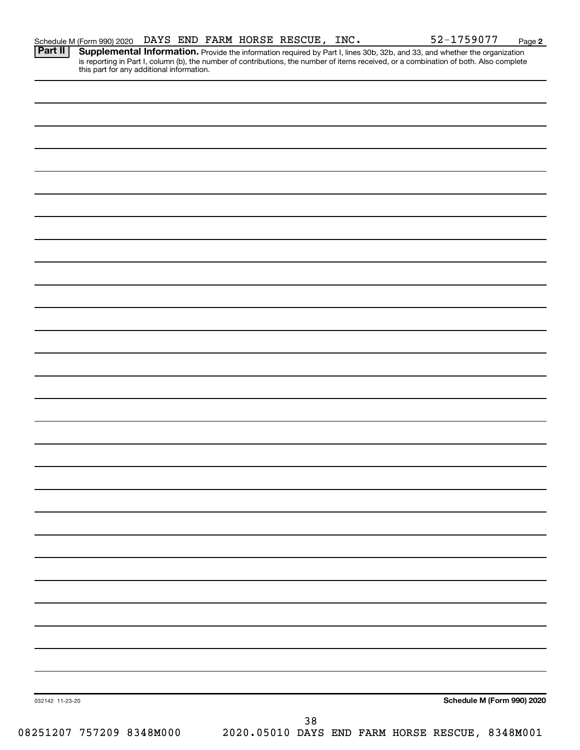| Schedule M (Form 990) 2020 DAYS END FARM HORSE RESCUE, |  |  |  |  |  | INC. | 52-1759077 | Page |  |
|--------------------------------------------------------|--|--|--|--|--|------|------------|------|--|
|--------------------------------------------------------|--|--|--|--|--|------|------------|------|--|

**2**

Provide the information required by Part I, lines 30b, 32b, and 33, and whether the organization is reporting in Part I, column (b), the number of contributions, the number of items received, or a combination of both. Also complete this part for any additional information. **Part II Supplemental Information.** 

| 032142 11-23-20 |  |        | Schedule M (Form 990) 2020                                                 |
|-----------------|--|--------|----------------------------------------------------------------------------|
|                 |  | $38\,$ | $251207$ 757200 $2349M000$ 2020 05010 DAVG FND FADM HODGE DEGGILE 2249M001 |

08251207 757209 8348M000 2020.05010 DAYS END FARM HORSE RESCUE, 8348M001